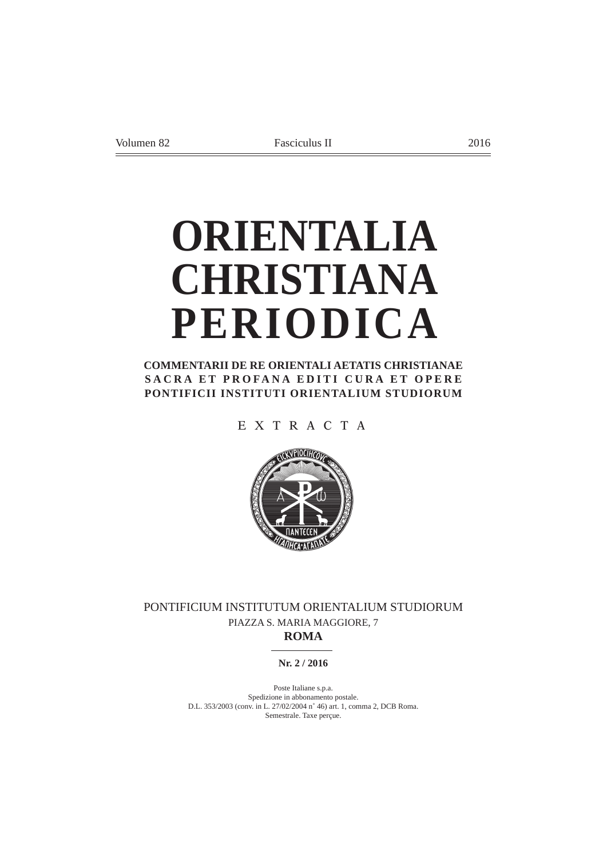# **ORIENTALIA CHRISTIANA PERIODICA**

**COMMENTARII DE RE ORIENTALI AETATIS CHRISTIANAE SACRA ET PROFANA EDITI CURA ET OPERE PONTIFICII INSTITUTI ORIENTALIUM STUDIORUM**

EXTRACTA



PONTIFICIUM INSTITUTUM ORIENTALIUM STUDIORUM PIAZZA S. MARIA MAGGIORE, 7 **ROMA**

# **Nr. 2 / 2016**

Poste Italiane s.p.a. Spedizione in abbonamento postale. D.L. 353/2003 (conv. in L. 27/02/2004 n˚ 46) art. 1, comma 2, DCB Roma. Semestrale. Taxe perçue.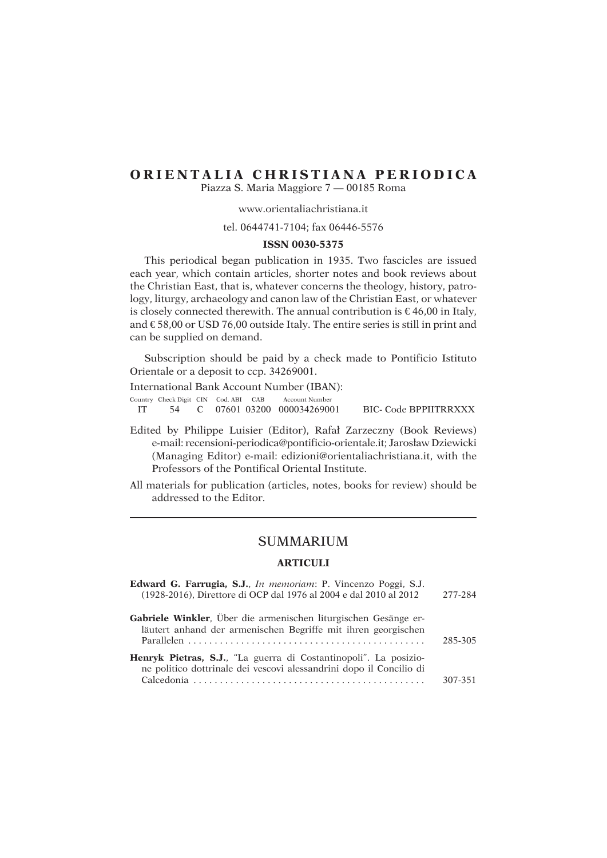# **ORIENTALIA CHRISTIANA PERIODICA**

Piazza S. Maria Maggiore 7 — 00185 Roma

# www.orientaliachristiana.it

# tel. 0644741-7104; fax 06446-5576

# **ISSN 0030-5375**

This periodical began publication in 1935. Two fascicles are issued each year, which contain articles, shorter notes and book reviews about the Christian East, that is, whatever concerns the theology, history, patrology, liturgy, archaeology and canon law of the Christian East, or whatever is closely connected therewith. The annual contribution is €46,00 in Italy, and  $\epsilon$ 58,00 or USD 76,00 outside Italy. The entire series is still in print and can be supplied on demand.

Subscription should be paid by a check made to Pontificio Istituto Orientale or a deposit to ccp. 34269001.

International Bank Account Number (IBAN):

Country Check Digit CIN Cod. ABI CAB Account Number

IT 54 C 07601 03200 000034269001 BIC- Code BPPIITRRXXX

- Edited by Philippe Luisier (Editor), Rafaá Zarzeczny (Book Reviews) e-mail: recensioni-periodica@pontificio-orientale.it; Jarosáaw Dziewicki (Managing Editor) e-mail: edizioni@orientaliachristiana.it, with the Professors of the Pontifical Oriental Institute.
- All materials for publication (articles, notes, books for review) should be addressed to the Editor.

# SUMMARIUM

# **ARTICULI**

| Edward G. Farrugia, S.J., In memoriam: P. Vincenzo Poggi, S.J.<br>(1928-2016), Direttore di OCP dal 1976 al 2004 e dal 2010 al 2012             | 277-284 |
|-------------------------------------------------------------------------------------------------------------------------------------------------|---------|
| Gabriele Winkler, Über die armenischen liturgischen Gesänge er-<br>läutert anhand der armenischen Begriffe mit ihren georgischen                | 285-305 |
| <b>Henryk Pietras, S.J.</b> , "La guerra di Costantinopoli". La posizio-<br>ne politico dottrinale dei vescovi alessandrini dopo il Concilio di | 307-351 |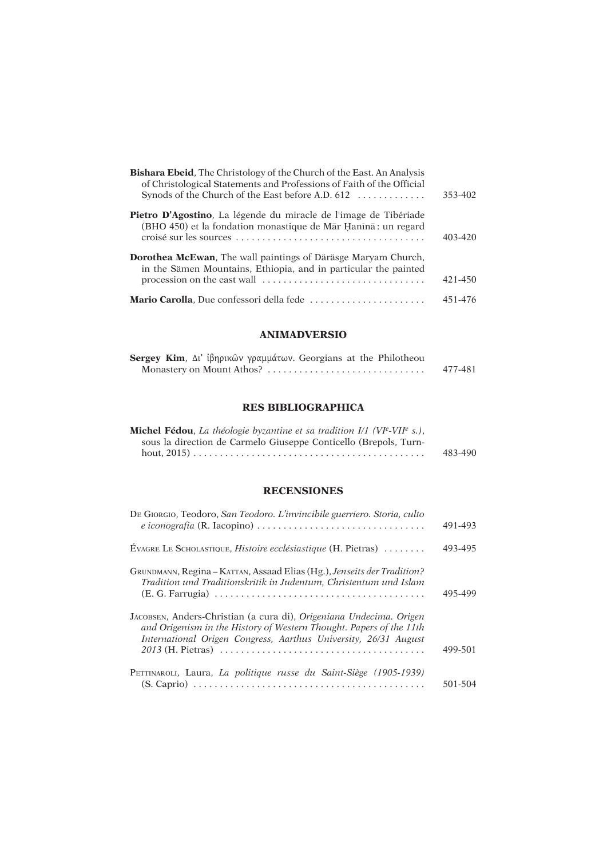| <b>Bishara Ebeid</b> , The Christology of the Church of the East. An Analysis<br>of Christological Statements and Professions of Faith of the Official<br>Synods of the Church of the East before A.D. 612                        | 353-402 |
|-----------------------------------------------------------------------------------------------------------------------------------------------------------------------------------------------------------------------------------|---------|
| <b>Pietro D'Agostino</b> , La légende du miracle de l'image de Tibériade<br>(BHO 450) et la fondation monastique de Mār Hanīnā: un regard                                                                                         | 403-420 |
| <b>Dorothea McEwan</b> , The wall paintings of Däräsge Maryam Church,<br>in the Sämen Mountains, Ethiopia, and in particular the painted<br>procession on the east wall $\dots\dots\dots\dots\dots\dots\dots\dots\dots\dots\dots$ | 421-450 |
| Mario Carolla, Due confessori della fede                                                                                                                                                                                          | 451-476 |

# **ANIMADVERSIO**

| <b>Sergey Kim</b> , Δι' ίβηρικών γραμμάτων. Georgians at the Philotheou |  |  |         |
|-------------------------------------------------------------------------|--|--|---------|
|                                                                         |  |  | 477-481 |

# **RES BIBLIOGRAPHICA**

| <b>Michel Fédou</b> , La théologie byzantine et sa tradition $I/I$ (VI <sup>e</sup> -VII <sup>e</sup> s.), |         |
|------------------------------------------------------------------------------------------------------------|---------|
| sous la direction de Carmelo Giuseppe Conticello (Brepols, Turn-                                           |         |
|                                                                                                            | 483-490 |

# **RECENSIONES**

| DE GIORGIO, Teodoro, San Teodoro. L'invincibile guerriero. Storia, culto                                                                                                                                      | 491-493 |
|---------------------------------------------------------------------------------------------------------------------------------------------------------------------------------------------------------------|---------|
| EVAGRE LE SCHOLASTIQUE, Histoire ecclésiastique $(H.$ Pietras $) \dots \dots$                                                                                                                                 | 493-495 |
| GRUNDMANN, Regina – KATTAN, Assaad Elias (Hg.), Jenseits der Tradition?<br>Tradition und Traditionskritik in Judentum, Christentum und Islam                                                                  | 495-499 |
| JACOBSEN, Anders-Christian (a cura di), Origeniana Undecima. Origen<br>and Origenism in the History of Western Thought. Papers of the 11th<br>International Origen Congress, Aarthus University, 26/31 August | 499-501 |
| PETTINAROLI, Laura, La politique russe du Saint-Siège (1905-1939)                                                                                                                                             | 501-504 |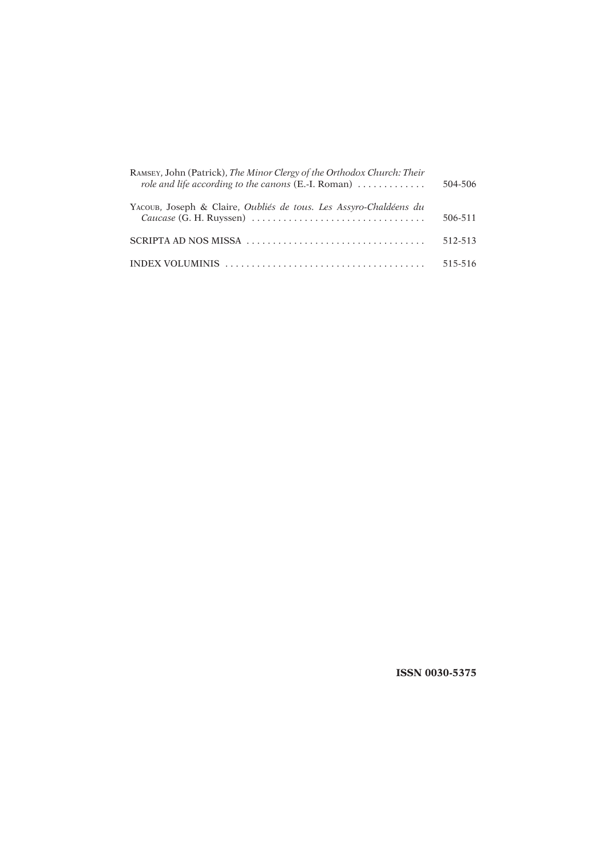| RAMSEY, John (Patrick), The Minor Clergy of the Orthodox Church: Their<br>role and life according to the canons $(E.-I.$ Roman) $\ldots \ldots \ldots$ | 504-506 |
|--------------------------------------------------------------------------------------------------------------------------------------------------------|---------|
| YACOUB, Joseph & Claire, <i>Oubliés de tous, Les Assyro-Chaldéens du</i>                                                                               | 506-511 |
|                                                                                                                                                        | 512-513 |
| INDEX VOLUMINIS $\ldots \ldots \ldots \ldots \ldots \ldots \ldots \ldots \ldots \ldots \ldots \ldots$                                                  | 515-516 |

 **ISSN 0030-5375**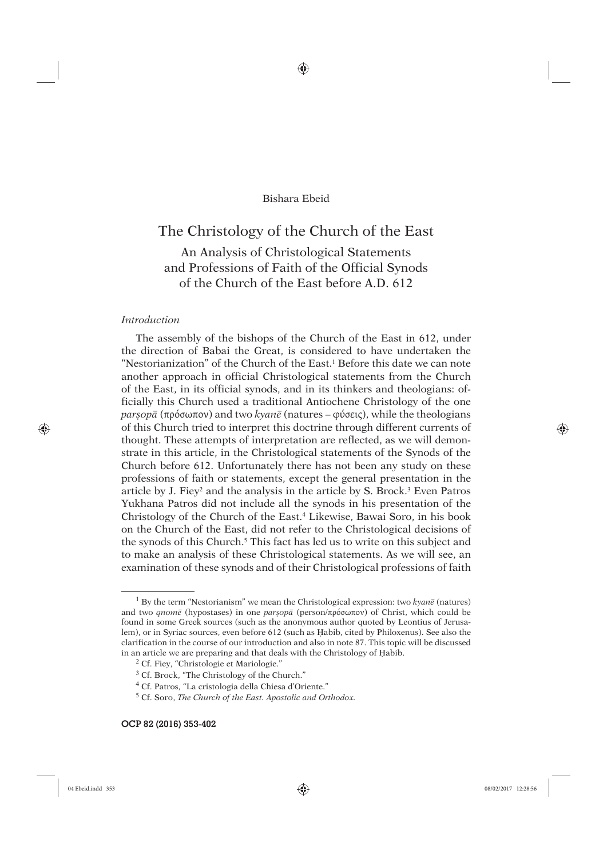♠

# Bishara Ebeid

# The Christology of the Church of the East

An Analysis of Christological Statements and Professions of Faith of the Official Synods of the Church of the East before A.D. 612

# *Introduction*

The assembly of the bishops of the Church of the East in 612, under the direction of Babai the Great, is considered to have undertaken the "Nestorianization" of the Church of the East.1 Before this date we can note another approach in official Christological statements from the Church of the East, in its official synods, and in its thinkers and theologians: officially this Church used a traditional Antiochene Christology of the one *parúopâ* (πρόσωπον) and two *kyanê* (natures – φύσεις), while the theologians of this Church tried to interpret this doctrine through different currents of thought. These attempts of interpretation are reflected, as we will demonstrate in this article, in the Christological statements of the Synods of the Church before 612. Unfortunately there has not been any study on these professions of faith or statements, except the general presentation in the article by J. Fiey<sup>2</sup> and the analysis in the article by S. Brock.<sup>3</sup> Even Patros Yukhana Patros did not include all the synods in his presentation of the Christology of the Church of the East.4 Likewise, Bawai Soro, in his book on the Church of the East, did not refer to the Christological decisions of the synods of this Church.<sup>5</sup> This fact has led us to write on this subject and to make an analysis of these Christological statements. As we will see, an examination of these synods and of their Christological professions of faith

⊕

<sup>1</sup> By the term "Nestorianism" we mean the Christological expression: two *kyanê* (natures) and two *qnomê* (hypostases) in one *parúopâ* (person/πρόσωπον) of Christ, which could be found in some Greek sources (such as the anonymous author quoted by Leontius of Jerusalem), or in Syriac sources, even before 612 (such as Habib, cited by Philoxenus). See also the clarification in the course of our introduction and also in note 87. This topic will be discussed in an article we are preparing and that deals with the Christology of Habib.

<sup>2</sup> Cf. Fiey, "Christologie et Mariologie."

<sup>3</sup> Cf. Brock, "The Christology of the Church."

<sup>4</sup> Cf. Patros, "La cristologia della Chiesa d'Oriente."

<sup>5</sup> Cf. Soro, *The Church of the East. Apostolic and Orthodox.*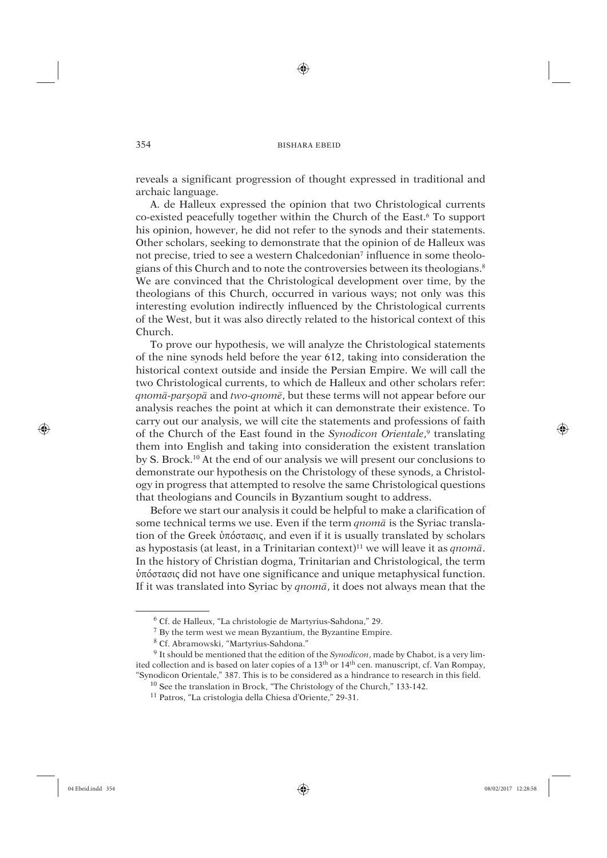⊕

reveals a significant progression of thought expressed in traditional and archaic language.

A. de Halleux expressed the opinion that two Christological currents co-existed peacefully together within the Church of the East.6 To support his opinion, however, he did not refer to the synods and their statements. Other scholars, seeking to demonstrate that the opinion of de Halleux was not precise, tried to see a western Chalcedonian<sup>7</sup> influence in some theologians of this Church and to note the controversies between its theologians.8 We are convinced that the Christological development over time, by the theologians of this Church, occurred in various ways; not only was this interesting evolution indirectly influenced by the Christological currents of the West, but it was also directly related to the historical context of this Church.

To prove our hypothesis, we will analyze the Christological statements of the nine synods held before the year 612, taking into consideration the historical context outside and inside the Persian Empire. We will call the two Christological currents, to which de Halleux and other scholars refer: *qnomâ-parúopâ* and *two-qnomê*, but these terms will not appear before our analysis reaches the point at which it can demonstrate their existence. To carry out our analysis, we will cite the statements and professions of faith of the Church of the East found in the *Synodicon Orientale*, 9 translating them into English and taking into consideration the existent translation by S. Brock.10 At the end of our analysis we will present our conclusions to demonstrate our hypothesis on the Christology of these synods, a Christology in progress that attempted to resolve the same Christological questions that theologians and Councils in Byzantium sought to address.

Before we start our analysis it could be helpful to make a clarification of some technical terms we use. Even if the term *qnomâ* is the Syriac translation of the Greek ὑπόστασις, and even if it is usually translated by scholars as hypostasis (at least, in a Trinitarian context)11 we will leave it as *qnomâ*. In the history of Christian dogma, Trinitarian and Christological, the term ὑπόστασις did not have one significance and unique metaphysical function. If it was translated into Syriac by *qnomâ*, it does not always mean that the

⊕

 <sup>6</sup> Cf. de Halleux, "La christologie de Martyrius-Sahdona," 29.

 <sup>7</sup> By the term west we mean Byzantium, the Byzantine Empire.

 <sup>8</sup> Cf. Abramowski, "Martyrius-Sahdona."

 <sup>9</sup> It should be mentioned that the edition of the *Synodicon*, made by Chabot, is a very limited collection and is based on later copies of a 13th or 14th cen. manuscript, cf. Van Rompay, "Synodicon Orientale," 387. This is to be considered as a hindrance to research in this field.

<sup>10</sup> See the translation in Brock, "The Christology of the Church," 133-142.

<sup>11</sup> Patros, "La cristologia della Chiesa d'Oriente," 29-31.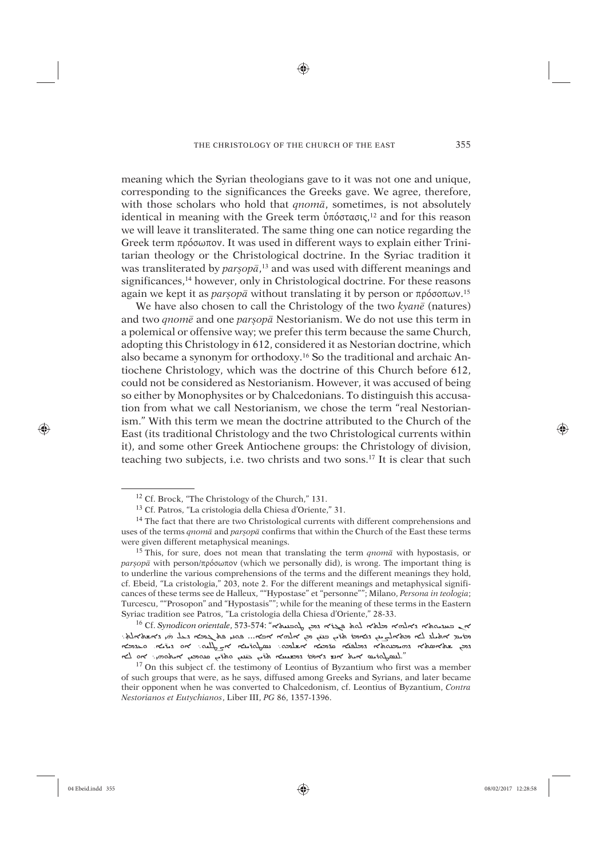♠

meaning which the Syrian theologians gave to it was not one and unique, corresponding to the significances the Greeks gave. We agree, therefore, with those scholars who hold that *qnomâ*, sometimes, is not absolutely identical in meaning with the Greek term ὑπόστασις, 12 and for this reason we will leave it transliterated. The same thing one can notice regarding the Greek term πρόσωπον. It was used in different ways to explain either Trinitarian theology or the Christological doctrine. In the Syriac tradition it was transliterated by *parsop* $\bar{a}$ ,<sup>13</sup> and was used with different meanings and significances,14 however, only in Christological doctrine. For these reasons again we kept it as *parúopâ* without translating it by person or πρόσοπων. 15

We have also chosen to call the Christology of the two *kyanê* (natures) and two *qnomê* and one *parúopâ* Nestorianism. We do not use this term in a polemical or offensive way; we prefer this term because the same Church, adopting this Christology in 612, considered it as Nestorian doctrine, which also became a synonym for orthodoxy.16 So the traditional and archaic Antiochene Christology, which was the doctrine of this Church before 612, could not be considered as Nestorianism. However, it was accused of being so either by Monophysites or by Chalcedonians. To distinguish this accusation from what we call Nestorianism, we chose the term "real Nestorianism." With this term we mean the doctrine attributed to the Church of the East (its traditional Christology and the two Christological currents within it), and some other Greek Antiochene groups: the Christology of division, teaching two subjects, i.e. two christs and two sons.17 It is clear that such

⊕

<sup>12</sup> Cf. Brock, "The Christology of the Church," 131.

<sup>13</sup> Cf. Patros, "La cristologia della Chiesa d'Oriente," 31.

<sup>&</sup>lt;sup>14</sup> The fact that there are two Christological currents with different comprehensions and uses of the terms *qnomâ* and *parúopâ* confirms that within the Church of the East these terms were given different metaphysical meanings.

<sup>15</sup> This, for sure, does not mean that translating the term *qnomâ* with hypostasis, or *parúopâ* with person/πρόσωπον (which we personally did), is wrong. The important thing is to underline the various comprehensions of the terms and the different meanings they hold, cf. Ebeid, "La cristologia," 203, note 2. For the different meanings and metaphysical significances of these terms see de Halleux, ""Hypostase" et "personne""; Milano, *Persona in teologia*; Turcescu, ""Prosopon" and "Hypostasis""; while for the meaning of these terms in the Eastern Syriac tradition see Patros, "La cristologia della Chiesa d'Oriente," 28-33.

ܐܢ ܒÍØÊÐܬܐ ܕܐÌßܐ ÿàâܐ Íßܬ ñܓûܐ ܕçâ ÍÒܒÿÙæܐ" 573-574: ,*orientale Synodicon* .Cf 16 ֦֧֦֦֦֖֖֖֖֪֪֪֪֪֪֪֪֪֪֪֪֪֪֪֪֦֚֚֚֚֝֝֝֓֕֓֡֓֓֓֡֬ id אלגלשה אלאלאשי איז האדאה אדו האלא אינט איז אינט איז געל האדו אלאי iّخِبْر הובבות היו בעלכם הוב והובנו הועלי לא לבו הוובנו הלומצונה: הלא המאוד הוא היום היום היום היום היום היום<br>היום האי לא היום האי לא היום האי לא היום האי לא היום האי לא היום האי לא היום היום האי לא היום היום היום היום ה ̈çÙæ ܘܬ̈ܪçØ çÙâÍæø ܐÿØܘܗܝ܆ ܐܘ Ćßܐ ÙÜ çØ̈ û ܕÐÙýâܐ ܬܖ âܕܐ þåܐ ÿØܐ êØܪÍÓéæß." ֚֚֚֬

<sup>&</sup>lt;sup>17</sup> On this subject cf. the testimony of Leontius of Byzantium who first was a member of such groups that were, as he says, diffused among Greeks and Syrians, and later became their opponent when he was converted to Chalcedonism, cf. Leontius of Byzantium, *Contra Nestorianos et Eutychianos*, Liber III, *PG* 86, 1357-1396.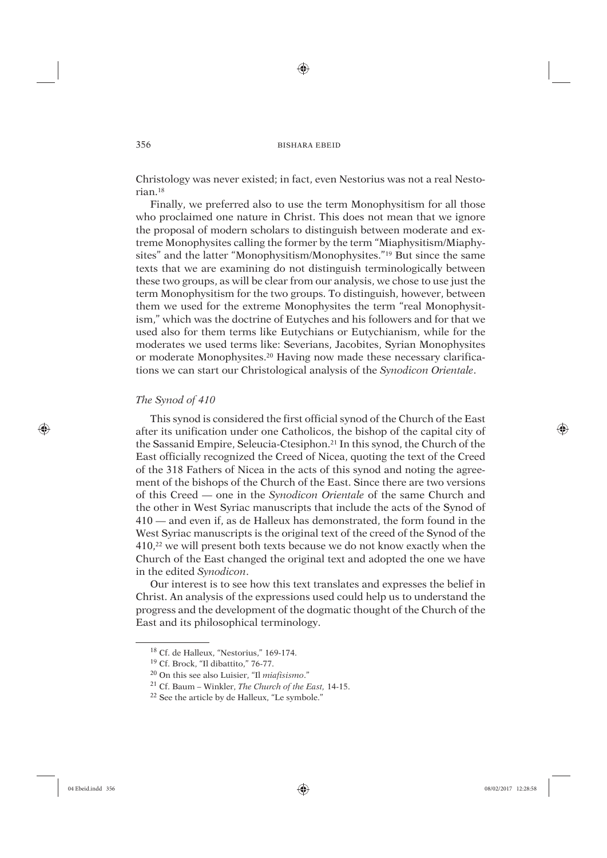⊕

Christology was never existed; in fact, even Nestorius was not a real Nestorian.18

Finally, we preferred also to use the term Monophysitism for all those who proclaimed one nature in Christ. This does not mean that we ignore the proposal of modern scholars to distinguish between moderate and extreme Monophysites calling the former by the term "Miaphysitism/Miaphysites" and the latter "Monophysitism/Monophysites."19 But since the same texts that we are examining do not distinguish terminologically between these two groups, as will be clear from our analysis, we chose to use just the term Monophysitism for the two groups. To distinguish, however, between them we used for the extreme Monophysites the term "real Monophysitism," which was the doctrine of Eutyches and his followers and for that we used also for them terms like Eutychians or Eutychianism, while for the moderates we used terms like: Severians, Jacobites, Syrian Monophysites or moderate Monophysites.20 Having now made these necessary clarifications we can start our Christological analysis of the *Synodicon Orientale*.

## *The Synod of 410*

This synod is considered the first official synod of the Church of the East after its unification under one Catholicos, the bishop of the capital city of the Sassanid Empire, Seleucia-Ctesiphon.21 In this synod, the Church of the East officially recognized the Creed of Nicea, quoting the text of the Creed of the 318 Fathers of Nicea in the acts of this synod and noting the agreement of the bishops of the Church of the East. Since there are two versions of this Creed — one in the *Synodicon Orientale* of the same Church and the other in West Syriac manuscripts that include the acts of the Synod of 410 — and even if, as de Halleux has demonstrated, the form found in the West Syriac manuscripts is the original text of the creed of the Synod of the 410,22 we will present both texts because we do not know exactly when the Church of the East changed the original text and adopted the one we have in the edited *Synodicon*.

Our interest is to see how this text translates and expresses the belief in Christ. An analysis of the expressions used could help us to understand the progress and the development of the dogmatic thought of the Church of the East and its philosophical terminology.

⊕

<sup>18</sup> Cf. de Halleux, "Nestorius," 169-174.

<sup>19</sup> Cf. Brock, "Il dibattito," 76-77.

<sup>20</sup> On this see also Luisier, "Il *miafisismo*."

<sup>21</sup> Cf. Baum – Winkler, *The Church of the East,* 14-15.

<sup>22</sup> See the article by de Halleux, "Le symbole."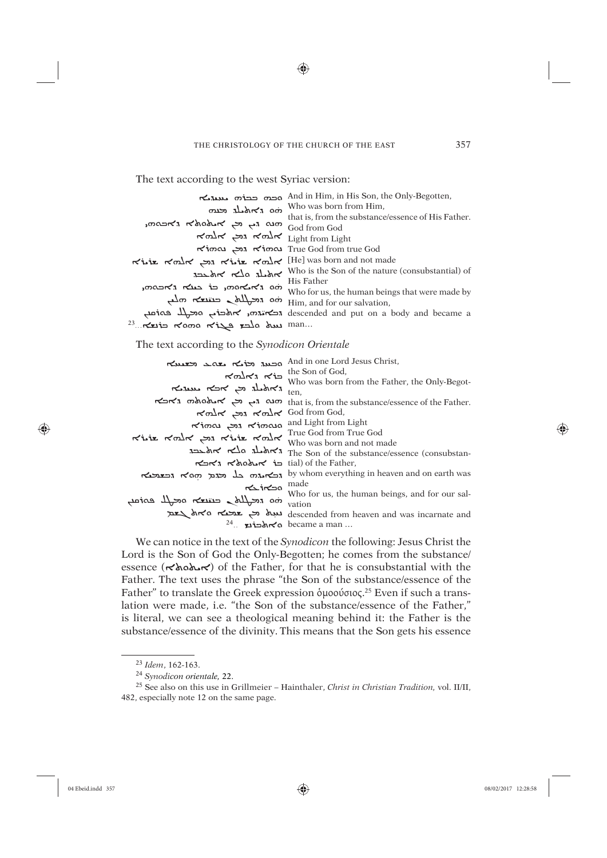◈

The text according to the west Syriac version:

| הכמי כבוד המעד<br>an thalt can                                       | And in Him, in His Son, the Only-Begotten,<br>Who was born from Him,        |
|----------------------------------------------------------------------|-----------------------------------------------------------------------------|
| הע הי נא האכאלא גאכסה,                                               | that is, from the substance/essence of His Father.<br>God from God          |
| Eight from Light ווכן אלח                                            |                                                                             |
|                                                                      | True God from true God from true God                                        |
|                                                                      |                                                                             |
|                                                                      | אלבנג Who is the Son of the nature (consubstantial) of<br>His Father        |
|                                                                      | Who for us, the human beings that were made by                              |
| An הבטובא הווא גדולא בעונדא הווא האנג הווא הוא הא                    |                                                                             |
|                                                                      | descended and put on a body and became a red and put on a body and became a |
| $^{23}$ $\ldots$ $\kappa$ uio $\kappa$ ama $\kappa$ iza rola duu man |                                                                             |

The text according to the Synodicon Orientale

| And in one Lord Jesus Christ,                       |                                                                                                                         |
|-----------------------------------------------------|-------------------------------------------------------------------------------------------------------------------------|
|                                                     | $\mathcal{R} \otimes \mathcal{R}$                                                                                       |
|                                                     | Who was born from the Father, the Only-Begot-                                                                           |
| know ks what a hold with                            |                                                                                                                         |
|                                                     | r האפאה האבא that is, from the substance/essence of the Father.                                                         |
| הא הכן החלה האל $\sim$ God from God,                |                                                                                                                         |
| s האסוד הוא הר וואסוד הא                            |                                                                                                                         |
| True God from True God<br>who was born and not made |                                                                                                                         |
|                                                     |                                                                                                                         |
|                                                     |                                                                                                                         |
| tial) of the Father, האבא                           |                                                                                                                         |
| וכאתוח בל וכות הסא וכצועא                           | by whom everything in heaven and on earth was                                                                           |
| made made                                           |                                                                                                                         |
|                                                     | Who for us, the human beings, and for our sal-                                                                          |
| ani mo radla crives and la entry                    |                                                                                                                         |
|                                                     | descended from heaven and was incarnate and $\frac{1}{2}$ are $\frac{1}{2}$ descended from heaven and was incarnate and |
|                                                     | $24$ האלכונצ $\sim$ became a man                                                                                        |
|                                                     |                                                                                                                         |

We can notice in the text of the Synodicon the following: Jesus Christ the Lord is the Son of God the Only-Begotten; he comes from the substance/ essence ( $\forall$ hah $\forall$ ) of the Father, for that he is consubstantial with the Father. The text uses the phrase "the Son of the substance/essence of the Father" to translate the Greek expression δμοσύσιος.<sup>25</sup> Even if such a translation were made, i.e. "the Son of the substance/essence of the Father," is literal, we can see a theological meaning behind it: the Father is the substance/essence of the divinity. This means that the Son gets his essence

⊕

<sup>&</sup>lt;sup>23</sup> Idem, 162-163.

<sup>&</sup>lt;sup>24</sup> Synodicon orientale, 22.

<sup>&</sup>lt;sup>25</sup> See also on this use in Grillmeier - Hainthaler, Christ in Christian Tradition, vol. II/II, 482, especially note 12 on the same page.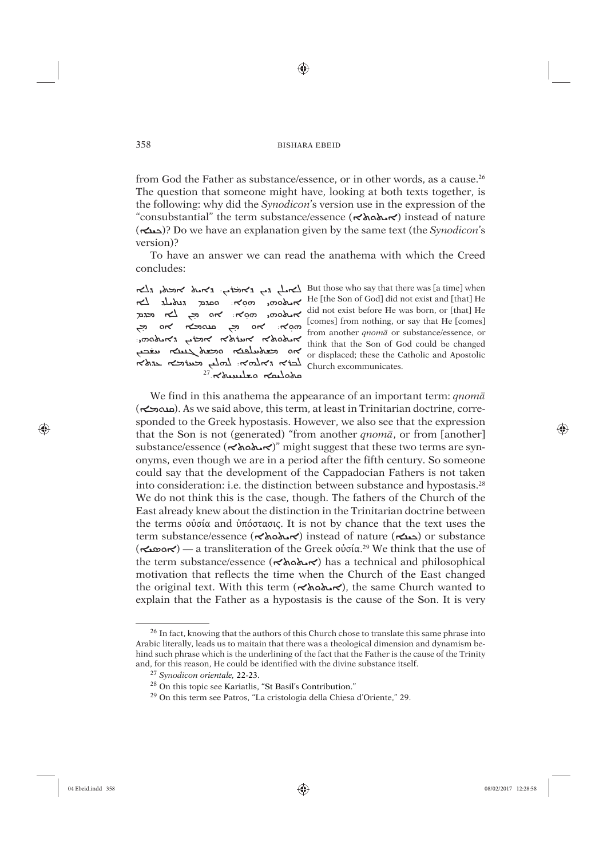⊕

from God the Father as substance/essence, or in other words, as a cause.<sup>26</sup> The question that someone might have, looking at both texts together, is the following: why did the *Synodicon*'s version use in the expression of the "consubstantial" the term substance/essence ( $\star\lambda$  $\circ\lambda\gamma$ ) instead of nature (ܐæÙÜ)? Do we have an explanation given by the same text (the *Synodicon*'s version)?

To have an answer we can read the anathema with which the Creed concludes:

֦֧֦֧֦֧֦֧֦֧֦֧ׅ֦֧ׅ֦֧ׅׅ֚֚֚֚֡֝֜֓֡֜֓֡֡֡֜֓֡֡֜֓֡֬ کت صح محمد مہ محمد بحوہ ہے۔<br>پروههای جامعہ کا جمعہ جمعہ ہے کہ ہم ֖֖֖֖֪ׅ֪ׅ֪֪ׅ֦֪֪֪ׅ֖֚֚֚֚֚֚֚֚֚֚֚֚֚֚֚֚֚֚֚֚֚֚֬֝֝֝֟֓֡ جدة محسكر كه عنه محسك محسب محسب محسك  $\frac{1}{27}$ האלוסאי גוולאי גדולא האלבא האלבא האלבא

ה האופליץ: גאטא אופא, גלא But those who say that there was [a time] when He [the Son of God] did not exist and [that] He جمعه معرض موجع أن معده معده المعاملة ons הא פנגע did not exist before He was born, or [that] He did not exist before He was born, or [that] He [comes] from nothing, or say that He [comes] from another *qnomâ* or substance/essence, or think that the Son of God could be changed or displaced; these the Catholic and Apostolic Church excommunicates.

We find in this anathema the appearance of an important term: *qnomâ* (ܐĆâÍæø). As we said above, this term, at least in Trinitarian doctrine, corresponded to the Greek hypostasis. However, we also see that the expression that the Son is not (generated) "from another *qnomâ*, or from [another] substance/essence ( $\prec$ *kolax*)" might suggest that these two terms are synonyms, even though we are in a period after the fifth century. So someone could say that the development of the Cappadocian Fathers is not taken into consideration: i.e. the distinction between substance and hypostasis.28 We do not think this is the case, though. The fathers of the Church of the East already knew about the distinction in the Trinitarian doctrine between the terms οὐσία and ὑπόστασις. It is not by chance that the text uses the term substance/essence ( $\sim \lambda_0 \lambda_1$ ) instead of nature (حدم) or substance (ܐÙèܐܘ — (a transliteration of the Greek οὐσία. 29 We think that the use of the term substance/essence ( $\forall \lambda$ a $\forall \lambda$ ) has a technical and philosophical motivation that reflects the time when the Church of the East changed the original text. With this term ( $\forall \lambda \circ \lambda \circ \land \neg$ ), the same Church wanted to explain that the Father as a hypostasis is the cause of the Son. It is very

⊕

<sup>&</sup>lt;sup>26</sup> In fact, knowing that the authors of this Church chose to translate this same phrase into Arabic literally, leads us to maitain that there was a theological dimension and dynamism behind such phrase which is the underlining of the fact that the Father is the cause of the Trinity and, for this reason, He could be identified with the divine substance itself.

<sup>27</sup> *Synodicon orientale,* 22-23.

<sup>28</sup> On this topic see Kariatlis, "St Basil's Contribution."

<sup>29</sup> On this term see Patros, "La cristologia della Chiesa d'Oriente," 29.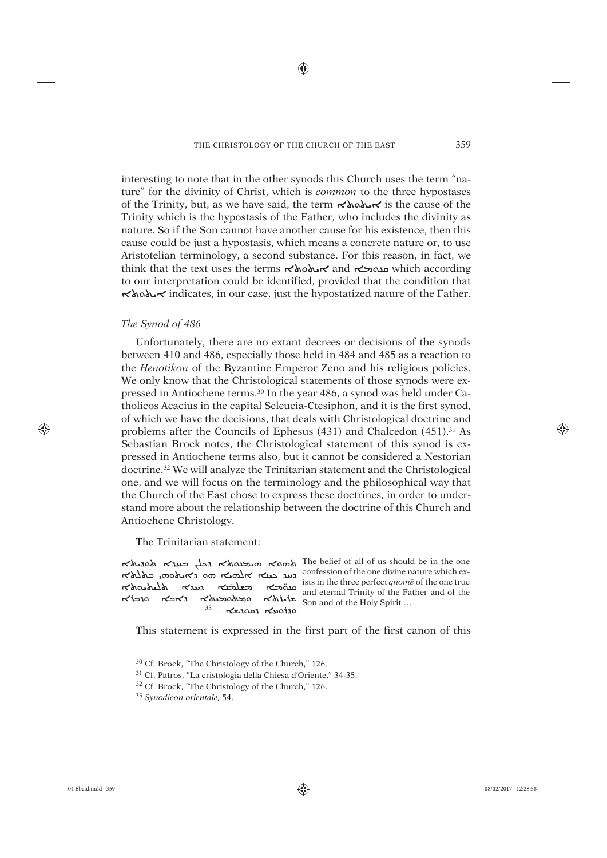♠

interesting to note that in the other synods this Church uses the term "nature" for the divinity of Christ, which is *common* to the three hypostases of the Trinity, but, as we have said, the term  $\prec \land \land \land \lor \prec$  is the cause of the Trinity which is the hypostasis of the Father, who includes the divinity as nature. So if the Son cannot have another cause for his existence, then this cause could be just a hypostasis, which means a concrete nature or, to use Aristotelian terminology, a second substance. For this reason, in fact, we think that the text uses the terms  $\prec \lambda_0 \lambda_1 \prec \lambda_2$  and  $\sim \lambda_3$  which according to our interpretation could be identified, provided that the condition that ܘܬܐÿØܐ indicates, in our case, just the hypostatized nature of the Father.

# *The Synod of 486*

Unfortunately, there are no extant decrees or decisions of the synods between 410 and 486, especially those held in 484 and 485 as a reaction to the *Henotikon* of the Byzantine Emperor Zeno and his religious policies. We only know that the Christological statements of those synods were expressed in Antiochene terms.30 In the year 486, a synod was held under Catholicos Acacius in the capital Seleucia-Ctesiphon, and it is the first synod, of which we have the decisions, that deals with Christological doctrine and problems after the Councils of Ephesus  $(431)$  and Chalcedon  $(451).^{31}$  As Sebastian Brock notes, the Christological statement of this synod is expressed in Antiochene terms also, but it cannot be considered a Nestorian doctrine.32 We will analyze the Trinitarian statement and the Christological one, and we will focus on the terminology and the philosophical way that the Church of the East chose to express these doctrines, in order to understand more about the relationship between the doctrine of this Church and Antiochene Christology.

The Trinitarian statement:

הנאה הל בענדה הלא הא השבטאלא גבל בענדה לסהיל ֖֖֦֦֖֧֧֧֧֧֚֚֚֚֚֚֚֚֚֚֡֝֝֬֝֓֕֓֡֝֓֝֬֝֬֝֓֬֝֬֝֓֬֝֓֝֬֝֓֬֝֬֝֓֬֝֓֝֬֝֬֝֬֝֬֝֬ הושה הסופה השלבה המלא השלבה בשא הסופה השלבה השלבה המלא היה השלבה המלא היה השלבה המלא היה השלבה המלא היה היה ה<br>and eternal Trinity of the Eather and of the ̈אלטארא געבובטא געגדא ואלטאלא<br>שנלוא'א סבאספעולא ג'אכא סגבו'א<br>סגוסעא גםסגשא ...<sup>33</sup>

ists in the three perfect *qnomê* of the one true and eternal Trinity of the Father and of the  $\kappa$ divit  $\sum_{n=1}^{\infty}$  Son and of the Holy Spirit ...

This statement is expressed in the first part of the first canon of this

⊕

<sup>30</sup> Cf. Brock, "The Christology of the Church," 126.

<sup>31</sup> Cf. Patros, "La cristologia della Chiesa d'Oriente," 34-35.

<sup>32</sup> Cf. Brock, "The Christology of the Church," 126.

<sup>33</sup> *Synodicon orientale,* 54.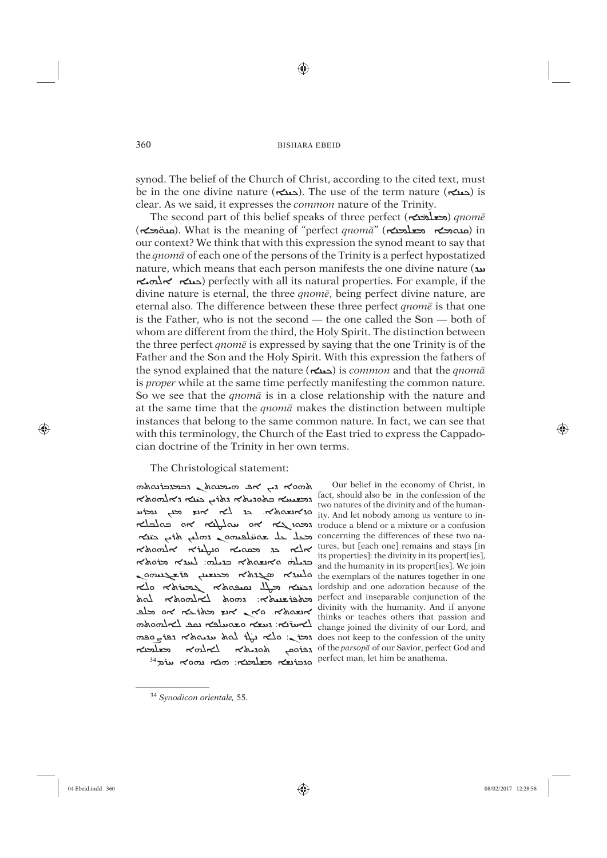⊕

synod. The belief of the Church of Christ, according to the cited text, must be in the one divine nature (حمد). The use of the term nature (حمد) is clear. As we said, it expresses the *common* nature of the Trinity.

<del>معلمت</del>ن) *qnomē* (محلقت) *anomē* mature of the Trinty. ̈ Ćâܐ) Íæø). What is the meaning of "perfect *qnomâ*" (ܐæãàýâ ܐĆâÍæø) in our context? We think that with this expression the synod meant to say that the *qnomâ* of each one of the persons of the Trinity is a perfect hypostatized nature, which means that each person manifests the one divine nature ( $\mu$ ܐØÌßܐ ܐæÙÜ) perfectly with all its natural properties. For example, if the divine nature is eternal, the three *qnomê*, being perfect divine nature, are eternal also. The difference between these three perfect *qnomê* is that one is the Father, who is not the second — the one called the Son — both of whom are different from the third, the Holy Spirit. The distinction between the three perfect *qnomê* is expressed by saying that the one Trinity is of the Father and the Son and the Holy Spirit. With this expression the fathers of the synod explained that the nature (ܐæÙÜ) is *common* and that the *qnomâ* is *proper* while at the same time perfectly manifesting the common nature. So we see that the *qnomâ* is in a close relationship with the nature and at the same time that the *qnomâ* makes the distinction between multiple instances that belong to the same common nature. In fact, we can see that with this terminology, the Church of the East tried to express the Cappadocian doctrine of the Trinity in her own terms.

The Christological statement:

 $m$ אפ האבעמאל גבמבובלומאמ rang also be in the confession of the confession of the confession of the confession of the hyper ונש השיר האנצראומים ity. And let nobody among us venture to in-Froduce a blend or a mixture or a confusion and troduce a blend or a mixture or a confusion oncerning the differences of these two na-<br>concerning the differences of these two na-הלאסמלה הלולאס הלא הלא ֺ֦֢֦֦֦֦֧֦֧֦֧֦֧֦֧֦֧֦֧ׅ֦֧֚֚֚֚֚֚֝֝֝֝֬֜֓֞֬֝֓֝ ده مكتبه مكارك السلام من ome exemplars of the natures together in one me exemptate of the matter orgenter in one perfect and inseparable conjunction of the burnerity And if opponent distinguish divinity with the humanity. And if anyone others that passion and or teachers there is the session and mhomled some the divinity of our Lord, and change joined the divinity of our Lord, and  $\frac{1}{2}$   $\frac{1}{2}$   $\frac{1}{2}$   $\frac{1}{2}$   $\frac{1}{2}$   $\frac{1}{2}$   $\frac{1}{2}$   $\frac{1}{2}$   $\frac{1}{2}$  change joined the divinity of our Lord, and  $\frac{1}{2}$   $\frac{1}{2}$   $\frac{1}{2}$   $\frac{1}{2}$   $\frac{1}{2}$   $\frac{1}{2}$   $\frac{1}{2}$   $\frac{1}{2}$   $\frac{1}{2$ anah הפוסם המלאה לאלחה לשלבו השלבו.<br>סוכונצא משלבוא: השלבות Perfect man, let him be anathema.

Our belief in the economy of Christ, in two natures of the divinity and of the humantures, but [each one] remains and stays [in its properties]: the divinity in its propert[ies], and the humanity in its propert[ies]. We join thinks or teaches others that passion and of the *parsopâ* of our Savior, perfect God and

⊕

<sup>34</sup> *Synodicon orientale,* 55.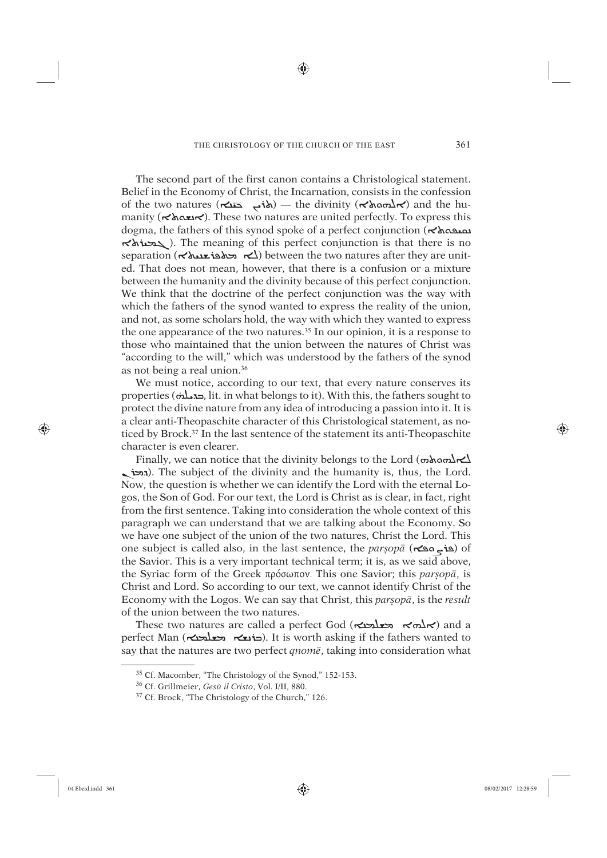⊕

The second part of the first canon contains a Christological statement. Belief in the Economy of Christ, the Incarnation, consists in the confession  $\vec{b}$  of the two natures ( $\vec{c}$   $\vec{b}$   $\rightarrow$  the divinity ( $\vec{c}$ λασ $\vec{b}$  $\vec{c}$ ) and the humanity ( $\forall \lambda \infty$ ). These two natures are united perfectly. To express this dogma, the fathers of this synod spoke of a perfect conjunction ( $\kappa$ אه  $\sim$   $\sim$   $\sim$   $\sim$   $\sim$   $\sim$  The meaning of this perfect conjunction is that there is no separation ( $\leq$ خه محلوف المحاسدة) between the two natures after they are united. That does not mean, however, that there is a confusion or a mixture between the humanity and the divinity because of this perfect conjunction. We think that the doctrine of the perfect conjunction was the way with which the fathers of the synod wanted to express the reality of the union, and not, as some scholars hold, the way with which they wanted to express the one appearance of the two natures.<sup>35</sup> In our opinion, it is a response to those who maintained that the union between the natures of Christ was "according to the will," which was understood by the fathers of the synod as not being a real union.36

We must notice, according to our text, that every nature conserves its http://we must holiec, according to our text, that every haldre conserves its<br>properties ( $\pi$ . it. in what belongs to it). With this, the fathers sought to protect the divine nature from any idea of introducing a passion into it. It is a clear anti-Theopaschite character of this Christological statement, as noticed by Brock.37 In the last sentence of the statement its anti-Theopaschite character is even clearer.

Finally, we can notice that the divinity belongs to the Lord  $(\omega \lambda \alpha \Delta \mathbf{K})$ גכל. The subject of the divinity and the humanity is, thus, the Lord. Now, the question is whether we can identify the Lord with the eternal Logos, the Son of God. For our text, the Lord is Christ as is clear, in fact, right from the first sentence. Taking into consideration the whole context of this paragraph we can understand that we are talking about the Economy. So we have one subject of the union of the two natures, Christ the Lord. This one subject is called also, in the last sentence, the *parúopâ* (ܐñܨܘûñ) of the Savior. This is a very important technical term; it is, as we said above, the Syriac form of the Greek πρόσωπον. This one Savior; this *parsopā*, is Christ and Lord. So according to our text, we cannot identify Christ of the Economy with the Logos. We can say that Christ, this *parsop*<sub>*ā*</sub>, is the *result* of the union between the two natures.

These two natures are called a perfect God (ܐܠܗܐ (ܐܠܗܐ (ܐܠܗܐ  $\epsilon$ perfect Man (הוצא השלבה). It is worth asking if the fathers wanted to say that the natures are two perfect *qnomê*, taking into consideration what

⊕

<sup>35</sup> Cf. Macomber, "The Christology of the Synod," 152-153.

<sup>36</sup> Cf. Grillmeier, *Gesù il Cristo*, Vol. I/II, 880.

<sup>37</sup> Cf. Brock, "The Christology of the Church," 126.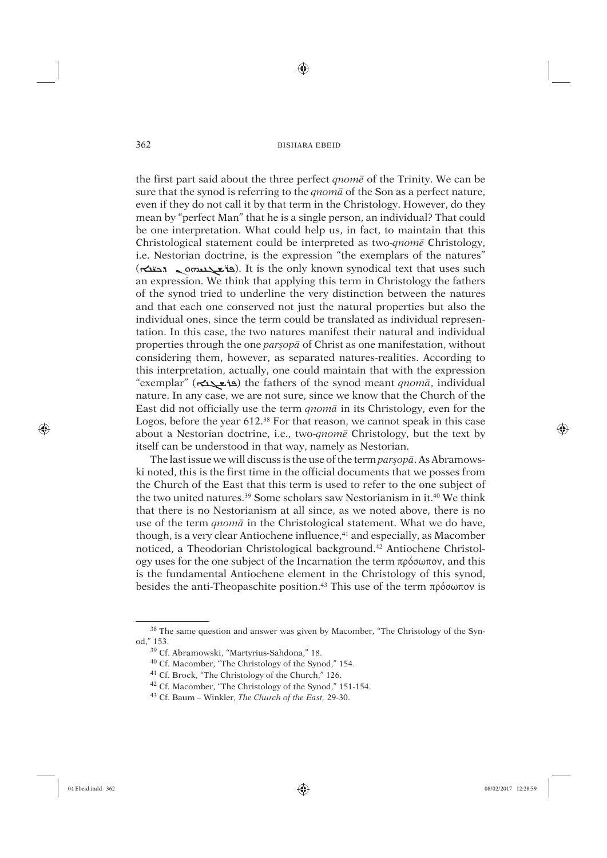⊕

the first part said about the three perfect *qnomê* of the Trinity. We can be sure that the synod is referring to the *qnomâ* of the Son as a perfect nature, even if they do not call it by that term in the Christology. However, do they mean by "perfect Man" that he is a single person, an individual? That could be one interpretation. What could help us, in fact, to maintain that this Christological statement could be interpreted as two-*qnomê* Christology, i.e. Nestorian doctrine, is the expression "the exemplars of the natures" تصدر مستقدمة المستقدمة المستقدمة المستقدمة المستقدمة المستقدمة بالمستقدمة المستقدمة بالمستقدمة (Cali only know<br>(Cali distribution synodical text that uses such an expression. We think that applying this term in Christology the fathers of the synod tried to underline the very distinction between the natures and that each one conserved not just the natural properties but also the individual ones, since the term could be translated as individual representation. In this case, the two natures manifest their natural and individual properties through the one *par<sub>s</sub>op*<sup> $\bar{a}$ </sup> of Christ as one manifestation, without considering them, however, as separated natures-realities. According to this interpretation, actually, one could maintain that with the expression "exemplar" (ܐæܓüûñ) the fathers of the synod meant *qnomâ*, individual nature. In any case, we are not sure, since we know that the Church of the East did not officially use the term *qnomâ* in its Christology, even for the Logos, before the year 612.38 For that reason, we cannot speak in this case about a Nestorian doctrine, i.e., two-*qnomê* Christology, but the text by itself can be understood in that way, namely as Nestorian.

The last issue we will discuss is the use of the term *parsopa*. As Abramowski noted, this is the first time in the official documents that we posses from the Church of the East that this term is used to refer to the one subject of the two united natures.<sup>39</sup> Some scholars saw Nestorianism in it.<sup>40</sup> We think that there is no Nestorianism at all since, as we noted above, there is no use of the term *qnomâ* in the Christological statement. What we do have, though, is a very clear Antiochene influence,<sup>41</sup> and especially, as Macomber noticed, a Theodorian Christological background.42 Antiochene Christology uses for the one subject of the Incarnation the term πρόσωπον, and this is the fundamental Antiochene element in the Christology of this synod, besides the anti-Theopaschite position.<sup>43</sup> This use of the term πρόσωπον is

⊕

<sup>&</sup>lt;sup>38</sup> The same question and answer was given by Macomber, "The Christology of the Synod," 153.

<sup>39</sup> Cf. Abramowski, "Martyrius-Sahdona," 18.

<sup>40</sup> Cf. Macomber, "The Christology of the Synod," 154.

<sup>41</sup> Cf. Brock, "The Christology of the Church," 126.

<sup>42</sup> Cf. Macomber, "The Christology of the Synod," 151-154.

<sup>43</sup> Cf. Baum – Winkler, *The Church of the East,* 29-30.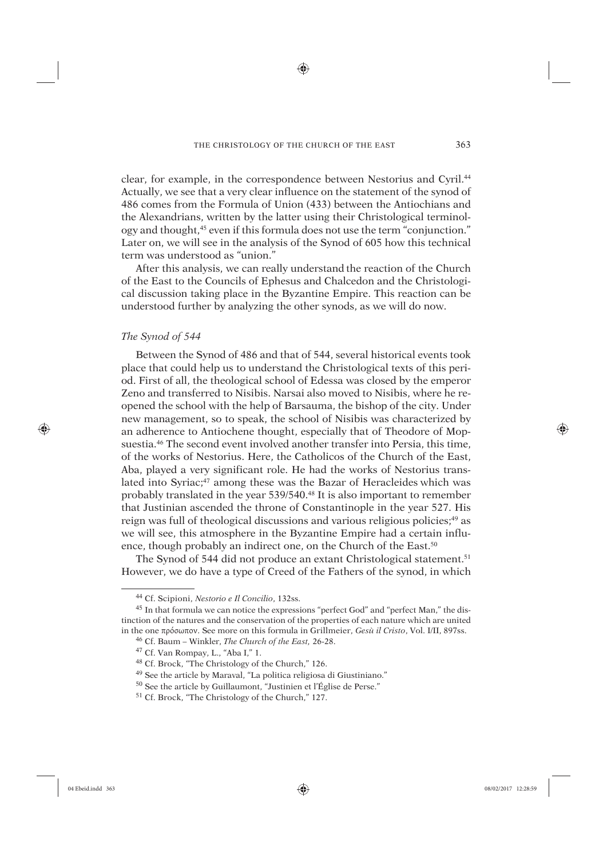♠

clear, for example, in the correspondence between Nestorius and Cyril.44 Actually, we see that a very clear influence on the statement of the synod of 486 comes from the Formula of Union (433) between the Antiochians and the Alexandrians, written by the latter using their Christological terminology and thought,45 even if this formula does not use the term "conjunction." Later on, we will see in the analysis of the Synod of 605 how this technical term was understood as "union."

After this analysis, we can really understand the reaction of the Church of the East to the Councils of Ephesus and Chalcedon and the Christological discussion taking place in the Byzantine Empire. This reaction can be understood further by analyzing the other synods, as we will do now.

# *The Synod of 544*

Between the Synod of 486 and that of 544, several historical events took place that could help us to understand the Christological texts of this period. First of all, the theological school of Edessa was closed by the emperor Zeno and transferred to Nisibis. Narsai also moved to Nisibis, where he reopened the school with the help of Barsauma, the bishop of the city. Under new management, so to speak, the school of Nisibis was characterized by an adherence to Antiochene thought, especially that of Theodore of Mopsuestia.46 The second event involved another transfer into Persia, this time, of the works of Nestorius. Here, the Catholicos of the Church of the East, Aba, played a very significant role. He had the works of Nestorius translated into Syriac;<sup>47</sup> among these was the Bazar of Heracleides which was probably translated in the year 539/540.<sup>48</sup> It is also important to remember that Justinian ascended the throne of Constantinople in the year 527. His reign was full of theological discussions and various religious policies;<sup>49</sup> as we will see, this atmosphere in the Byzantine Empire had a certain influence, though probably an indirect one, on the Church of the East.<sup>50</sup>

The Synod of 544 did not produce an extant Christological statement.<sup>51</sup> However, we do have a type of Creed of the Fathers of the synod, in which

⊕

<sup>44</sup> Cf. Scipioni, *Nestorio e Il Concilio*, 132ss.

<sup>45</sup> In that formula we can notice the expressions "perfect God" and "perfect Man," the distinction of the natures and the conservation of the properties of each nature which are united in the one πρόσωπον. See more on this formula in Grillmeier, *Gesù il Cristo*, Vol. I/II, 897ss.

<sup>46</sup> Cf. Baum – Winkler, *The Church of the East,* 26-28.

<sup>47</sup> Cf. Van Rompay, L., "Aba I," 1.

<sup>48</sup> Cf. Brock, "The Christology of the Church," 126.

<sup>49</sup> See the article by Maraval, "La politica religiosa di Giustiniano."

<sup>50</sup> See the article by Guillaumont, "Justinien et l'Église de Perse."

<sup>51</sup> Cf. Brock, "The Christology of the Church," 127.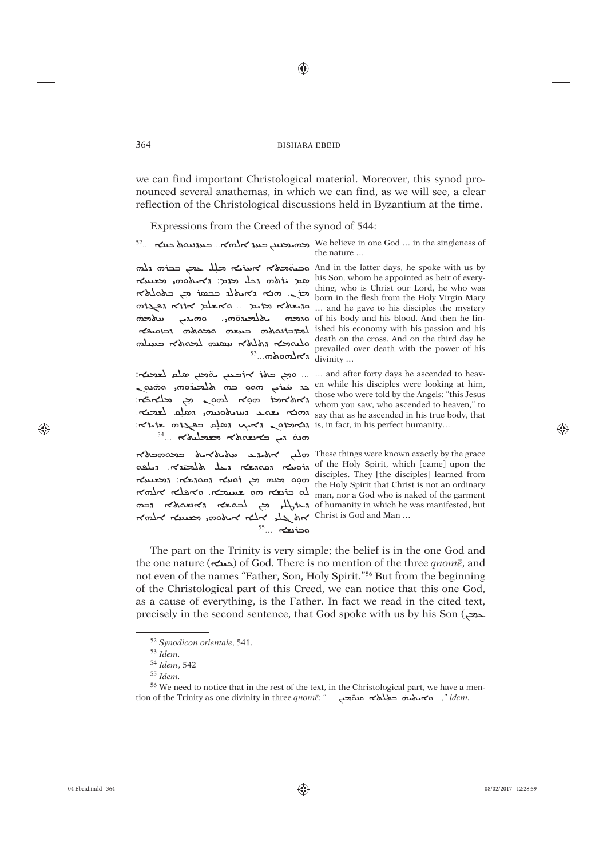⊕

we can find important Christological material. Moreover, this synod pronounced several anathemas, in which we can find, as we will see, a clear reflection of the Christological discussions held in Byzantium at the time.

Expressions from the Creed of the synod of 544:

<sup>52</sup>... בענגעס אלמא... בענגעס We believe in one God ... in the singleness of the nature ...

and in the latter days, he spoke with us by ובשהתארא אשו בא בלוח הוא האום הא his Son, whom he appointed as heir of every<br>his Son, whom he appointed as heir of every-<br>hing, who is Christ our Lord, he who was<br>born in the flesh from the Holy Virgin Mary<br>an Kink born in the flesh from the Holy Virgin سلامحنه הכוסיפא shed his economy with his passion and his

-and after forty days he ascended to heav ... ... and after forty days he ascended to heav en while his disciples were looking at him,  $\frac{1}{2}$  those who were told by the Angels: "this Jesus<br>in  $\frac{1}{2}$  can  $\frac{1}{2}$   $\frac{1}{2}$  those who were told by the Angels: "this Jesus" המו השלם לצרבה השלם לשרבה החוצא בא בא המו המו לשרבה לשרבה  $\mathbf{r}$  aix $\mathbf{r}$  is, in fact, in his perfect humanity...  $54...$   $\kappa$ *belence*  $\kappa$ *barre en am* 

<sub>פ</sub> התכרה of his body and his blood. And then he fin- $\frac{1}{\sqrt{2}}$  death on the cross. And on the third day he death with the power of his

ה הל הלבודה המושב המושב הל הלא המושב הל הלא התלבודה החלבות הא The state of the Holy Spirit that Christ is not an ordinary r of humanity in which he was manifested, but  $\mathcal{L}_{\mathcal{P}}$  محاسب معدم من ar which he was manifested, but would remember and Man ...  $55...$  révies

These things were known exactly by the grace move exactly by the grace

The part on the Trinity is very simple; the belief is in the one God and the one nature ( $\sum$ دملکه) of God. There is no mention of the three *gnome*, and not even of the names "Father, Son, Holy Spirit."<sup>56</sup> But from the beginning of the Christological part of this Creed, we can notice that this one God, as a cause of everything, is the Father. In fact we read in the cited text, precisely in the second sentence, that God spoke with us by his Son (حمد

364

⊕

<sup>&</sup>lt;sup>52</sup> Synodicon orientale, 541.

 $^{53}$  Idem.

<sup>&</sup>lt;sup>54</sup> Idem, 542

 $^{55}$  Idem.

<sup>&</sup>lt;sup>56</sup> We need to notice that in the rest of the text, in the Christological part, we have a mention of the Trinity as one divinity in three qnome: "... a makes and which as media in the quante: "... a makes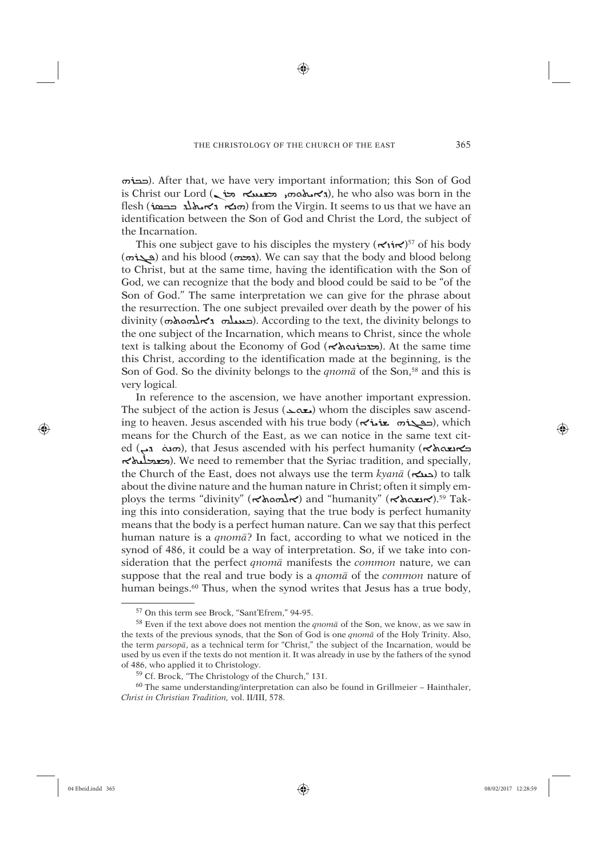♠

ܗûܒܒ(. After that, we have very important information; this Son of God is Christ our Lord (גאט הסמו, השנטא האסמו, he who also was born in the flesh (הנא גאנאג בכסו) from the Virgin. It seems to us that we have an identification between the Son of God and Christ the Lord, the subject of the Incarnation.

This one subject gave to his disciples the mystery  $({\bf \times i \cdot \times})^{57}$  of his body  $(\omega)$  and his blood (*ה*כה). We can say that the body and blood belong to Christ, but at the same time, having the identification with the Son of God, we can recognize that the body and blood could be said to be "of the Son of God." The same interpretation we can give for the phrase about the resurrection. The one subject prevailed over death by the power of his  $\dim$ ( $\dim_{\mathbb{R}}$ صدیلہ  $\kappa$ ،  $\dim_{\mathbb{R}}$ ). According to the text, the divinity belongs to the one subject of the Incarnation, which means to Christ, since the whole text is talking about the Economy of God (הכונא לא). At the same time this Christ, according to the identification made at the beginning, is the Son of God. So the divinity belongs to the *qnom*<sup> $\bar{a}$ </sup> of the Son,<sup>58</sup> and this is very logical.

In reference to the ascension, we have another important expression. The subject of the action is Jesus (دهمد) whom the disciples saw ascending to heaven. Jesus ascended with his true body (حقيقة بنامج), which means for the Church of the East, as we can notice in the same text cited (جهت الله السلام), that Jesus ascended with his perfect humanity ( $\kappa$ همة الشام), that Jesus ascended with his perfect humanity ܐÿÙàãýâ). We need to remember that the Syriac tradition, and specially, the Church of the East, does not always use the term *kyanā* (ܐæܢܐ) to talk about the divine nature and the human nature in Christ; often it simply employs the terms "divinity" (ܐܐܘܘܐܐ) and "humanity" (ܐܝܐܐܐ).<sup>59</sup> Taking this into consideration, saying that the true body is perfect humanity means that the body is a perfect human nature. Can we say that this perfect human nature is a *qnomâ*? In fact, according to what we noticed in the synod of 486, it could be a way of interpretation. So, if we take into consideration that the perfect *qnomâ* manifests the *common* nature, we can suppose that the real and true body is a *qnomâ* of the *common* nature of human beings.<sup>60</sup> Thus, when the synod writes that Jesus has a true body,

⊕

<sup>57</sup> On this term see Brock, "Sant'Efrem," 94-95.

<sup>58</sup> Even if the text above does not mention the *qnomâ* of the Son, we know, as we saw in the texts of the previous synods, that the Son of God is one *qnomâ* of the Holy Trinity. Also, the term *parsopâ*, as a technical term for "Christ," the subject of the Incarnation, would be used by us even if the texts do not mention it. It was already in use by the fathers of the synod of 486, who applied it to Christology.

<sup>59</sup> Cf. Brock, "The Christology of the Church," 131.

 $60$  The same understanding/interpretation can also be found in Grillmeier – Hainthaler, *Christ in Christian Tradition,* vol. II/III, 578.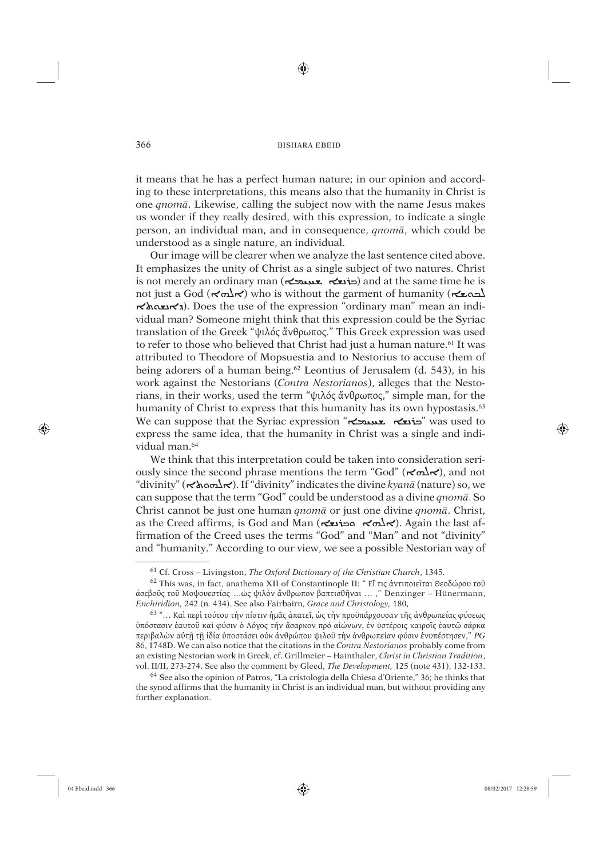⊕

it means that he has a perfect human nature; in our opinion and according to these interpretations, this means also that the humanity in Christ is one *qnomâ*. Likewise, calling the subject now with the name Jesus makes us wonder if they really desired, with this expression, to indicate a single person, an individual man, and in consequence, *qnomâ*, which could be understood as a single nature, an individual.

Our image will be clearer when we analyze the last sentence cited above. It emphasizes the unity of Christ as a single subject of two natures. Christ is not merely an ordinary man (حذابه جمعیدیت) and at the same time he is not just a God (ܐܠܬܐ) who is without the garment of humanity (ܐܠܣܐ) האנשיאלא). Does the use of the expression "ordinary man" mean an individual man? Someone might think that this expression could be the Syriac translation of the Greek "ψιλός ἄνθρωπος." This Greek expression was used to refer to those who believed that Christ had just a human nature.<sup>61</sup> It was attributed to Theodore of Mopsuestia and to Nestorius to accuse them of being adorers of a human being.62 Leontius of Jerusalem (d. 543), in his work against the Nestorians (*Contra Nestorianos*), alleges that the Nestorians, in their works, used the term "ψιλός ἄνθρωπος," simple man, for the humanity of Christ to express that this humanity has its own hypostasis.<sup>63</sup> We can suppose that the Syriac expression "حذيع سميحك" was used to express the same idea, that the humanity in Christ was a single and individual man.<sup>64</sup>

We think that this interpretation could be taken into consideration seriously since the second phrase mentions the term "God" ( $\prec \neg \neg \neg \neg \neg$ ), and not "divinity" (ܘܬܐÌßܐ(. If "divinity" indicates the divine *kyanâ* (nature) so, we can suppose that the term "God" could be understood as a divine *qnomâ*. So Christ cannot be just one human *qnomâ* or just one divine *qnomâ*. Christ, as the Creed affirms, is God and Man (ܐܪܘܐ ܘܒܪܢܫܐ). Again the last affirmation of the Creed uses the terms "God" and "Man" and not "divinity" and "humanity." According to our view, we see a possible Nestorian way of

⊕

<sup>61</sup> Cf. Cross – Livingston, *The Oxford Dictionary of the Christian Church*, 1345.

<sup>62</sup> This was, in fact, anathema XII of Constantinople II: " Εἴ τις ἀντιποιεῖται Θεοδώρου τοῦ ἀσεβοῦς τοῦ Μοψουεστίας …ὡς ψιλὸν ἄνθρωπον βαπτισθῆναι … ," Denzinger – Hünermann, *Enchiridion,* 242 (n. 434). See also Fairbairn, *Grace and Christology,* 180,

<sup>63 &</sup>quot;… Καὶ περὶ τούτου τὴν πίστιν ἡμᾶς ἀπατεῖ, ὡς τὴν προϋπάρχουσαν τῆς ἀνθρωπείας φύσεως ὑπόστασιν ἑαυτοῦ καὶ φύσιν ὁ Λόγος τήν ἅσαρκον πρό αἰώνων, ἐν ὑστέροις καιροῖς ἐαυτῷ σάρκα περιβαλὼν αὐτῇ τῇ ἰδία ὑποστάσει οὐκ ἀνθρώπου ψιλοῦ τὴν ἀνθρωπείαν φύσιν ἐνυπέστησεν," *PG* 86, 1748D. We can also notice that the citations in the *Contra Nestorianos* probably come from an existing Nestorian work in Greek, cf. Grillmeier – Hainthaler, *Christ in Christian Tradition*, vol. II/II, 273-274. See also the comment by Gleed, *The Development,* 125 (note 431), 132-133.

<sup>64</sup> See also the opinion of Patros, "La cristologia della Chiesa d'Oriente," 36; he thinks that the synod affirms that the humanity in Christ is an individual man, but without providing any further explanation.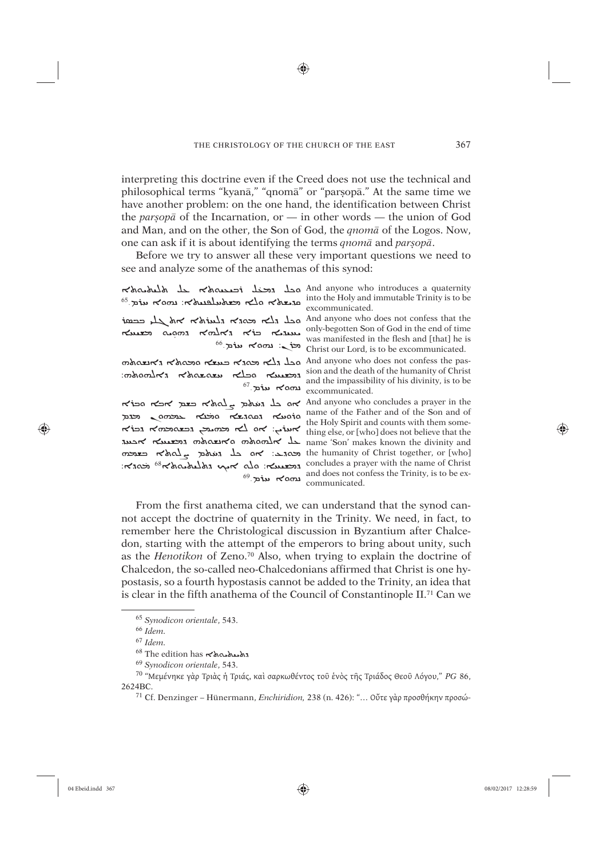◈

interpreting this doctrine even if the Creed does not use the technical and philosophical terms "kyanā," "qnomā" or "parșopā." At the same time we have another problem: on the one hand, the identification between Christ the *par*<sub>s</sub> $op\bar{a}$  of the Incarnation, or — in other words — the union of God and Man, and on the other, the Son of God, the *qnomâ* of the Logos. Now, one can ask if it is about identifying the terms *qnomâ* and *parúopâ*.

Before we try to answer all these very important questions we need to see and analyze some of the anathemas of this synod:

| محل محنل أصعمها على الملعظمة<br>$^{65}$ שלא הלא השלעלבנואלא: נמסא עוֹת ה                                                                                                                       | And anyone who introduces a quaternity<br>into the Holy and immutable Trinity is to be<br>excommunicated.                                                                                                                                                                    |
|------------------------------------------------------------------------------------------------------------------------------------------------------------------------------------------------|------------------------------------------------------------------------------------------------------------------------------------------------------------------------------------------------------------------------------------------------------------------------------|
| $\frac{1}{2}$ and $\frac{1}{2}$ and $\frac{1}{2}$ and $\frac{1}{2}$ and $\frac{1}{2}$<br>mus agos kolks kip kuu<br>$66.$ piu $500$                                                             | And anyone who does not confess that the<br>only-begotten Son of God in the end of time<br>was manifested in the flesh and [that] he is<br>Christ our Lord, is to be excommunicated.                                                                                         |
| mondri ronazazo rlog russo<br>$^{67}$ שלמ <sup>-67</sup>                                                                                                                                       | And anyone who does not confess the pas-<br>sion and the death of the humanity of Christ<br>and the impassibility of his divinity, is to be<br>excommunicated.                                                                                                               |
| אס בל געולם באלא כצם אכא סכודא<br>projo compas noid de ranos resor<br>א $i$ ים: אם לא וכחתה הכישה הכולא<br>war runes moderno moder de<br>$\cos z$ $\cos z$ $\cos z$ $\sin z$ $\cos z$ $\cos z$ | And anyone who concludes a prayer in the<br>name of the Father and of the Son and of<br>the Holy Spirit and counts with them some-<br>thing else, or [who] does not believe that the<br>name 'Son' makes known the divinity and<br>the humanity of Christ together, or [who] |
| המשטא: חלם איני מלחקומים ומודאז: המגדה:<br>$^{69}$ נמסא עוֹם                                                                                                                                   | concludes a prayer with the name of Christ<br>and does not confess the Trinity, is to be ex-<br>communicated.                                                                                                                                                                |

From the first anathema cited, we can understand that the synod cannot accept the doctrine of quaternity in the Trinity. We need, in fact, to remember here the Christological discussion in Byzantium after Chalcedon, starting with the attempt of the emperors to bring about unity, such as the *Henotikon* of Zeno.70 Also, when trying to explain the doctrine of Chalcedon, the so-called neo-Chalcedonians affirmed that Christ is one hypostasis, so a fourth hypostasis cannot be added to the Trinity, an idea that is clear in the fifth anathema of the Council of Constantinople II.71 Can we

⊕

<sup>65</sup> *Synodicon orientale*, 543.

<sup>66</sup> *Idem.*

<sup>67</sup> *Idem.*

<sup>68</sup> The edition has  $\lt \$ 

<sup>69</sup> *Synodicon orientale*, 543.

<sup>70 &</sup>quot;Μεμένηκε γὰρ Τριὰς ἡ Τριάς, καὶ σαρκωθέντος τοῦ ἑνὸς τῆς Τριάδος Θεοῦ Λόγου," *PG* 86, 2624BC.

<sup>71</sup> Cf. Denzinger – Hünermann, *Enchiridion,* 238 (n. 426): "… Οὔτε γὰρ προσθήκην προσώ-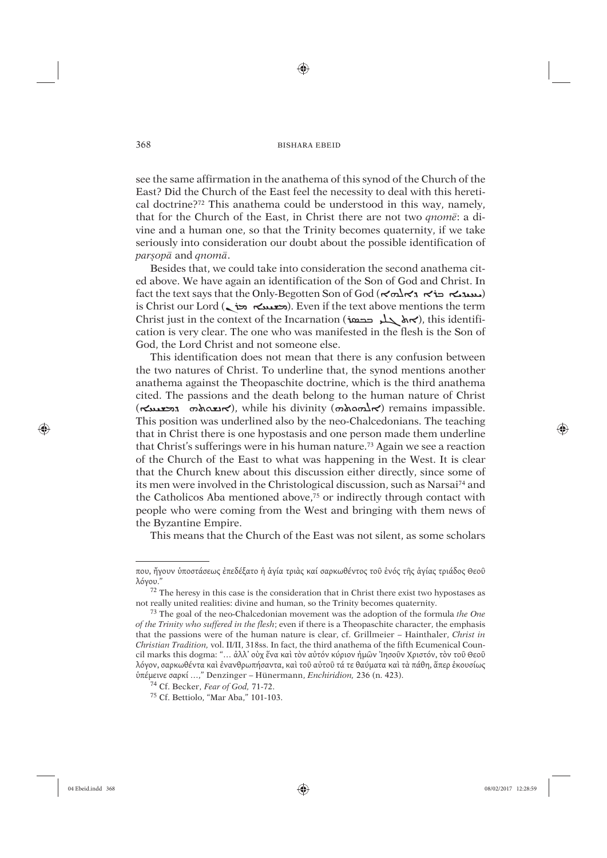⊕

see the same affirmation in the anathema of this synod of the Church of the East? Did the Church of the East feel the necessity to deal with this heretical doctrine?72 This anathema could be understood in this way, namely, that for the Church of the East, in Christ there are not two *qnomê*: a divine and a human one, so that the Trinity becomes quaternity, if we take seriously into consideration our doubt about the possible identification of *parúopâ* and *qnomâ*.

Besides that, we could take into consideration the second anathema cited above. We have again an identification of the Son of God and Christ. In fact the text says that the Only-Begotten Son of God (ܐܠܗܐ ܒܪܐ ܕܐܠܘܐ ܒܪܐ ܐ is Christ our Lord (محمد هند). Even if the text above mentions the term Christ just in the context of the Incarnation (حدمة), this identification is very clear. The one who was manifested in the flesh is the Son of God, the Lord Christ and not someone else.

This identification does not mean that there is any confusion between the two natures of Christ. To underline that, the synod mentions another anathema against the Theopaschite doctrine, which is the third anathema cited. The passions and the death belong to the human nature of Christ  $(\kappa_{\text{max}})$   $\kappa_{\text{max}}$ , while his divinity  $(\sigma_{\text{down}})$  remains impassible. This position was underlined also by the neo-Chalcedonians. The teaching that in Christ there is one hypostasis and one person made them underline that Christ's sufferings were in his human nature.73 Again we see a reaction of the Church of the East to what was happening in the West. It is clear that the Church knew about this discussion either directly, since some of its men were involved in the Christological discussion, such as Narsai74 and the Catholicos Aba mentioned above,75 or indirectly through contact with people who were coming from the West and bringing with them news of the Byzantine Empire.

This means that the Church of the East was not silent, as some scholars

75 Cf. Bettiolo, "Mar Aba," 101-103.

⊕

που, ἤγουν ὑποστάσεως ἐπεδέξατο ἡ ἁγία τριὰς καί σαρκωθέντος τοῦ ἑνός τῆς ἁγίας τριάδος Θεοῦ λόγου."

<sup>72</sup> The heresy in this case is the consideration that in Christ there exist two hypostases as not really united realities: divine and human, so the Trinity becomes quaternity.

<sup>73</sup> The goal of the neo-Chalcedonian movement was the adoption of the formula *the One of the Trinity who suffered in the flesh*; even if there is a Theopaschite character, the emphasis that the passions were of the human nature is clear, cf. Grillmeier – Hainthaler, *Christ in Christian Tradition,* vol. II/II, 318ss. In fact, the third anathema of the fifth Ecumenical Council marks this dogma: "… ἀλλ' οὺχ ἕνα καὶ τὸν αὐτόν κύριον ἠμῶν Ἰησοῦν Χριστόν, τὸν τοῦ Θεοῦ λόγον, σαρκωθέντα καὶ ἐνανθρωπήσαντα, καὶ τοῦ αὐτοῦ τά τε θαύματα καὶ τὰ πάθη, ἅπερ ἑκουσίως ὑπέμεινε σαρκί …," Denzinger – Hünermann, *Enchiridion,* 236 (n. 423).

<sup>74</sup> Cf. Becker, *Fear of God,* 71-72.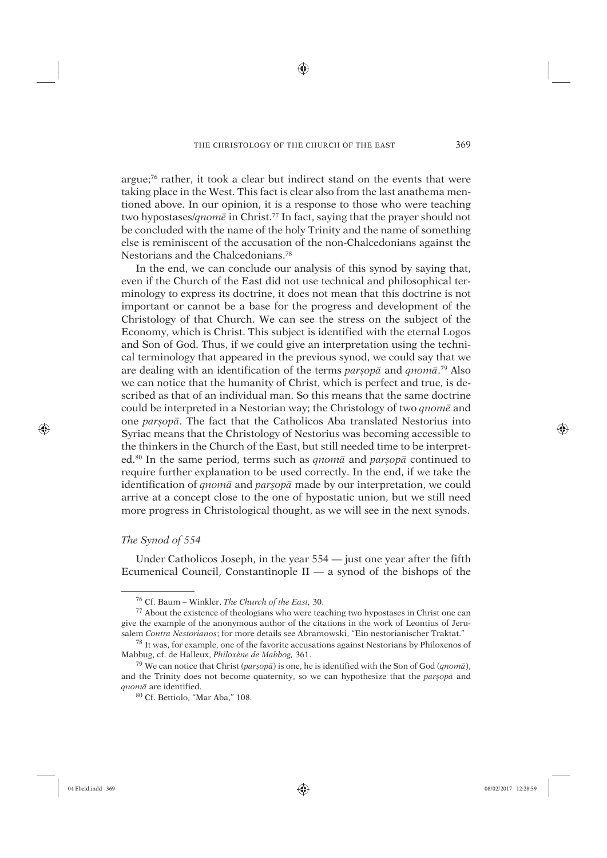♠

argue;76 rather, it took a clear but indirect stand on the events that were taking place in the West. This fact is clear also from the last anathema mentioned above. In our opinion, it is a response to those who were teaching two hypostases/*qnomê* in Christ.77 In fact, saying that the prayer should not be concluded with the name of the holy Trinity and the name of something else is reminiscent of the accusation of the non-Chalcedonians against the Nestorians and the Chalcedonians.78

In the end, we can conclude our analysis of this synod by saying that, even if the Church of the East did not use technical and philosophical terminology to express its doctrine, it does not mean that this doctrine is not important or cannot be a base for the progress and development of the Christology of that Church. We can see the stress on the subject of the Economy, which is Christ. This subject is identified with the eternal Logos and Son of God. Thus, if we could give an interpretation using the technical terminology that appeared in the previous synod, we could say that we are dealing with an identification of the terms *parúopâ* and *qnomâ*. 79 Also we can notice that the humanity of Christ, which is perfect and true, is described as that of an individual man. So this means that the same doctrine could be interpreted in a Nestorian way; the Christology of two *qnomê* and one *parúopâ*. The fact that the Catholicos Aba translated Nestorius into Syriac means that the Christology of Nestorius was becoming accessible to the thinkers in the Church of the East, but still needed time to be interpreted.80 In the same period, terms such as *qnomâ* and *parúopâ* continued to require further explanation to be used correctly. In the end, if we take the identification of *qnomâ* and *parúopâ* made by our interpretation, we could arrive at a concept close to the one of hypostatic union, but we still need more progress in Christological thought, as we will see in the next synods.

# *The Synod of 554*

Under Catholicos Joseph, in the year 554 — just one year after the fifth Ecumenical Council, Constantinople  $II - a$  synod of the bishops of the

⊕

<sup>76</sup> Cf. Baum – Winkler, *The Church of the East,* 30.

<sup>77</sup> About the existence of theologians who were teaching two hypostases in Christ one can give the example of the anonymous author of the citations in the work of Leontius of Jerusalem *Contra Nestorianos*; for more details see Abramowski, "Ein nestorianischer Traktat."

<sup>78</sup> It was, for example, one of the favorite accusations against Nestorians by Philoxenos of Mabbug, cf. de Halleux, *Philoxène de Mabbog,* 361.

<sup>79</sup> We can notice that Christ (*parúopâ*) is one, he is identified with the Son of God (*qnomâ*), and the Trinity does not become quaternity, so we can hypothesize that the *parúopâ* and *qnomâ* are identified.

<sup>80</sup> Cf. Bettiolo, "Mar Aba," 108.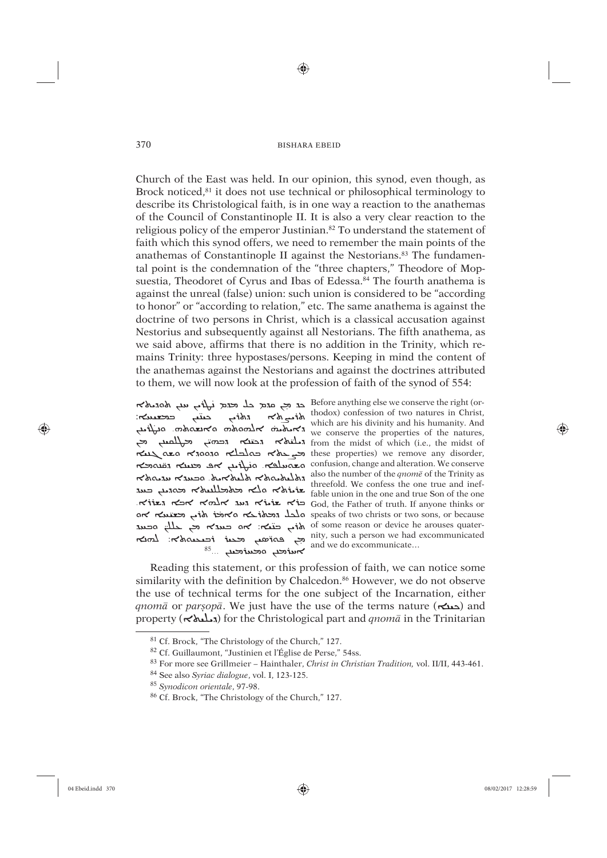⊕

Church of the East was held. In our opinion, this synod, even though, as Brock noticed,<sup>81</sup> it does not use technical or philosophical terminology to describe its Christological faith, is in one way a reaction to the anathemas of the Council of Constantinople II. It is also a very clear reaction to the religious policy of the emperor Justinian.<sup>82</sup> To understand the statement of faith which this synod offers, we need to remember the main points of the anathemas of Constantinople II against the Nestorians.<sup>83</sup> The fundamental point is the condemnation of the "three chapters," Theodore of Mopsuestia, Theodoret of Cyrus and Ibas of Edessa.<sup>84</sup> The fourth anathema is against the unreal (false) union: such union is considered to be "according to honor" or "according to relation," etc. The same anathema is against the doctrine of two persons in Christ, which is a classical accusation against Nestorius and subsequently against all Nestorians. The fifth anathema, as we said above, affirms that there is no addition in the Trinity, which remains Trinity: three hypostases/persons. Keeping in mind the content of the anathemas against the Nestorians and against the doctrines attributed to them, we will now look at the profession of faith of the synod of 554:

mity, such a person we had excommunicated<br>and we do excommunicate...

370

Before anything else we conserve the right (or- $\begin{array}{ccc}\n\text{Equation: } & \leftarrow & \leftarrow & \leftarrow & \text{Equation: } & \leftarrow & \leftarrow & \leftarrow & \text{Equation: } & \leftarrow & \leftarrow & \leftarrow & \text{Equation: } & \leftarrow & \leftarrow & \text{Equation: } & \leftarrow & \leftarrow & \text{Equation: } & \leftarrow & \text{Equation: } & \leftarrow & \text{Equation: } & \leftarrow & \text{Equation: } & \leftarrow & \text{Equation: } & \leftarrow & \text{Equation: } & \leftarrow & \text{Equation: } & \leftarrow & \text{Equation: } & \leftarrow & \text{Equation: } & \leftarrow & \text{Equation: } & \leftarrow &$ , from the midst of which (i.e., the midst of relief of thich (i.e., the midst of relief of  $\sim$ remove any disorder, معادلته المسلم معده المسلم معده معده معده معده معده المسلم معده المسلم معده الم and alteration. We conserve confusion, change and alteration. We conserve able union in the one and true Son of the one הא אבא האלא אבא האלא האר האלא הארא הארא האלא הארא האלא הא or השל אוֹם speaks of two christs or two sons, or because of some reason or device he arouses quater-

Reading this statement, or this profession of faith, we can notice some similarity with the definition by Chalcedon.<sup>86</sup> However, we do not observe the use of technical terms for the one subject of the Incarnation, either anomā or parsopā. We just have the use of the terms nature  $(\sim)$  and property ( $\sim$ ملمه,) for the Christological part and *qnom* $\bar{a}$  in the Trinitarian

⊕

<sup>&</sup>lt;sup>81</sup> Cf. Brock, "The Christology of the Church," 127.

<sup>&</sup>lt;sup>82</sup> Cf. Guillaumont, "Justinien et l'Église de Perse," 54ss.

<sup>&</sup>lt;sup>83</sup> For more see Grillmeier - Hainthaler, Christ in Christian Tradition, vol. II/II, 443-461.

<sup>&</sup>lt;sup>84</sup> See also Syriac dialogue, vol. I, 123-125.

<sup>&</sup>lt;sup>85</sup> Synodicon orientale, 97-98.

<sup>&</sup>lt;sup>86</sup> Cf. Brock, "The Christology of the Church," 127.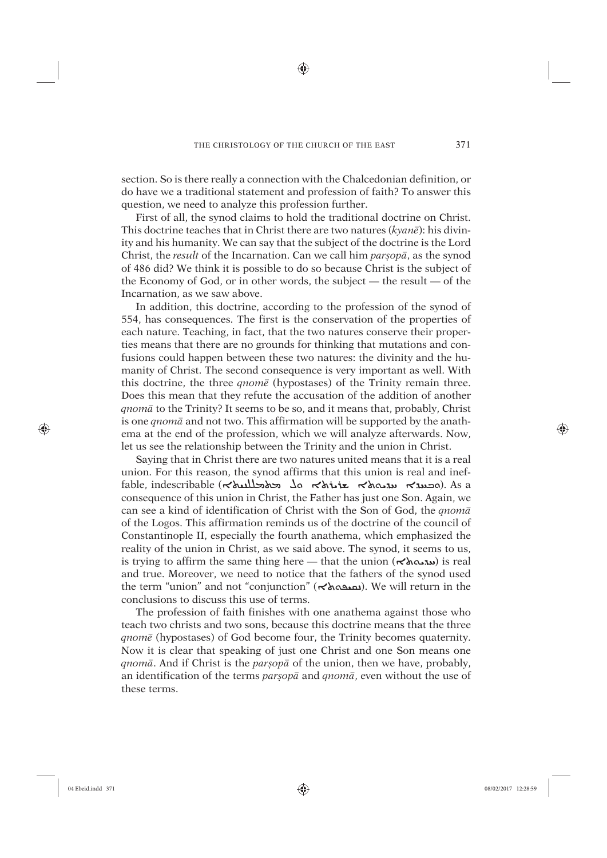⊕

section. So is there really a connection with the Chalcedonian definition, or do have we a traditional statement and profession of faith? To answer this question, we need to analyze this profession further.

First of all, the synod claims to hold the traditional doctrine on Christ. This doctrine teaches that in Christ there are two natures (*kyanê*): his divinity and his humanity. We can say that the subject of the doctrine is the Lord Christ, the *result* of the Incarnation. Can we call him  $\text{p}a\text{r}5\text{p}a$ , as the synod of 486 did? We think it is possible to do so because Christ is the subject of the Economy of God, or in other words, the subject — the result — of the Incarnation, as we saw above.

In addition, this doctrine, according to the profession of the synod of 554, has consequences. The first is the conservation of the properties of each nature. Teaching, in fact, that the two natures conserve their properties means that there are no grounds for thinking that mutations and confusions could happen between these two natures: the divinity and the humanity of Christ. The second consequence is very important as well. With this doctrine, the three *qnomê* (hypostases) of the Trinity remain three. Does this mean that they refute the accusation of the addition of another *qnomâ* to the Trinity? It seems to be so, and it means that, probably, Christ is one *qnomâ* and not two. This affirmation will be supported by the anathema at the end of the profession, which we will analyze afterwards. Now, let us see the relationship between the Trinity and the union in Christ.

Saying that in Christ there are two natures united means that it is a real union. For this reason, the synod affirms that this union is real and ineffable, indescribable ( $\kappa$ اهدمه). As a مطلسلام که های محمد هندمهای ها consequence of this union in Christ, the Father has just one Son. Again, we can see a kind of identification of Christ with the Son of God, the *qnomâ* of the Logos. This affirmation reminds us of the doctrine of the council of Constantinople II, especially the fourth anathema, which emphasized the reality of the union in Christ, as we said above. The synod, it seems to us, is trying to affirm the same thing here — that the union ( $\forall \lambda \infty$ וג real and true. Moreover, we need to notice that the fathers of the synod used the term "union" and not "conjunction" (הمدهه). We will return in the conclusions to discuss this use of terms.

The profession of faith finishes with one anathema against those who teach two christs and two sons, because this doctrine means that the three *qnomê* (hypostases) of God become four, the Trinity becomes quaternity. Now it is clear that speaking of just one Christ and one Son means one *qnomâ*. And if Christ is the *parúopâ* of the union, then we have, probably, an identification of the terms *parúopâ* and *qnomâ*, even without the use of these terms.

⊕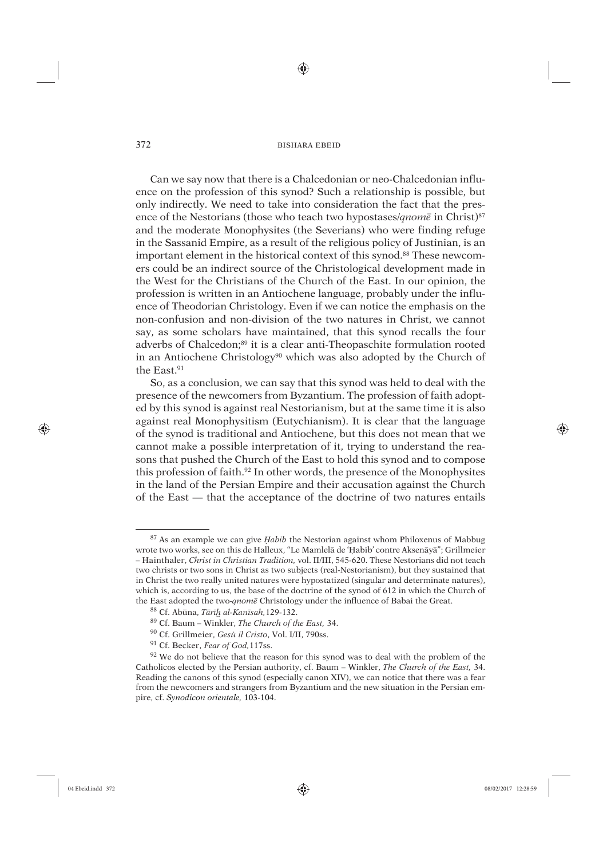⊕

Can we say now that there is a Chalcedonian or neo-Chalcedonian influence on the profession of this synod? Such a relationship is possible, but only indirectly. We need to take into consideration the fact that the presence of the Nestorians (those who teach two hypostases/*qnomê* in Christ)87 and the moderate Monophysites (the Severians) who were finding refuge in the Sassanid Empire, as a result of the religious policy of Justinian, is an important element in the historical context of this synod.<sup>88</sup> These newcomers could be an indirect source of the Christological development made in the West for the Christians of the Church of the East. In our opinion, the profession is written in an Antiochene language, probably under the influence of Theodorian Christology. Even if we can notice the emphasis on the non-confusion and non-division of the two natures in Christ, we cannot say, as some scholars have maintained, that this synod recalls the four adverbs of Chalcedon;<sup>89</sup> it is a clear anti-Theopaschite formulation rooted in an Antiochene Christology<sup>90</sup> which was also adopted by the Church of the East.<sup>91</sup>

So, as a conclusion, we can say that this synod was held to deal with the presence of the newcomers from Byzantium. The profession of faith adopted by this synod is against real Nestorianism, but at the same time it is also against real Monophysitism (Eutychianism). It is clear that the language of the synod is traditional and Antiochene, but this does not mean that we cannot make a possible interpretation of it, trying to understand the reasons that pushed the Church of the East to hold this synod and to compose this profession of faith.92 In other words, the presence of the Monophysites in the land of the Persian Empire and their accusation against the Church of the East — that the acceptance of the doctrine of two natures entails

⊕

<sup>&</sup>lt;sup>87</sup> As an example we can give *Habib* the Nestorian against whom Philoxenus of Mabbug wrote two works, see on this de Halleux, "Le Mamlelā de 'Habīb' contre Aksenāyā"; Grillmeier – Hainthaler, *Christ in Christian Tradition,* vol. II/III, 545-620. These Nestorians did not teach two christs or two sons in Christ as two subjects (real-Nestorianism), but they sustained that in Christ the two really united natures were hypostatized (singular and determinate natures), which is, according to us, the base of the doctrine of the synod of 612 in which the Church of the East adopted the two-*qnomê* Christology under the influence of Babai the Great.

<sup>88</sup> Cf. Abûna, *Târíæ al-Kanísah,*129-132.

<sup>89</sup> Cf. Baum – Winkler, *The Church of the East,* 34.

<sup>90</sup> Cf. Grillmeier, *Gesù il Cristo*, Vol. I/II, 790ss.

<sup>91</sup> Cf. Becker, *Fear of God,*117ss.

<sup>&</sup>lt;sup>92</sup> We do not believe that the reason for this synod was to deal with the problem of the Catholicos elected by the Persian authority, cf. Baum – Winkler, *The Church of the East,* 34. Reading the canons of this synod (especially canon XIV), we can notice that there was a fear from the newcomers and strangers from Byzantium and the new situation in the Persian empire, cf. *Synodicon orientale,* 103-104.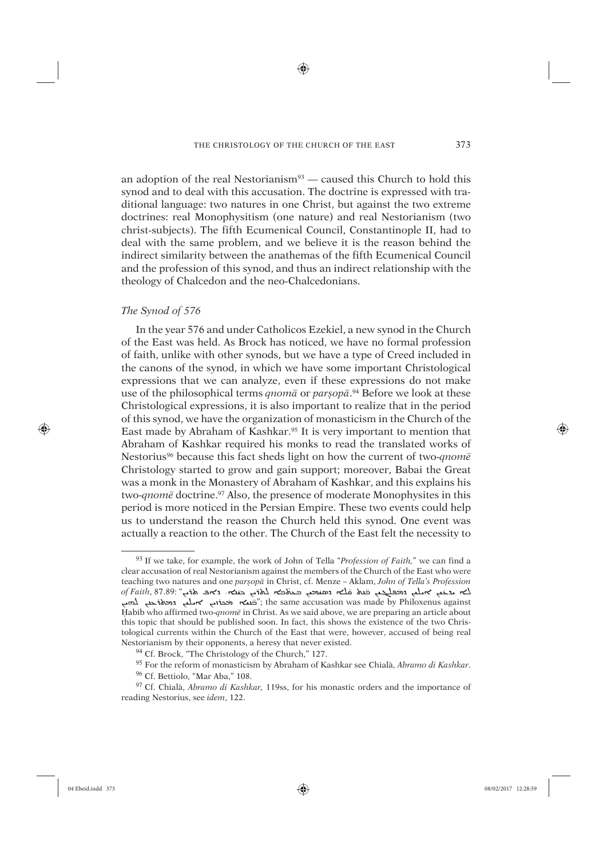♠

an adoption of the real Nestorianism $93$  — caused this Church to hold this synod and to deal with this accusation. The doctrine is expressed with traditional language: two natures in one Christ, but against the two extreme doctrines: real Monophysitism (one nature) and real Nestorianism (two christ-subjects). The fifth Ecumenical Council, Constantinople II, had to deal with the same problem, and we believe it is the reason behind the indirect similarity between the anathemas of the fifth Ecumenical Council and the profession of this synod, and thus an indirect relationship with the theology of Chalcedon and the neo-Chalcedonians.

# *The Synod of 576*

In the year 576 and under Catholicos Ezekiel, a new synod in the Church of the East was held. As Brock has noticed, we have no formal profession of faith, unlike with other synods, but we have a type of Creed included in the canons of the synod, in which we have some important Christological expressions that we can analyze, even if these expressions do not make use of the philosophical terms *qnomâ* or *parúopâ*. 94 Before we look at these Christological expressions, it is also important to realize that in the period of this synod, we have the organization of monasticism in the Church of the East made by Abraham of Kashkar.95 It is very important to mention that Abraham of Kashkar required his monks to read the translated works of Nestorius96 because this fact sheds light on how the current of two-*qnomê* Christology started to grow and gain support; moreover, Babai the Great was a monk in the Monastery of Abraham of Kashkar, and this explains his two-*qnom*<sup>*e*</sup> doctrine.<sup>97</sup> Also, the presence of moderate Monophysites in this period is more noticed in the Persian Empire. These two events could help us to understand the reason the Church held this synod. One event was actually a reaction to the other. The Church of the East felt the necessity to

⊕

<sup>93</sup> If we take, for example, the work of John of Tella "*Profession of Faith,*" we can find a clear accusation of real Nestorianism against the members of the Church of the East who were teaching two natures and one *parúopâ* in Christ, cf. Menze – Aklam, *John of Tella's Profession*  لته المستقدم المستقدم المستقدم المستقدم المستقدم المستقدم المستقدم المستقدم المستقدم المستقدم المستقدم المستقد<br>ك**ته مدّخب كهملب وتخطيك به نشائه وتصني** وتحافيته الملق حناية وتكافيه المستقدم المستقدم المستقدم المستقدم المس ֖ׅ֚֚֚֚֚֚֚֚֚֚֚֚֚֚֚֚֚֚֚֚֚֚֬֡֡֓֡֡֡֓֡֞֝֬֝֓֞֝֬֝֓֬  $\epsilon_{\text{max}}$  is the contribution  $\epsilon_{\text{max}}$  case  $\epsilon_{\text{max}}$  (case  $\epsilon_{\text{max}}$ ) and  $\epsilon_{\text{max}}$  is the same accusation was made by Philoxenus against Üabib who affirmed two-*qnomê* in Christ. As we said above, we are preparing an article about this topic that should be published soon. In fact, this shows the existence of the two Christological currents within the Church of the East that were, however, accused of being real Nestorianism by their opponents, a heresy that never existed.

<sup>&</sup>lt;sup>94</sup> Cf. Brock, "The Christology of the Church," 127.

<sup>95</sup> For the reform of monasticism by Abraham of Kashkar see Chialà, *Abramo di Kashkar*.

<sup>96</sup> Cf. Bettiolo, "Mar Aba," 108.

<sup>97</sup> Cf. Chialà, *Abramo di Kashkar,* 119ss, for his monastic orders and the importance of reading Nestorius, see *idem*, 122.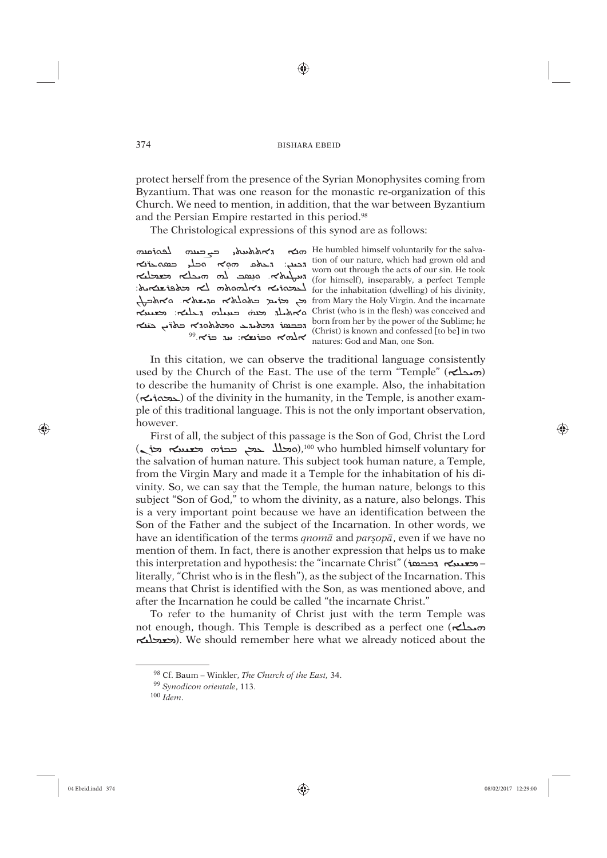⊕

protect herself from the presence of the Syrian Monophysites coming from Byzantium. That was one reason for the monastic re-organization of this Church. We need to mention, in addition, that the war between Byzantium and the Persian Empire restarted in this period.<sup>98</sup>

The Christological expressions of this synod are as follows:

moias صے صدہ r>ndrund,

374

 $\sim$  He humbled himself voluntarily for the salvaoutles de réalisation. It is dessient. It is to don to the red to the red red red to the red red red and the model of the metal of the metal of the metal of the metal of the metal of the metal of the metal of the metal of obs manufacture inhabitation (dwelling) of his divinity, from Mary the Holy Virgin. And the incarnate للج المتحلم المعلم المعدم المستعمل المستعمل المستعمل Christ (who is in the flesh) was conceived and י השבח. השבח היה של born from her by the power of the Sublime; he<br>caddress a text is known and confessed [to be] in two<br>natures: God and Man, one Son.

In this citation, we can observe the traditional language consistently used by the Church of the East. The use of the term "Temple" ( $\sim$ دی) to describe the humanity of Christ is one example. Also, the inhabitation  $(\sim$  is another example, is another example, is another example. ple of this traditional language. This is not the only important observation, however.

First of all, the subject of this passage is the Son of God, Christ the Lord the salvation of human nature. This subject took human nature, a Temple, from the Virgin Mary and made it a Temple for the inhabitation of his divinity. So, we can say that the Temple, the human nature, belongs to this subject "Son of God," to whom the divinity, as a nature, also belongs. This is a very important point because we have an identification between the Son of the Father and the subject of the Incarnation. In other words, we have an identification of the terms *qnoma* and *parsopa*, even if we have no mention of them. In fact, there is another expression that helps us to make this interpretation and hypothesis: the "incarnate Christ" ( $r = -\infty$ literally, "Christ who is in the flesh"), as the subject of the Incarnation. This means that Christ is identified with the Son, as was mentioned above, and after the Incarnation he could be called "the incarnate Christ."

To refer to the humanity of Christ just with the term Temple was not enough, though. This Temple is described as a perfect one ( $\kappa$ محلم) וכשבע). We should remember here what we already noticed about the

04 Ebeid.indd 374

⊕

<sup>98</sup> Cf. Baum - Winkler, The Church of the East, 34.

<sup>&</sup>lt;sup>99</sup> Synodicon orientale, 113.

 $100$  Idem.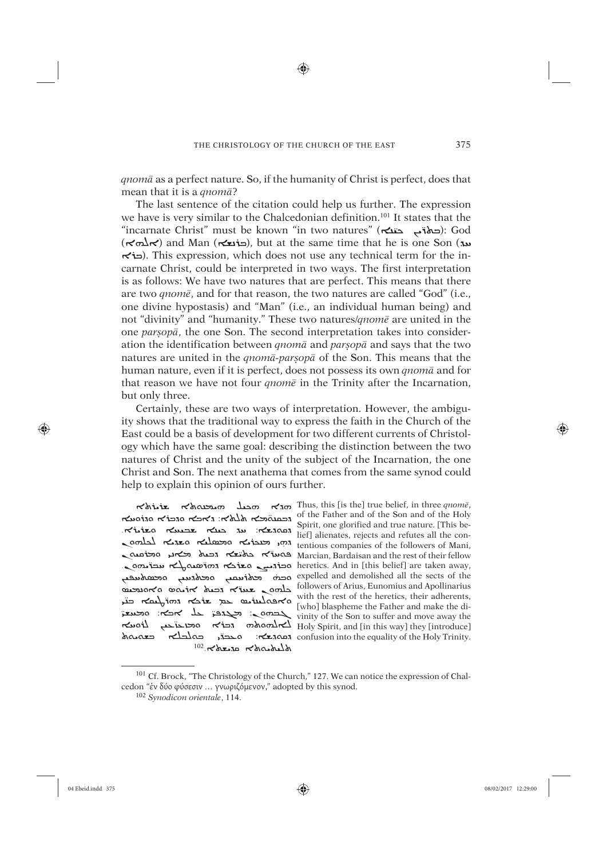♠

*qnomâ* as a perfect nature. So, if the humanity of Christ is perfect, does that mean that it is a *qnomâ*?

The last sentence of the citation could help us further. The expression we have is very similar to the Chalcedonian definition.101 It states that the e nate is very similar to the shatedoman definition. To states that the "incarnate Christ" must be known "in two natures" (دهاة مستقصة): God  $(\kappa \Delta \kappa)$  and Man (خنعه), but at the same time that he is one Son (مند  $\sim$ i. This expression, which does not use any technical term for the incarnate Christ, could be interpreted in two ways. The first interpretation is as follows: We have two natures that are perfect. This means that there are two *qnomê*, and for that reason, the two natures are called "God" (i.e., one divine hypostasis) and "Man" (i.e., an individual human being) and not "divinity" and "humanity." These two natures/*qnomê* are united in the one *parúopâ*, the one Son. The second interpretation takes into consideration the identification between *qnomâ* and *parúopâ* and says that the two natures are united in the *qnomâ-parúopâ* of the Son. This means that the human nature, even if it is perfect, does not possess its own *qnomâ* and for that reason we have not four *qnomê* in the Trinity after the Incarnation, but only three.

Certainly, these are two ways of interpretation. However, the ambiguity shows that the traditional way to express the faith in the Church of the East could be a basis of development for two different currents of Christology which have the same goal: describing the distinction between the two natures of Christ and the unity of the subject of the Incarnation, the one Christ and Son. The next anathema that comes from the same synod could help to explain this opinion of ours further.

̈-Spirit, one giorined and true nature. [This be in a metal refutes all the con-<br>lief] alienates, rejects and refutes all the cono<del>cine معامک هار محامل مح</del>تمه<br>محمة معامل محافة محافة محمد ̈ دهادلکه دیگه ده ̈  $^{102}$   $\kappa$ des $n \kappa$   $\kappa$ dos $\lambda$ u

ܗܕܐ ܗáÙÜ ܗÍæãØܬܐ ûØûüܬܐ Thus, this [is the] true belief, in three *qnomê*, of the Father and of the Son and of the Holy הכסט אלא>: גאפא סגבו'א סגוסעא  $\frac{1}{2}$ on השפטלא השפטלא הא המשלא הא בלה ו tentious companies of the followers of Mani,<br>Aarcian, Bardaisan and the rest of their fellow  $\overrightarrow{a}$  Ancian, Bardaisan and the rest of their fellow ÌàÜܘܢ ăÐüܐ ܕܒÿÙ ܐܪÍØܣ ܘܐܘêÙãå followers of Arius, Eunomius and Apollinarius with the rest of the heretics, their adherents, مستخدم تقديم تقديم تقديم المستخدم المستخدم المستخدم المستخدم المستخدم المستخدم المستخدم المستخدم المستخدم المستخدم المستخدم المستخدم المستخدم المستخدم المستخدم المستخدم المس who blaspheme the Father and make the di-<br>inity of the Son to suffer and move away the since away the vinity of the Son to suffer and move away the view<br>Holy Spirit, and [in this way] they [introduce] لـمهامه معاجزت المعل ĆßܐÌßܘܬܗ ܕܒûܐ ܘÎîÎâ Holy Spirit, and [in this way] they [introduce] Spirit, one glorified and true nature. [This beheretics. And in [this belief] are taken away, expelled and demolished all the sects of the [who] blaspheme the Father and make the diconfusion into the equality of the Holy Trinity.

⊕

<sup>101</sup> Cf. Brock, "The Christology of the Church," 127. We can notice the expression of Chalcedon "ἐν δύο φύσεσιν … γνωριζόμενον," adopted by this synod.

<sup>102</sup> *Synodicon orientale*, 114.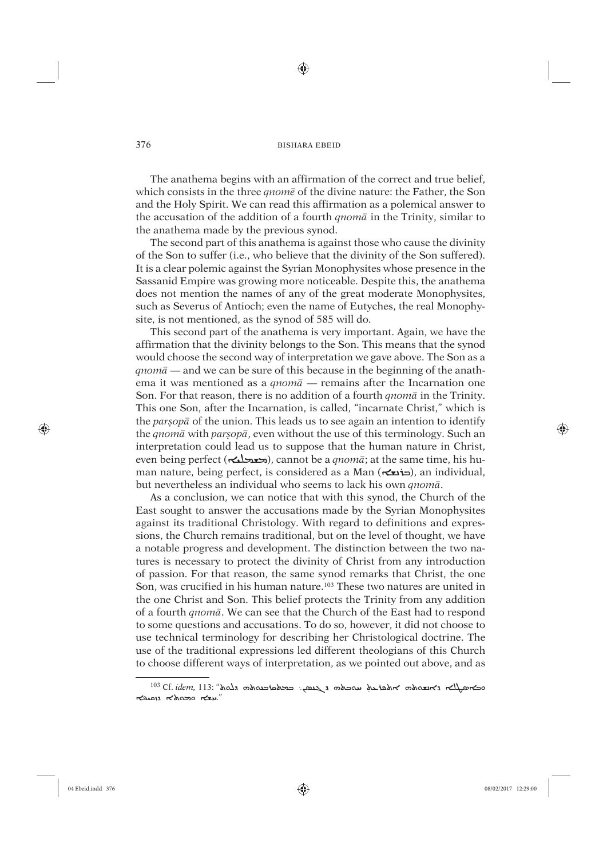⊕

The anathema begins with an affirmation of the correct and true belief, which consists in the three *qnomê* of the divine nature: the Father, the Son and the Holy Spirit. We can read this affirmation as a polemical answer to the accusation of the addition of a fourth *qnomâ* in the Trinity, similar to the anathema made by the previous synod.

The second part of this anathema is against those who cause the divinity of the Son to suffer (i.e., who believe that the divinity of the Son suffered). It is a clear polemic against the Syrian Monophysites whose presence in the Sassanid Empire was growing more noticeable. Despite this, the anathema does not mention the names of any of the great moderate Monophysites, such as Severus of Antioch; even the name of Eutyches, the real Monophysite, is not mentioned, as the synod of 585 will do.

This second part of the anathema is very important. Again, we have the affirmation that the divinity belongs to the Son. This means that the synod would choose the second way of interpretation we gave above. The Son as a *qnomâ* — and we can be sure of this because in the beginning of the anathema it was mentioned as a *qnomâ* — remains after the Incarnation one Son. For that reason, there is no addition of a fourth *qnomâ* in the Trinity. This one Son, after the Incarnation, is called, "incarnate Christ," which is the *parsop*<sup> $\bar{a}$ </sup> of the union. This leads us to see again an intention to identify the *qnomâ* with *parúopâ*, even without the use of this terminology. Such an interpretation could lead us to suppose that the human nature in Christ, even being perfect (ܐÙàãýâ), cannot be a *qnomâ*; at the same time, his human nature, being perfect, is considered as a Man (حذيع), an individual, but nevertheless an individual who seems to lack his own *qnomâ*.

As a conclusion, we can notice that with this synod, the Church of the East sought to answer the accusations made by the Syrian Monophysites against its traditional Christology. With regard to definitions and expressions, the Church remains traditional, but on the level of thought, we have a notable progress and development. The distinction between the two natures is necessary to protect the divinity of Christ from any introduction of passion. For that reason, the same synod remarks that Christ, the one Son, was crucified in his human nature.103 These two natures are united in the one Christ and Son. This belief protects the Trinity from any addition of a fourth *qnomâ*. We can see that the Church of the East had to respond to some questions and accusations. To do so, however, it did not choose to use technical terminology for describing her Christological doctrine. The use of the traditional expressions led different theologians of this Church to choose different ways of interpretation, as we pointed out above, and as

⊕

<sup>&</sup>lt;u>כאמאלא דאמאמ אולטז אלא האכלה הראש, כבלסוכנסולה לא</u> Cf. idem, 113: "אלבז האכלה בל הלשנסו הלאמאם הלצא."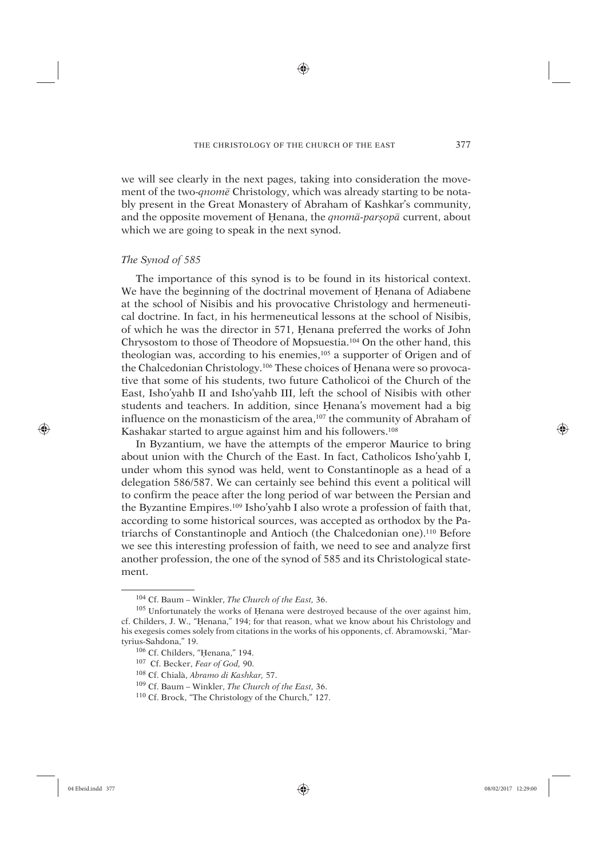♠

we will see clearly in the next pages, taking into consideration the movement of the two-*qnomê* Christology, which was already starting to be notably present in the Great Monastery of Abraham of Kashkar's community, and the opposite movement of Henana, the *qnomā*-par<sub>s</sub><sup>op</sup>*ā* current, about which we are going to speak in the next synod.

# *The Synod of 585*

The importance of this synod is to be found in its historical context. We have the beginning of the doctrinal movement of Henana of Adiabene at the school of Nisibis and his provocative Christology and hermeneutical doctrine. In fact, in his hermeneutical lessons at the school of Nisibis, of which he was the director in 571, Üenana preferred the works of John Chrysostom to those of Theodore of Mopsuestia.104 On the other hand, this theologian was, according to his enemies,<sup>105</sup> a supporter of Origen and of the Chalcedonian Christology.<sup>106</sup> These choices of Henana were so provocative that some of his students, two future Catholicoi of the Church of the East, Isho'yahb II and Isho'yahb III, left the school of Nisibis with other students and teachers. In addition, since Henana's movement had a big influence on the monasticism of the area,107 the community of Abraham of Kashakar started to argue against him and his followers.<sup>108</sup>

In Byzantium, we have the attempts of the emperor Maurice to bring about union with the Church of the East. In fact, Catholicos Isho'yahb I, under whom this synod was held, went to Constantinople as a head of a delegation 586/587. We can certainly see behind this event a political will to confirm the peace after the long period of war between the Persian and the Byzantine Empires.109 Isho'yahb I also wrote a profession of faith that, according to some historical sources, was accepted as orthodox by the Patriarchs of Constantinople and Antioch (the Chalcedonian one).110 Before we see this interesting profession of faith, we need to see and analyze first another profession, the one of the synod of 585 and its Christological statement.

⊕

<sup>104</sup> Cf. Baum – Winkler, *The Church of the East,* 36.

<sup>&</sup>lt;sup>105</sup> Unfortunately the works of Henana were destroyed because of the over against him, cf. Childers, J. W., "Üenana," 194; for that reason, what we know about his Christology and his exegesis comes solely from citations in the works of his opponents, cf. Abramowski, "Martyrius-Sahdona," 19.

<sup>&</sup>lt;sup>106</sup> Cf. Childers, "Henana," 194.

<sup>107</sup> Cf. Becker, *Fear of God,* 90.

<sup>108</sup> Cf. Chialà, *Abramo di Kashkar,* 57.

<sup>109</sup> Cf. Baum – Winkler, *The Church of the East,* 36.

<sup>110</sup> Cf. Brock, "The Christology of the Church," 127.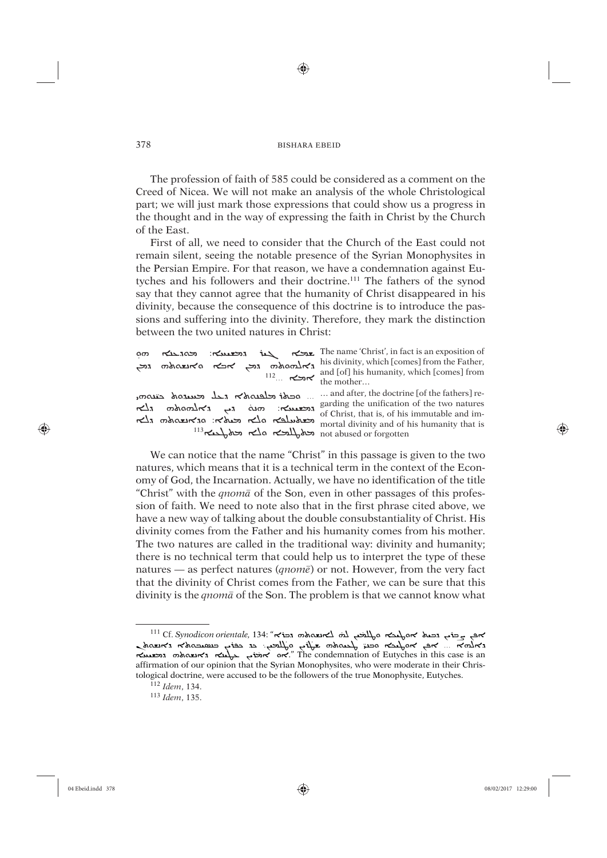⊕

The profession of faith of 585 could be considered as a comment on the Creed of Nicea. We will not make an analysis of the whole Christological part; we will just mark those expressions that could show us a progress in the thought and in the way of expressing the faith in Christ by the Church of the East.

First of all, we need to consider that the Church of the East could not remain silent, seeing the notable presence of the Syrian Monophysites in the Persian Empire. For that reason, we have a condemnation against Eutyches and his followers and their doctrine.111 The fathers of the synod say that they cannot agree that the humanity of Christ disappeared in his divinity, because the consequence of this doctrine is to introduce the passions and suffering into the divinity. Therefore, they mark the distinction between the two united natures in Christ:

| ဝက<br>גאלמסממה גבן אכא סאנשטממה גבן                     |                                                                                            |
|---------------------------------------------------------|--------------------------------------------------------------------------------------------|
| <u>panis تحلفیه&amp;ی دخل تحسده&amp; حتیه</u>           | and after, the doctrine [of the fathers] re-                                               |
| $\frac{1}{2}$ , notional $\kappa$ , notionalm notionalm | garding the unification of the two natures<br>of Christ, that is, of his immutable and im- |
| مطلعه ملك محاملاته: متكتبه من المحامل                   | mortal divinity and of his humanity that is                                                |
| $^{113}$ اللاكم الأكم المسلمة                           | not abused or forgotten                                                                    |

We can notice that the name "Christ" in this passage is given to the two natures, which means that it is a technical term in the context of the Economy of God, the Incarnation. Actually, we have no identification of the title "Christ" with the *qnomâ* of the Son, even in other passages of this profession of faith. We need to note also that in the first phrase cited above, we have a new way of talking about the double consubstantiality of Christ. His divinity comes from the Father and his humanity comes from his mother. The two natures are called in the traditional way: divinity and humanity; there is no technical term that could help us to interpret the type of these natures — as perfect natures (*qnomê*) or not. However, from the very fact that the divinity of Christ comes from the Father, we can be sure that this divinity is the *qnomâ* of the Son. The problem is that we cannot know what

⊕

<sup>&</sup>lt;sup>111</sup> Cf. *Synodicon orientale*, 134: "השבח למא לאנשה ֦֧<u>֚</u> אפ בילי וכטל אסלאבא סלאבא לוא לאנשהאואי גבוא: "Cf. Synodicon orientale, 134: "הובטא הלאבא האנשה<br>ג'אלומ'א ... 'אפ אסלאבא הכנד להטמאנים בלאבא הבנד המשבה האנשה האנשה ֚֚֚֚֡ האפל<sub>יץ</sub> באלא האמשה an השערה והשטאה האנטאה האנטאר an האנטאר האנטאר an האנטאר האנטארו האנטארו האנטארו האנטארו ה affirmation of our opinion that the Syrian Monophysites, who were moderate in their Christological doctrine, were accused to be the followers of the true Monophysite, Eutyches.

<sup>112</sup> *Idem*, 134.

<sup>113</sup> *Idem*, 135.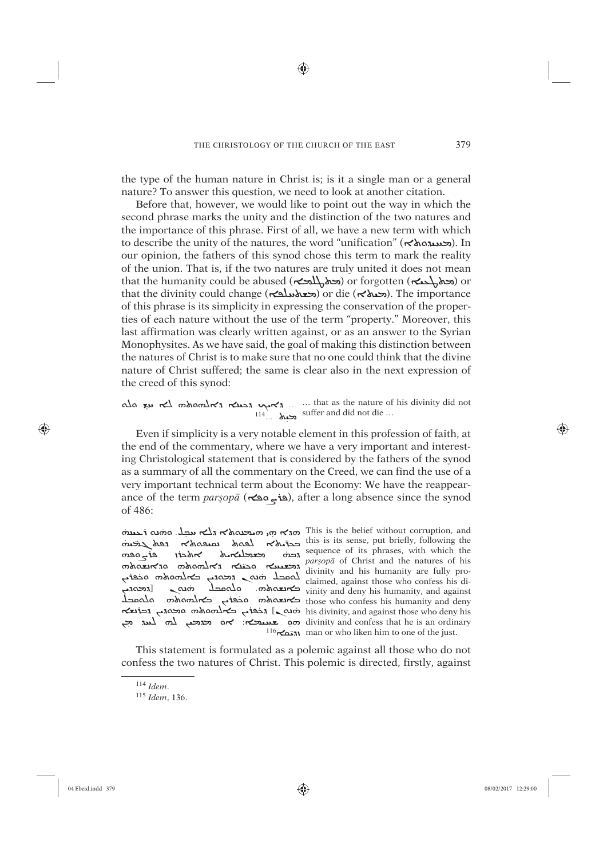⊕

the type of the human nature in Christ is; is it a single man or a general nature? To answer this question, we need to look at another citation.

Before that, however, we would like to point out the way in which the second phrase marks the unity and the distinction of the two natures and the importance of this phrase. First of all, we have a new term with which to describe the unity of the natures, the word "unification" ( $\prec$ אסאלא). In our opinion, the fathers of this synod chose this term to mark the reality of the union. That is, if the two natures are truly united it does not mean that the humanity could be abused (محمل المحكم) or forgotten (محمل بالمحكم) or that the divinity could change (محمد المحمد) or die (محمد (محمد). The importance of this phrase is its simplicity in expressing the conservation of the properties of each nature without the use of the term "property." Moreover, this last affirmation was clearly written against, or as an answer to the Syrian Monophysites. As we have said, the goal of making this distinction between the natures of Christ is to make sure that no one could think that the divine nature of Christ suffered; the same is clear also in the next expression of the creed of this synod:

Ala שו האוס האראה הבנה האראה האראי האראה האראה לא עד הא  $114$ ...  $\lambda$ <sub>2</sub> suffer and did not die ...

Even if simplicity is a very notable element in this profession of faith, at the end of the commentary, where we have a very important and interesting Christological statement that is considered by the fathers of the synod as a summary of all the commentary on the Creed, we can find the use of a very important technical term about the Economy: We have the reappearance of the term parsopa (et ج معة), after a long absence since the synod of 486:

o הבנס הלא גלא הלא הלא הלא האלא גלשומט וב- לשתמל א הלא הלא הלא הלא הלא הלא ה this is its sense, put briefly, following the كماه منه معهم ا*نما*ه معصلتهمة and the material stress, which when the<br>and the natures of his<br>and and the natures of his<br>and and the nature of his<br>and a compact of the claimed, against those who confess his di-<br>and a compact of the claimed, against thos reius, הבוצא המסגר, הבוצא באלחסות his divinity, and against those who deny his on divinity and confess that he is an ordinary . אם מצגמה לחם לעוד מ

sequence of its phrases, with which the  $116\pi$  and or who like him to one of the just.

379

This statement is formulated as a polemic against all those who do not confess the two natures of Christ. This polemic is directed, firstly, against

⊕

 $114$  Idem.

<sup>&</sup>lt;sup>115</sup> Idem, 136.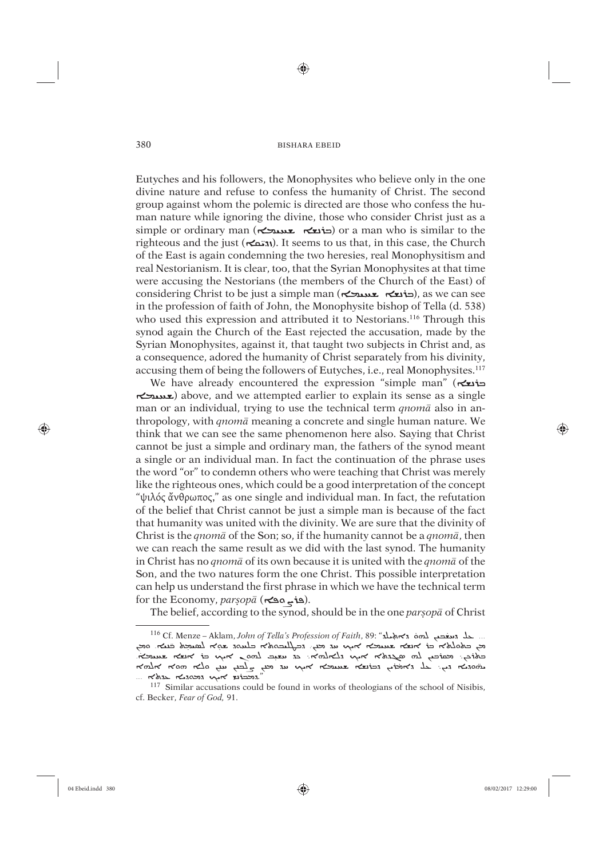⊕

Eutyches and his followers, the Monophysites who believe only in the one divine nature and refuse to confess the humanity of Christ. The second group against whom the polemic is directed are those who confess the human nature while ignoring the divine, those who consider Christ just as a simple or ordinary man (حذیعے محسد حضر ) or a man who is similar to the  $r_{\text{min}}$  and the just ( $\left(\frac{N_{\text{min}}}{N_{\text{min}}}\right)$ . It seems to us that, in this case, the Church of the East is again condemning the two heresies, real Monophysitism and real Nestorianism. It is clear, too, that the Syrian Monophysites at that time were accusing the Nestorians (the members of the Church of the East) of considering Christ to be just a simple man (حذيعة جمعيد جنوب), as we can see in the profession of faith of John, the Monophysite bishop of Tella (d. 538) who used this expression and attributed it to Nestorians.<sup>116</sup> Through this synod again the Church of the East rejected the accusation, made by the Syrian Monophysites, against it, that taught two subjects in Christ and, as a consequence, adored the humanity of Christ separately from his divinity, accusing them of being the followers of Eutyches, i.e., real Monophysites.<sup>117</sup>

We have already encountered the expression "simple man" (ܐ ܐĆãÙÐü) above, and we attempted earlier to explain its sense as a single man or an individual, trying to use the technical term *qnomâ* also in anthropology, with *qnomâ* meaning a concrete and single human nature. We think that we can see the same phenomenon here also. Saying that Christ cannot be just a simple and ordinary man, the fathers of the synod meant a single or an individual man. In fact the continuation of the phrase uses the word "or" to condemn others who were teaching that Christ was merely like the righteous ones, which could be a good interpretation of the concept "ψιλός ἄνθρωπος," as one single and individual man. In fact, the refutation of the belief that Christ cannot be just a simple man is because of the fact that humanity was united with the divinity. We are sure that the divinity of Christ is the *qnomâ* of the Son; so, if the humanity cannot be a *qnomâ*, then we can reach the same result as we did with the last synod. The humanity in Christ has no *qnomâ* of its own because it is united with the *qnomâ* of the Son, and the two natures form the one Christ. This possible interpretation can help us understand the first phrase in which we have the technical term for the Economy, *parșop* $\bar{a}$  (هذي مڪه).

The belief, according to the synod, should be in the one *parsop*<sup>*a*</sup> of Christ

⊕

<sup>...</sup> حلّد معنعت لمحمّد الله Cf. Menze – Aklam*, John of Tella's Profession of Faith,* 89: "مكّد معنو به الله عليه ا ֦ ֹיָם השונה של השונה היו המונח היו המלחמים היו המונח היו היו המשונה היו היו המלחמים היו היו היו היו היו היו הי<br>דאס כל הלא כל אופאז שנעדא איני נדי לא מי האלחנה ולא כל השני שהיא לפעקל כל היו היה שינות.<br>היו המלחמים לא היו לא ׇ֦֝ הלאוט המי השול כמה לה שישה מה להלותל האוגם הלוגל ׇ֚֕ האחל הס הלם נשי נשי מי איר הלאוש המושל האהל לא היא הלאסה ̈ $...$  המבוצ אקט גמסגם איך המלא ...

<sup>117</sup> Similar accusations could be found in works of theologians of the school of Nisibis, cf. Becker, *Fear of God,* 91.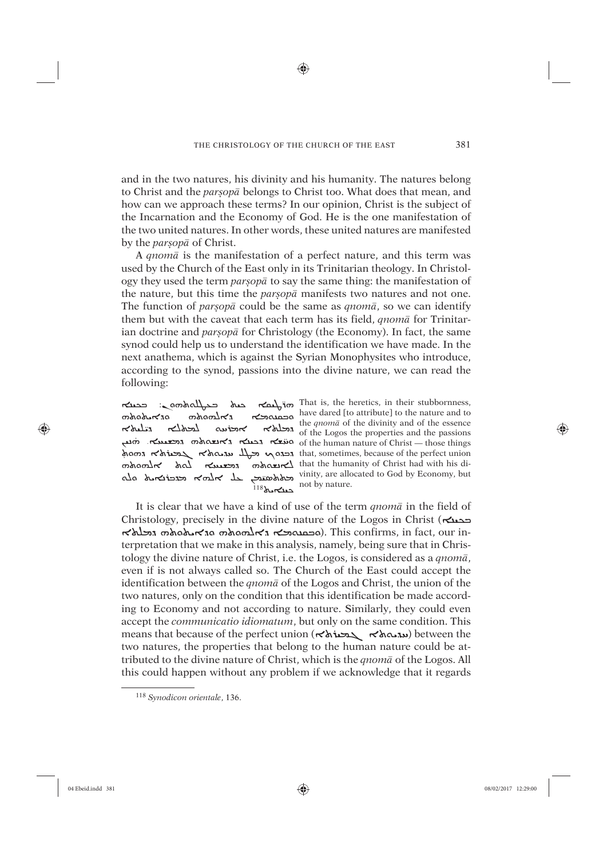⊕

and in the two natures, his divinity and his humanity. The natures belong to Christ and the *parúopâ* belongs to Christ too. What does that mean, and how can we approach these terms? In our opinion, Christ is the subject of the Incarnation and the Economy of God. He is the one manifestation of the two united natures. In other words, these united natures are manifested by the *parúopâ* of Christ.

A *qnomâ* is the manifestation of a perfect nature, and this term was used by the Church of the East only in its Trinitarian theology. In Christology they used the term *parúopâ* to say the same thing: the manifestation of the nature, but this time the *parsop*<sup>*a*</sup> manifests two natures and not one. The function of *parsop* $\bar{a}$  could be the same as *qnom* $\bar{a}$ , so we can identify them but with the caveat that each term has its field, *qnomâ* for Trinitarian doctrine and *parsopa* for Christology (the Economy). In fact, the same synod could help us to understand the identification we have made. In the next anathema, which is against the Syrian Monophysites who introduce, according to the synod, passions into the divine nature, we can read the following:

ನೂಹಿಗಳೂ ನಾಗೂರ್ಯ ಗುಂಡಾ mangrupo<br>Wayoyo הכלולא אוכוננה לביולא ה ̈خطه هندم جله جهان<del>ه م</del>ه هذه الله  $^{118}$ کست

ܗ̈ܪùÙÒܐ ÿÙÜ ܒÍàÓïܬܗܘܢ: ܒæÙÝܐ That is, the heretics, in their stubbornness, çÙå ̇ ýܐ ܕæÙÜܐ ܕܐÍýåܬܗ ܕÐÙýâܐ. ܗ ܘÏ of the human nature of Christ — those things ham הכנס הא בלא המסא לא גם that, sometimes, because of the perfect union  $\mathsf{S}$ לאנצטאס המשער לחומ המאמר לאנצטאר לו $\mathsf{S}$  Christ had with his dihave dared [to attribute] to the nature and to the *qnomâ* of the divinity and of the essence of the Logos the properties and the passions vinity, are allocated to God by Economy, but not by nature.

It is clear that we have a kind of use of the term *qnomâ* in the field of Christology, precisely in the divine nature of the Logos in Christ ( $\epsilon \rightarrow$ האסאמא הכלאלא האסאמא האסאמא גבלא $\sim$ a סגאסאמא הכלא terpretation that we make in this analysis, namely, being sure that in Christology the divine nature of Christ, i.e. the Logos, is considered as a *qnomâ*, even if is not always called so. The Church of the East could accept the identification between the *qnomâ* of the Logos and Christ, the union of the two natures, only on the condition that this identification be made according to Economy and not according to nature. Similarly, they could even accept the *communicatio idiomatum*, but only on the same condition. This means that because of the perfect union (ܬܐûÙãܓ ܬܐÍØÊÏ) between the two natures, the properties that belong to the human nature could be attributed to the divine nature of Christ, which is the *qnomâ* of the Logos. All this could happen without any problem if we acknowledge that it regards

⊕

<sup>118</sup> *Synodicon orientale*, 136.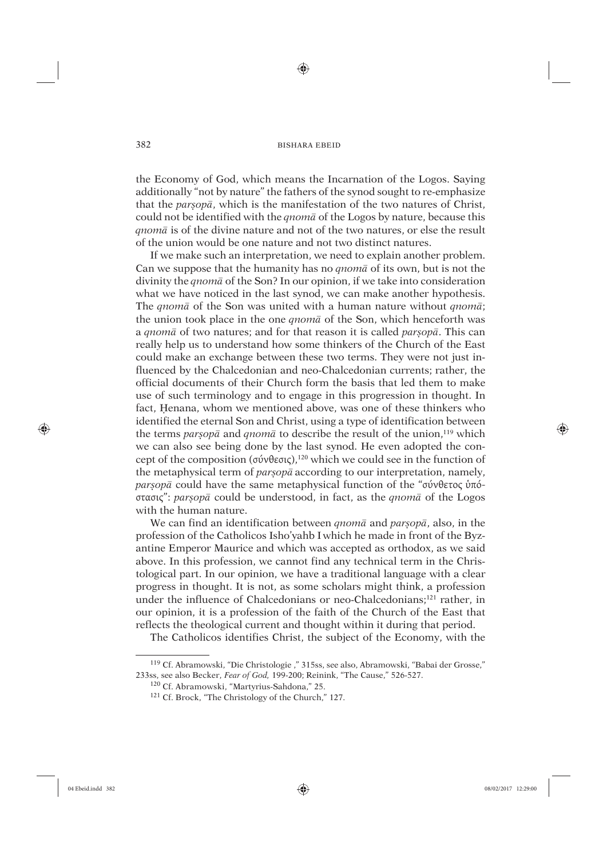⊕

the Economy of God, which means the Incarnation of the Logos. Saying additionally "not by nature" the fathers of the synod sought to re-emphasize that the *parúopâ*, which is the manifestation of the two natures of Christ, could not be identified with the *qnomâ* of the Logos by nature, because this *qnomâ* is of the divine nature and not of the two natures, or else the result of the union would be one nature and not two distinct natures.

If we make such an interpretation, we need to explain another problem. Can we suppose that the humanity has no *qnomâ* of its own, but is not the divinity the *qnomâ* of the Son? In our opinion, if we take into consideration what we have noticed in the last synod, we can make another hypothesis. The *qnomâ* of the Son was united with a human nature without *qnomâ*; the union took place in the one *qnomâ* of the Son, which henceforth was a *qnomâ* of two natures; and for that reason it is called *parúopâ*. This can really help us to understand how some thinkers of the Church of the East could make an exchange between these two terms. They were not just influenced by the Chalcedonian and neo-Chalcedonian currents; rather, the official documents of their Church form the basis that led them to make use of such terminology and to engage in this progression in thought. In fact, Henana, whom we mentioned above, was one of these thinkers who identified the eternal Son and Christ, using a type of identification between the terms *parúopâ* and *qnomâ* to describe the result of the union,119 which we can also see being done by the last synod. He even adopted the concept of the composition (σύνθεσις),120 which we could see in the function of the metaphysical term of *parsop*<sup>*a*</sup> according to our interpretation, namely, *parúopâ* could have the same metaphysical function of the "σύνθετος ὑπόστασις": *parúopâ* could be understood, in fact, as the *qnomâ* of the Logos with the human nature.

We can find an identification between *qnomâ* and *parúopâ*, also, in the profession of the Catholicos Isho'yahb I which he made in front of the Byzantine Emperor Maurice and which was accepted as orthodox, as we said above. In this profession, we cannot find any technical term in the Christological part. In our opinion, we have a traditional language with a clear progress in thought. It is not, as some scholars might think, a profession under the influence of Chalcedonians or neo-Chalcedonians;121 rather, in our opinion, it is a profession of the faith of the Church of the East that reflects the theological current and thought within it during that period.

The Catholicos identifies Christ, the subject of the Economy, with the

⊕

<sup>119</sup> Cf. Abramowski, "Die Christologie ," 315ss, see also, Abramowski, "Babai der Grosse," 233ss, see also Becker, *Fear of God,* 199-200; Reinink, "The Cause," 526-527.

<sup>120</sup> Cf. Abramowski, "Martyrius-Sahdona," 25.

<sup>121</sup> Cf. Brock, "The Christology of the Church," 127.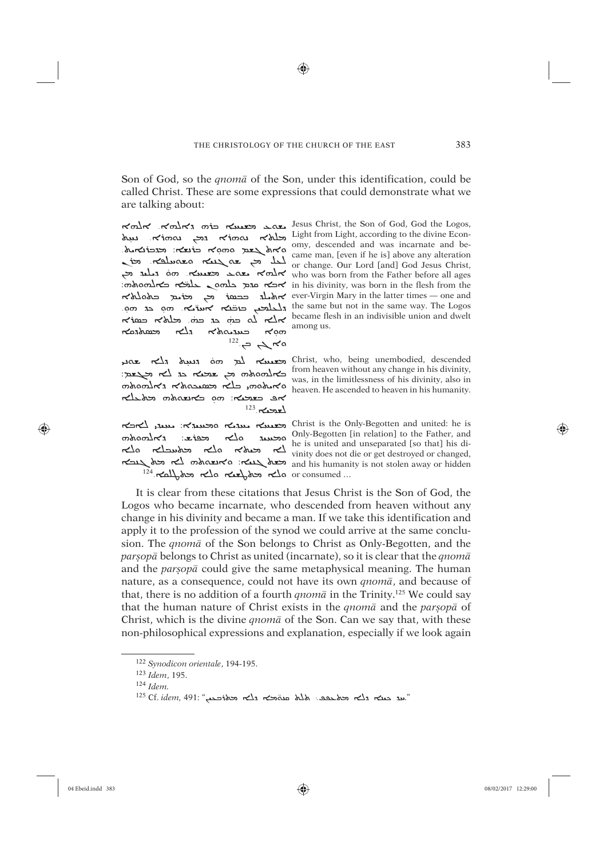⊕

Son of God, so the *qnoma* of the Son, under this identification, could be called Christ. These are some expressions that could demonstrate what we are talking about:

among us.

האל הלוח Jesus Christ, the Son of God, God the Logos,  $\frac{1}{\sqrt{1000}}$   $\frac{1}{\sqrt{1000}}$   $\frac{1}{\sqrt{1000}}$   $\frac{1}{\sqrt{1000}}$   $\frac{1}{\sqrt{1000}}$   $\frac{1}{\sqrt{1000}}$   $\frac{1}{\sqrt{1000}}$   $\frac{1}{\sqrt{1000}}$   $\frac{1}{\sqrt{1000}}$   $\frac{1}{\sqrt{1000}}$   $\frac{1}{\sqrt{1000}}$   $\frac{1}{\sqrt{1000}}$   $\frac{1}{\sqrt{1000}}$   $\frac{1}{\sqrt{1000$ או אי הא בגבוצא ה היה לא הא בגבוצא הא בא הא בגבוצא הא בגבוצא הא בגבוצא הא בגבוצא הא בגבוצא. היה הא בגבוצא הא ב<br>וכל הא בגבוצא הא בגבוצא הא בגבוצא הא בגבוצא הא בגבוצא הא בגבוצא ה המחלה הא בגבוצא הא בגבוצא הא בגבוצא הא בגבוצ or change. our bold faint dod resus crimes,<br>condition who was born from the Father before all ages:<br>condition and a media media media on the flesh from the flesh from the ever-Virgin Mary in the latter times – one and محمدهم  $\kappa$ 1  $\kappa$ haws  $\kappa$ am  $122 \rightarrow \infty$ 

christ, who, being unembodied, descended אפ כצבצה: מם כאנשם אמ וכלבלא  $123.720$ 

ობაიო∆≺ა محفظعا:  $\sqrt{ }$  $^{124}$ .  $\kappa$ all,  $\lambda$ b  $\kappa$ la  $\kappa$ la  $\kappa$ la or consumed...

הרא התנהא האונאה וא Christ is the Only-Begotten and united: he is only-Begotten [in relation] to the Father, and<br>he is united and unseparated [so that] his dia changed and the southern was the contract of the set of the set of the vinity does not die or get destroyed or changed, ארבא and his humanity is not stolen away or hidden

It is clear from these citations that Jesus Christ is the Son of God, the Logos who became incarnate, who descended from heaven without any change in his divinity and became a man. If we take this identification and apply it to the profession of the synod we could arrive at the same conclusion. The *qnoma* of the Son belongs to Christ as Only-Begotten, and the *parsopa* belongs to Christ as united (incarnate), so it is clear that the *qnoma* and the *parsopa* could give the same metaphysical meaning. The human nature, as a consequence, could not have its own *qnoma*, and because of that, there is no addition of a fourth *qnom* $\bar{a}$  in the Trinity.<sup>125</sup> We could say that the human nature of Christ exists in the qnoma and the parsopa of Christ, which is the divine *gnoma* of the Son. Can we say that, with these non-philosophical expressions and explanation, especially if we look again

⊕

<sup>&</sup>lt;sup>122</sup> Synodicon orientale, 194-195.

<sup>123</sup> Idem, 195.

 $124$  Idem.

 $^{125}$ Cf. idem, 491: "מוג מבא גלא מה אלא מהכא גלא המאוכבר,"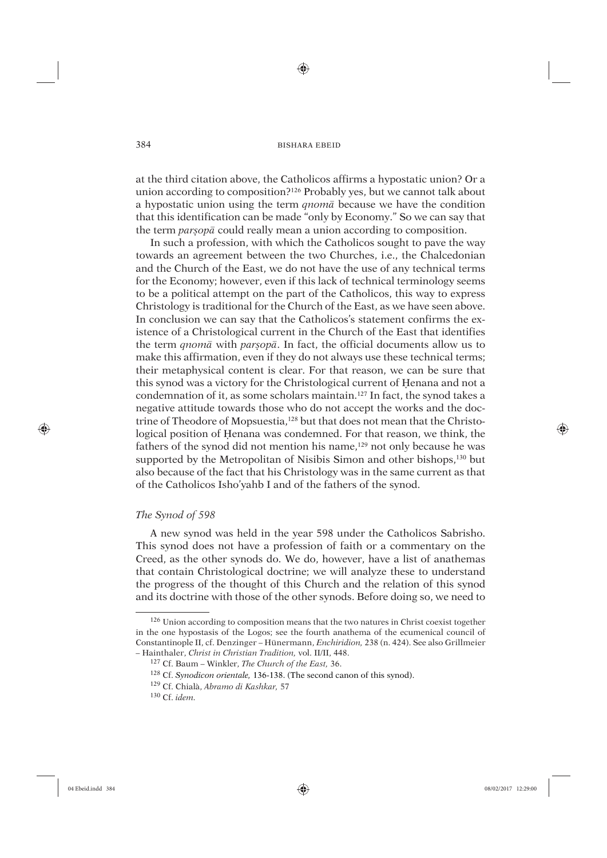at the third citation above, the Catholicos affirms a hypostatic union? Or a union according to composition?126 Probably yes, but we cannot talk about a hypostatic union using the term *qnomâ* because we have the condition that this identification can be made "only by Economy." So we can say that the term *parsopa* could really mean a union according to composition.

In such a profession, with which the Catholicos sought to pave the way towards an agreement between the two Churches, i.e., the Chalcedonian and the Church of the East, we do not have the use of any technical terms for the Economy; however, even if this lack of technical terminology seems to be a political attempt on the part of the Catholicos, this way to express Christology is traditional for the Church of the East, as we have seen above. In conclusion we can say that the Catholicos's statement confirms the existence of a Christological current in the Church of the East that identifies the term *qnomâ* with *parúopâ*. In fact, the official documents allow us to make this affirmation, even if they do not always use these technical terms; their metaphysical content is clear. For that reason, we can be sure that this synod was a victory for the Christological current of Henana and not a condemnation of it, as some scholars maintain.<sup>127</sup> In fact, the synod takes a negative attitude towards those who do not accept the works and the doctrine of Theodore of Mopsuestia,<sup>128</sup> but that does not mean that the Christological position of Henana was condemned. For that reason, we think, the fathers of the synod did not mention his name,<sup>129</sup> not only because he was supported by the Metropolitan of Nisibis Simon and other bishops,<sup>130</sup> but also because of the fact that his Christology was in the same current as that of the Catholicos Isho'yahb I and of the fathers of the synod.

# *The Synod of 598*

A new synod was held in the year 598 under the Catholicos Sabrisho. This synod does not have a profession of faith or a commentary on the Creed, as the other synods do. We do, however, have a list of anathemas that contain Christological doctrine; we will analyze these to understand the progress of the thought of this Church and the relation of this synod and its doctrine with those of the other synods. Before doing so, we need to

⊕

<sup>126</sup> Union according to composition means that the two natures in Christ coexist together in the one hypostasis of the Logos; see the fourth anathema of the ecumenical council of Constantinople II, cf. Denzinger – Hünermann, *Enchiridion,* 238 (n. 424). See also Grillmeier – Hainthaler, *Christ in Christian Tradition,* vol. II/II, 448.

<sup>127</sup> Cf. Baum – Winkler, *The Church of the East,* 36.

<sup>128</sup> Cf. *Synodicon orientale,* 136-138. (The second canon of this synod).

<sup>129</sup> Cf. Chialà, *Abramo di Kashkar,* 57

<sup>130</sup> Cf. *idem.*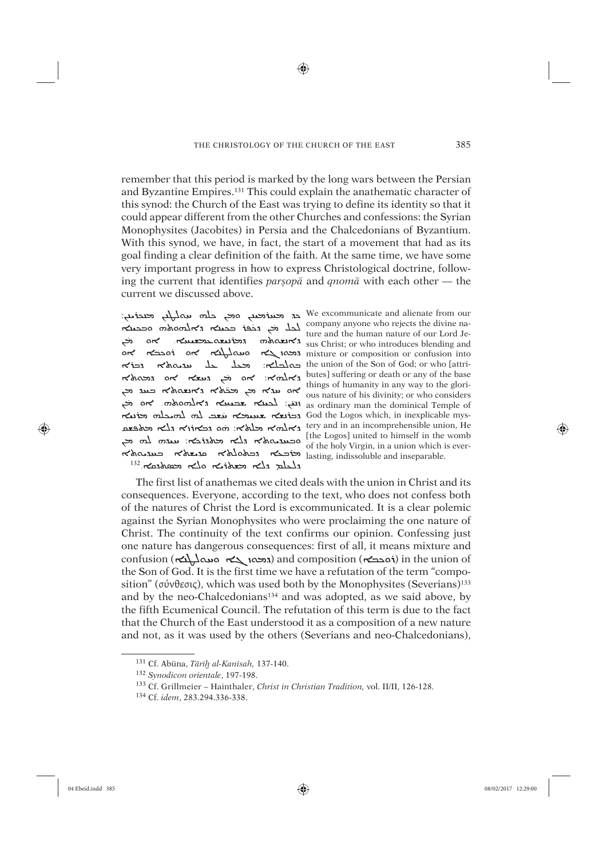⊕

remember that this period is marked by the long wars between the Persian and Byzantine Empires.<sup>131</sup> This could explain the anathematic character of this synod: the Church of the East was trying to define its identity so that it could appear different from the other Churches and confessions: the Syrian Monophysites (Jacobites) in Persia and the Chalcedonians of Byzantium. With this synod, we have, in fact, the start of a movement that had as its goal finding a clear definition of the faith. At the same time, we have some very important progress in how to express Christological doctrine, following the current that identifies parsopa and *gnoma* with each other — the current we discussed above.

company anyone who rejects the divine na-<br>a mand the human nature of our Lord Je ture and the human nature of our Lord Je and the human nature of our Lord Je and the whole and the reception of the record and the record and the reception of confusion into the union of the Son of God; or who [attri- $R$  and  $R$  and  $R$  and  $R$  and  $R$  and  $R$  and  $R$  butes] suffering or death or any of the base<br>  $R$  and  $R$  and  $R$  and  $R$  butes] suffering or death or any of the base<br>  $\therefore$   $\therefore$   $\therefore$   $\therefore$   $\therefore$   $\therefore$   $\therefore$   $\therefore$  as ordinary man the dominical Temple of القب: لحملته محصوبه من محمد من من God the Logos which, in inexplicable mys-<br>
God the Logos which, in inexplicable mys-יהודורא גלא באפעם (לא $\sim$ א: מס גבאוֹוא גלא באפעם am incomprehensible union, He  $\sum_{\text{odd}} \sum_{\text{odd}} \sum_{\text{odd}} \sum_{\text{odd}} \sum_{\text{odd}} \sum_{\text{odd}} \sum_{\text{odd}} \sum_{\text{odd}} \sum_{\text{odd}} \sum_{\text{odd}} \sum_{\text{odd}} \sum_{\text{odd}} \sum_{\text{odd}} \sum_{\text{odd}} \sum_{\text{odd}} \sum_{\text{odd}} \sum_{\text{odd}} \sum_{\text{odd}} \sum_{\text{odd}} \sum_{\text{odd}} \sum_{\text{odd}} \sum_{\text{odd}} \sum_{\text{odd}} \sum_{\text{odd}} \sum_{\text{odd}} \sum_{\text{odd}} \sum_{\text{odd}} \sum_{\$ ה ובמאס הא הבא הכלא המוצא המשלא בעד.  $^{132}$ .  $\kappa$ ashaan  $\kappa$ la  $\kappa$ ihun  $\kappa$ la  $\kappa$ la

we excommunicate and alienate from our at which are working in the working.

The first list of anathemas we cited deals with the union in Christ and its consequences. Everyone, according to the text, who does not confess both of the natures of Christ the Lord is excommunicated. It is a clear polemic against the Syrian Monophysites who were proclaiming the one nature of Christ. The continuity of the text confirms our opinion. Confessing just one nature has dangerous consequences: first of all, it means mixture and confusion (המסו בא and composition (המסו בא and composition (הסבבא) in the union of the Son of God. It is the first time we have a refutation of the term "composition" (σύνθεσις), which was used both by the Monophysites (Severians)<sup>133</sup> and by the neo-Chalcedonians<sup>134</sup> and was adopted, as we said above, by the fifth Ecumenical Council. The refutation of this term is due to the fact that the Church of the East understood it as a composition of a new nature and not, as it was used by the others (Severians and neo-Chalcedonians),

⊕

<sup>&</sup>lt;sup>131</sup> Cf. Abūna, Tārīh al-Kanīsah, 137-140.

<sup>&</sup>lt;sup>132</sup> Synodicon orientale, 197-198.

<sup>&</sup>lt;sup>133</sup> Cf. Grillmeier - Hainthaler, Christ in Christian Tradition, vol. II/II, 126-128.

<sup>&</sup>lt;sup>134</sup> Cf. idem, 283.294.336-338.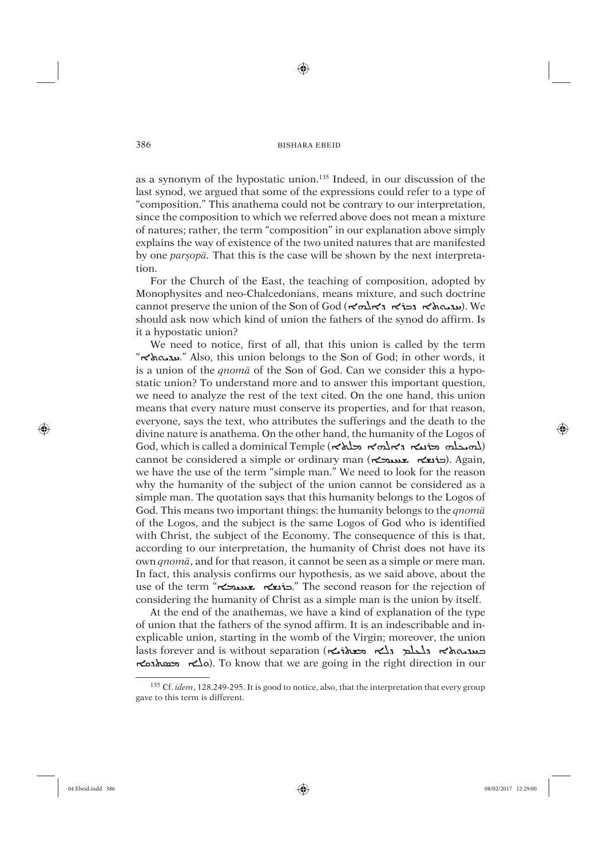⊕

as a synonym of the hypostatic union.<sup>135</sup> Indeed, in our discussion of the last synod, we argued that some of the expressions could refer to a type of "composition." This anathema could not be contrary to our interpretation, since the composition to which we referred above does not mean a mixture of natures; rather, the term "composition" in our explanation above simply explains the way of existence of the two united natures that are manifested by one parsopa. That this is the case will be shown by the next interpretation.

For the Church of the East, the teaching of composition, adopted by Monophysites and neo-Chalcedonians, means mixture, and such doctrine cannot preserve the union of the Son of God (הוג האלה הבוא האלה). We should ask now which kind of union the fathers of the synod do affirm. Is it a hypostatic union?

We need to notice, first of all, that this union is called by the term "הנה הלא" Also, this union belongs to the Son of God; in other words, it is a union of the *qnoma* of the Son of God. Can we consider this a hypostatic union? To understand more and to answer this important question, we need to analyze the rest of the text cited. On the one hand, this union means that every nature must conserve its properties, and for that reason, everyone, says the text, who attributes the sufferings and the death to the divine nature is anathema. On the other hand, the humanity of the Logos of God, which is called a dominical Temple (האבלה האלהי האל $\lambda$ ) cannot be considered a simple or ordinary man (כוצא בא בא בא בא ). Again, we have the use of the term "simple man." We need to look for the reason why the humanity of the subject of the union cannot be considered as a simple man. The quotation says that this humanity belongs to the Logos of God. This means two important things: the humanity belongs to the *qnom* of the Logos, and the subject is the same Logos of God who is identified with Christ, the subject of the Economy. The consequence of this is that, according to our interpretation, the humanity of Christ does not have its own *qnomā*, and for that reason, it cannot be seen as a simple or mere man. In fact, this analysis confirms our hypothesis, as we said above, about the use of the term "הוצא שטערא". The second reason for the rejection of considering the humanity of Christ as a simple man is the union by itself.

At the end of the anathemas, we have a kind of explanation of the type of union that the fathers of the synod affirm. It is an indescribable and inexplicable union, starting in the womb of the Virgin; moreover, the union ה הלא המסה (ס $\sim$ ). To know that we are going in the right direction in our

386

⊕

<sup>135</sup> Cf. idem, 128.249-295. It is good to notice, also, that the interpretation that every group gave to this term is different.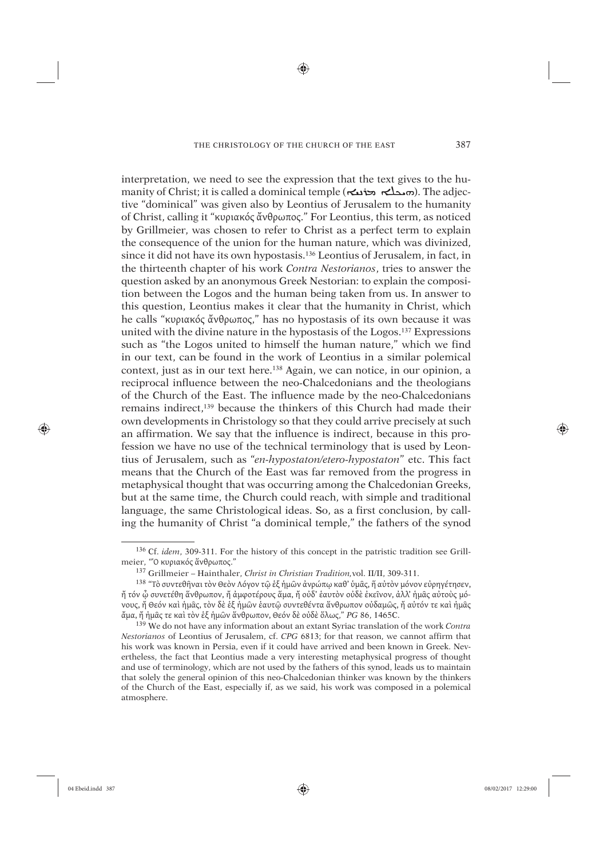♠

interpretation, we need to see the expression that the text gives to the humanity of Christ; it is called a dominical temple (הمدلم محافظه به). The adjective "dominical" was given also by Leontius of Jerusalem to the humanity of Christ, calling it "κυριακός ἄνθρωπος." For Leontius, this term, as noticed by Grillmeier, was chosen to refer to Christ as a perfect term to explain the consequence of the union for the human nature, which was divinized, since it did not have its own hypostasis.136 Leontius of Jerusalem, in fact, in the thirteenth chapter of his work *Contra Nestorianos*, tries to answer the question asked by an anonymous Greek Nestorian: to explain the composition between the Logos and the human being taken from us. In answer to this question, Leontius makes it clear that the humanity in Christ, which he calls "κυριακός ἄνθρωπος," has no hypostasis of its own because it was united with the divine nature in the hypostasis of the Logos.137 Expressions such as "the Logos united to himself the human nature," which we find in our text, can be found in the work of Leontius in a similar polemical context, just as in our text here.138 Again, we can notice, in our opinion, a reciprocal influence between the neo-Chalcedonians and the theologians of the Church of the East. The influence made by the neo-Chalcedonians remains indirect,139 because the thinkers of this Church had made their own developments in Christology so that they could arrive precisely at such an affirmation. We say that the influence is indirect, because in this profession we have no use of the technical terminology that is used by Leontius of Jerusalem, such as "*en-hypostaton/etero-hypostaton*" etc. This fact means that the Church of the East was far removed from the progress in metaphysical thought that was occurring among the Chalcedonian Greeks, but at the same time, the Church could reach, with simple and traditional language, the same Christological ideas. So, as a first conclusion, by calling the humanity of Christ "a dominical temple," the fathers of the synod

⊕

<sup>136</sup> Cf. *idem*, 309-311. For the history of this concept in the patristic tradition see Grillmeier, "Ό κυριακός ἅνθρωπος."

<sup>137</sup> Grillmeier – Hainthaler, *Christ in Christian Tradition,*vol. II/II, 309-311.

<sup>138 &</sup>quot;Τὸ συντεθῆναι τὸν Θεὸν Λόγον τῷ ἑξ ἡμῶν ἀνρώπῳ καθ' ὑμᾶς, ἥ αὐτὸν μόνον εὐρηγέτησεν, ἤ τόν ᾦ συνετέθη ἅνθρωπον, ἤ ἀμφοτέρους ἅμα, ἤ οὐδ' ἑαυτὸν οὐδὲ ἐκεῖνον, ἀλλ' ἡμᾶς αὐτοὺς μόνους, ἤ Θεόν καὶ ἡμᾶς, τὸν δὲ ἑξ ἡμῶν ἑαυτῷ συντεθέντα ἅνθρωπον οὐδαμῶς, ἤ αὐτόν τε καὶ ἠμᾶς ἄμα, ἤ ἠμᾶς τε καὶ τὸν ἑξ ἡμῶν ἅνθρωπον, Θεόν δὲ οὐδὲ ὅλως," *PG* 86, 1465C.

<sup>139</sup> We do not have any information about an extant Syriac translation of the work *Contra Nestorianos* of Leontius of Jerusalem, cf. *CPG* 6813; for that reason, we cannot affirm that his work was known in Persia, even if it could have arrived and been known in Greek. Nevertheless, the fact that Leontius made a very interesting metaphysical progress of thought and use of terminology, which are not used by the fathers of this synod, leads us to maintain that solely the general opinion of this neo-Chalcedonian thinker was known by the thinkers of the Church of the East, especially if, as we said, his work was composed in a polemical atmosphere.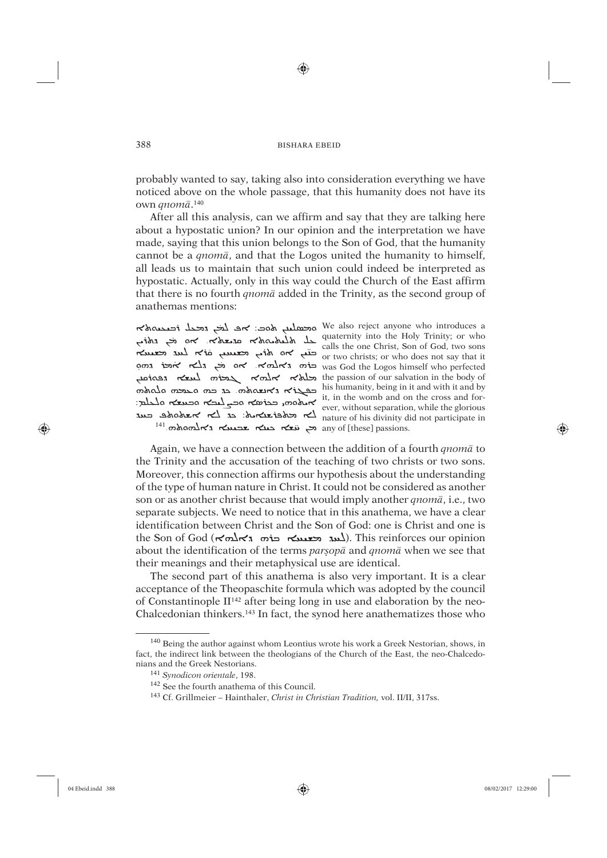⊕

probably wanted to say, taking also into consideration everything we have noticed above on the whole passage, that this humanity does not have its own qnomā.<sup>140</sup>

After all this analysis, can we affirm and say that they are talking here about a hypostatic union? In our opinion and the interpretation we have made, saying that this union belongs to the Son of God, that the humanity cannot be a *qnoma*, and that the Logos united the humanity to himself, all leads us to maintain that such union could indeed be interpreted as hypostatic. Actually, only in this way could the Church of the East affirm that there is no fourth *qnoma* added in the Trinity, as the second group of anathemas mentions:

waternity into the Holy Trinity; or who calls the one Christ, Son of God, two sons<br>or two christs; or who does not say that it or wo chinsis, or who does not say that it<br>was God the Logos himself who perfected was God the Logos himself who perfected the passion of our salvation in the body of the passion of our salvation in the body of mshalo mas a care of the distribution in the bouy of the distribution in the bouy of  $\frac{1}{2}$   $\frac{1}{2}$   $\frac{1}{2}$   $\frac{1}{2}$   $\frac{1}{2}$   $\frac{1}{2}$   $\frac{1}{2}$   $\frac{1}{2}$   $\frac{1}{2}$   $\frac{1}{2}$   $\frac{1}{2}$   $\frac{1}{2}$   $\frac{1}{2}$   $\frac{1}{2}$   $\frac{1}{2}$   $\frac{1}{2}$   $\frac{1}{2}$   $\frac{1}{2}$   $\frac{1}{2}$   $\frac{1}{2}$   $\frac{1}{2}$   $\frac{1}{2}$  any of [these] passions. הא מצא בעלה any of [these] passions.

388

محمليلم محصل We also reject anyone who introduces a

Again, we have a connection between the addition of a fourth  $qnom\bar{a}$  to the Trinity and the accusation of the teaching of two christs or two sons. Moreover, this connection affirms our hypothesis about the understanding of the type of human nature in Christ. It could not be considered as another son or as another christ because that would imply another *qnom* $\bar{a}$ , i.e., two separate subjects. We need to notice that in this anathema, we have a clear identification between Christ and the Son of God: one is Christ and one is the Son of God ( $\kappa$  $\alpha$   $\kappa$   $\alpha$   $\kappa$   $\alpha$   $\kappa$   $\alpha$   $\kappa$   $\alpha$   $\kappa$   $\alpha$   $\kappa$   $\alpha$   $\kappa$   $\alpha$   $\kappa$   $\alpha$   $\kappa$   $\alpha$   $\kappa$   $\alpha$   $\kappa$   $\alpha$   $\kappa$   $\alpha$   $\kappa$   $\alpha$   $\kappa$   $\alpha$   $\kappa$   $\alpha$   $\kappa$   $\alpha$   $\kappa$   $\alpha$   $\kappa$   $\$ about the identification of the terms parsopa and qnoma when we see that their meanings and their metaphysical use are identical.

The second part of this anathema is also very important. It is a clear acceptance of the Theopaschite formula which was adopted by the council of Constantinople  $II^{142}$  after being long in use and elaboration by the neo-Chalcedonian thinkers.<sup>143</sup> In fact, the synod here anathematizes those who

⊕

<sup>&</sup>lt;sup>140</sup> Being the author against whom Leontius wrote his work a Greek Nestorian, shows, in fact, the indirect link between the theologians of the Church of the East, the neo-Chalcedonians and the Greek Nestorians.

<sup>&</sup>lt;sup>141</sup> Synodicon orientale, 198.

<sup>&</sup>lt;sup>142</sup> See the fourth anathema of this Council.

<sup>&</sup>lt;sup>143</sup> Cf. Grillmeier - Hainthaler, *Christ in Christian Tradition*, vol. II/II, 317ss.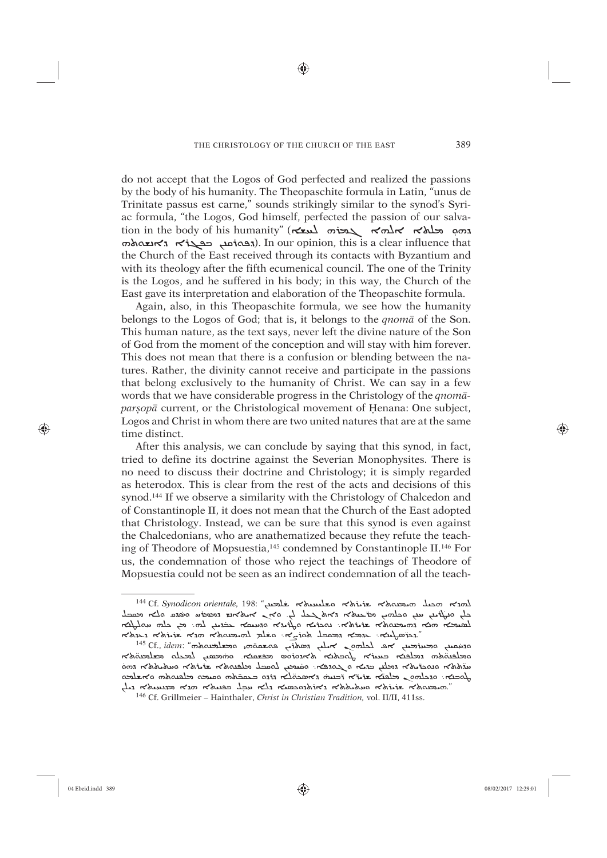⊕

do not accept that the Logos of God perfected and realized the passions by the body of his humanity. The Theopaschite formula in Latin, "unus de Trinitate passus est carne," sounds strikingly similar to the synod's Syriac formula, "the Logos, God himself, perfected the passion of our salvation in the body of his humanity" (ܐýÐß ܗûãܓ ܐÌßܐ ܐÿàâ ܕܗܘ ̣ ܬܗÍýåܕܐ ܐûܓòܒ çæøܪÍñܕ(. In our opinion, this is a clear influence that the Church of the East received through its contacts with Byzantium and with its theology after the fifth ecumenical council. The one of the Trinity is the Logos, and he suffered in his body; in this way, the Church of the East gave its interpretation and elaboration of the Theopaschite formula.

Again, also, in this Theopaschite formula, we see how the humanity belongs to the Logos of God; that is, it belongs to the *qnomâ* of the Son. This human nature, as the text says, never left the divine nature of the Son of God from the moment of the conception and will stay with him forever. This does not mean that there is a confusion or blending between the natures. Rather, the divinity cannot receive and participate in the passions that belong exclusively to the humanity of Christ. We can say in a few words that we have considerable progress in the Christology of the *qnomâparsopa* current, or the Christological movement of Henana: One subject, Logos and Christ in whom there are two united natures that are at the same time distinct.

After this analysis, we can conclude by saying that this synod, in fact, tried to define its doctrine against the Severian Monophysites. There is no need to discuss their doctrine and Christology; it is simply regarded as heterodox. This is clear from the rest of the acts and decisions of this synod.<sup>144</sup> If we observe a similarity with the Christology of Chalcedon and of Constantinople II, it does not mean that the Church of the East adopted that Christology. Instead, we can be sure that this synod is even against the Chalcedonians, who are anathematized because they refute the teaching of Theodore of Mopsuestia,145 condemned by Constantinople II.146 For us, the condemnation of those who reject the teachings of Theodore of Mopsuestia could not be seen as an indirect condemnation of all the teach-

⊕

<sup>144</sup> Cf. Synodicon orientale, 198: "خطيج مخلصية محمد الله بين محمد المحمد المحمد المحمد المحمد المحمد ֦֧֚֜ Es Osnoution orthant, 150. בשלבה הלומשים האומים האומים המאבירה היהודים ܐæÓßÍÏ 툆 çâ ܆Ìß çæØÊ̇ ĆãÙéßܐ ܗåܐ ܕܗÍæãØܬܐ ûØûüܬܐ܆ ØûÜÍåܐ ܘÊØûÒܐ ܘܕùÙÏܐ îܒ ֖֦֦֦֦֦֦֦֖֦֦֦֖֚֚֚֚֚֚֚֚֚֬֝֝֬֝֝֝֝֬֝֝֬֝ הלאשה המלוש הלאמשים לא היא הלא המכני המלושה "האלא

ociant oceanier and international services and international services of the security of the security of the security of the security of the security of the security of the security of the security of the security of the ֖֢ׅ֧֢ׅ֧ׅ֧֖֧֧֚֚֚֚֚֚֚֚֚֚֚֚֚֚֚֚֚֚̈̈֬֜֝֬֝֝֟֓֡֬֓֝ ייווייבריבר המשפח המביעה ומשפח המומחים המומחים המביעה המביעה המשפח המאומרים המומחים המומחים המומחים.<br>המומח המשפח המשפח המביעה המומחים המומחים המביעה להודעה המומחים המומחים המומחים המומחים המומחים המומחים המומחים món Norsado Norbe Norceaes e mar penso nence a neu penso Norsado Norbe ̇הא האנשטאלא האס האט האט הא הא הא הא האט האוי האנוסיבוס.

<sup>146</sup> Cf. Grillmeier – Hainthaler, *Christ in Christian Tradition,* vol. II/II, 411ss.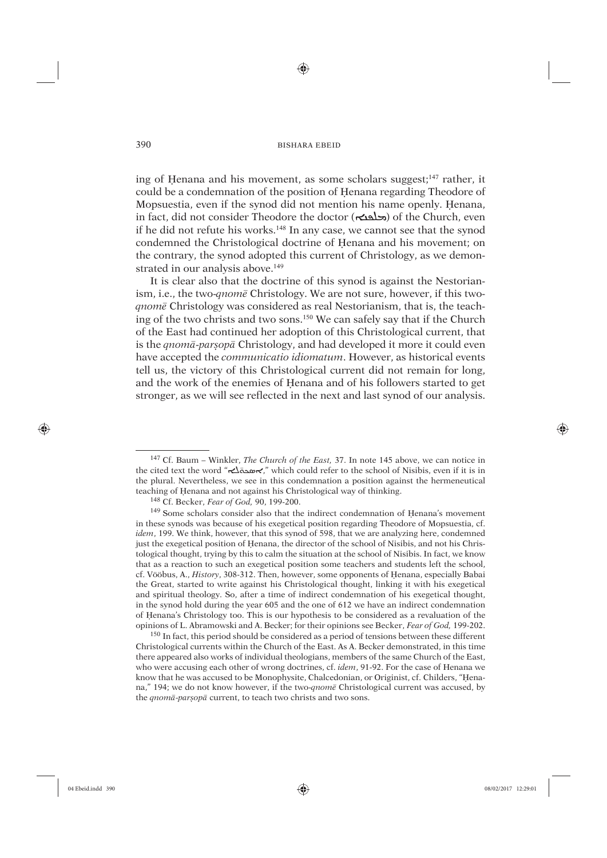⊕

ing of Henana and his movement, as some scholars suggest;<sup>147</sup> rather, it could be a condemnation of the position of Henana regarding Theodore of Mopsuestia, even if the synod did not mention his name openly. Üenana, in fact, did not consider Theodore the doctor (محلقت) of the Church, even if he did not refute his works.148 In any case, we cannot see that the synod condemned the Christological doctrine of Henana and his movement; on the contrary, the synod adopted this current of Christology, as we demonstrated in our analysis above.<sup>149</sup>

It is clear also that the doctrine of this synod is against the Nestorianism, i.e., the two-*qnomê* Christology. We are not sure, however, if this two*qnomê* Christology was considered as real Nestorianism, that is, the teaching of the two christs and two sons.150 We can safely say that if the Church of the East had continued her adoption of this Christological current, that is the *qnomâ*-*parúopâ* Christology, and had developed it more it could even have accepted the *communicatio idiomatum*. However, as historical events tell us, the victory of this Christological current did not remain for long, and the work of the enemies of Henana and of his followers started to get stronger, as we will see reflected in the next and last synod of our analysis.

<sup>150</sup> In fact, this period should be considered as a period of tensions between these different Christological currents within the Church of the East. As A. Becker demonstrated, in this time there appeared also works of individual theologians, members of the same Church of the East, who were accusing each other of wrong doctrines, cf. *idem*, 91-92. For the case of Henana we know that he was accused to be Monophysite, Chalcedonian, or Originist, cf. Childers, "Henana," 194; we do not know however, if the two-*qnomê* Christological current was accused, by the *qnomâ*-*parúopâ* current, to teach two christs and two sons.

⊕

<sup>147</sup> Cf. Baum – Winkler, *The Church of the East,* 37. In note 145 above, we can notice in the cited text the word " $\pi\Delta\pi$ ," which could refer to the school of Nisibis, even if it is in the plural. Nevertheless, we see in this condemnation a position against the hermeneutical teaching of Henana and not against his Christological way of thinking.

<sup>148</sup> Cf. Becker, *Fear of God,* 90, 199-200.

 $149$  Some scholars consider also that the indirect condemnation of Henana's movement in these synods was because of his exegetical position regarding Theodore of Mopsuestia, cf. *idem*, 199. We think, however, that this synod of 598, that we are analyzing here, condemned just the exegetical position of Henana, the director of the school of Nisibis, and not his Christological thought, trying by this to calm the situation at the school of Nisibis. In fact, we know that as a reaction to such an exegetical position some teachers and students left the school, cf. Vööbus, A., *History*, 308-312. Then, however, some opponents of Henana, especially Babai the Great, started to write against his Christological thought, linking it with his exegetical and spiritual theology. So, after a time of indirect condemnation of his exegetical thought, in the synod hold during the year 605 and the one of 612 we have an indirect condemnation of Üenana's Christology too. This is our hypothesis to be considered as a revaluation of the opinions of L. Abramowski and A. Becker; for their opinions see Becker, *Fear of God,* 199-202.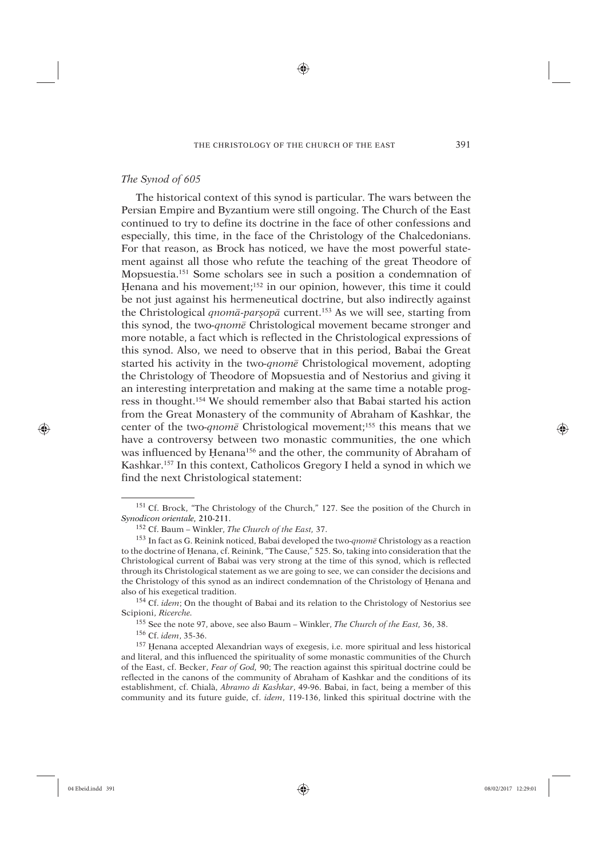♠

# *The Synod of 605*

The historical context of this synod is particular. The wars between the Persian Empire and Byzantium were still ongoing. The Church of the East continued to try to define its doctrine in the face of other confessions and especially, this time, in the face of the Christology of the Chalcedonians. For that reason, as Brock has noticed, we have the most powerful statement against all those who refute the teaching of the great Theodore of Mopsuestia.151 Some scholars see in such a position a condemnation of Henana and his movement;<sup>152</sup> in our opinion, however, this time it could be not just against his hermeneutical doctrine, but also indirectly against the Christological *qnomâ-parúopâ* current.153 As we will see, starting from this synod, the two*-qnomê* Christological movement became stronger and more notable, a fact which is reflected in the Christological expressions of this synod. Also, we need to observe that in this period, Babai the Great started his activity in the two*-qnomê* Christological movement, adopting the Christology of Theodore of Mopsuestia and of Nestorius and giving it an interesting interpretation and making at the same time a notable progress in thought.154 We should remember also that Babai started his action from the Great Monastery of the community of Abraham of Kashkar, the center of the two*-qnomê* Christological movement;155 this means that we have a controversy between two monastic communities, the one which was influenced by Henana<sup>156</sup> and the other, the community of Abraham of Kashkar.157 In this context, Catholicos Gregory I held a synod in which we find the next Christological statement:

155 See the note 97, above, see also Baum – Winkler, *The Church of the East,* 36, 38.

156 Cf. *idem*, 35-36.

<sup>157</sup> Henana accepted Alexandrian ways of exegesis, i.e. more spiritual and less historical and literal, and this influenced the spirituality of some monastic communities of the Church of the East, cf. Becker, *Fear of God,* 90; The reaction against this spiritual doctrine could be reflected in the canons of the community of Abraham of Kashkar and the conditions of its establishment, cf. Chialà, *Abramo di Kashkar*, 49-96. Babai, in fact, being a member of this community and its future guide, cf. *idem*, 119-136, linked this spiritual doctrine with the

⊕

<sup>151</sup> Cf. Brock, "The Christology of the Church," 127. See the position of the Church in *Synodicon orientale,* 210-211.

<sup>152</sup> Cf. Baum – Winkler, *The Church of the East,* 37.

<sup>153</sup> In fact as G. Reinink noticed, Babai developed the two-*qnomê* Christology as a reaction to the doctrine of Henana, cf. Reinink, "The Cause," 525. So, taking into consideration that the Christological current of Babai was very strong at the time of this synod, which is reflected through its Christological statement as we are going to see, we can consider the decisions and the Christology of this synod as an indirect condemnation of the Christology of Üenana and also of his exegetical tradition.

<sup>154</sup> Cf. *idem*; On the thought of Babai and its relation to the Christology of Nestorius see Scipioni, *Ricerche.*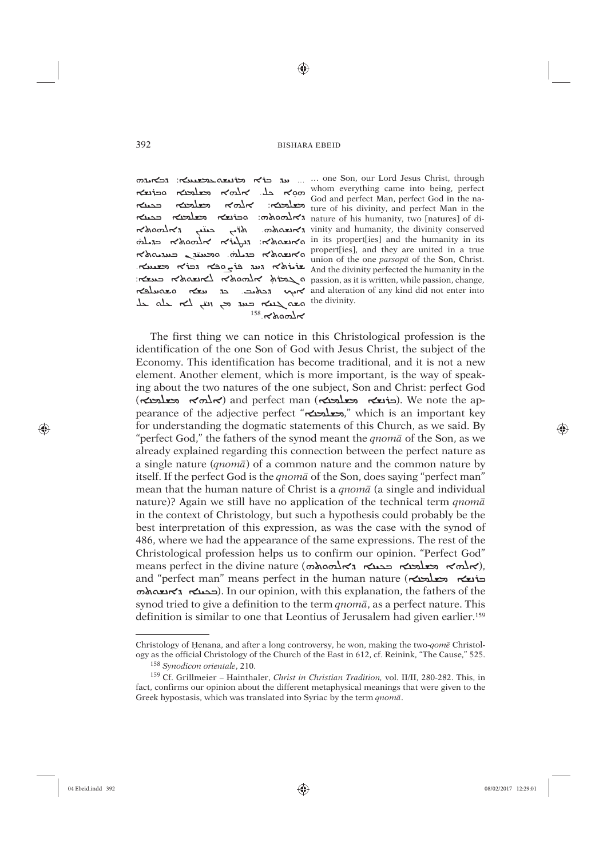⊕

حدمك معلمته kr ب  $\kappa$ hom $\kappa$ حبتب  $^{158}$ . $\lt$ homk

on Christ, through הבא המה מה וכלא היו ... על היו הא הוא הבא הוא המא האו טיט שטע שטארער ture of his divinity, and perfect Man in the cohomature of his humanity, two [natures] of di-האופס solved ivinity and humanity, the divinity conserved <u>ראשה האמצור לאומסאלה אלחסטאל (passion, as it is written, while passion, change,</u> and alteration of any kind did not enter into אم ה בא כה נש

The first thing we can notice in this Christological profession is the identification of the one Son of God with Jesus Christ, the subject of the Economy. This identification has become traditional, and it is not a new element. Another element, which is more important, is the way of speaking about the two natures of the one subject, Son and Christ: perfect God  $(\kappa x)$  וכוֹנצא השלכנה) and perfect man (כוֹנצא השלכנה). We note the appearance of the adjective perfect ", وحعلحنه," which is an important key for understanding the dogmatic statements of this Church, as we said. By "perfect God," the fathers of the synod meant the *qnom* a of the Son, as we already explained regarding this connection between the perfect nature as a single nature (*gnoma*) of a common nature and the common nature by itself. If the perfect God is the *gnoma* of the Son, does saying "perfect man" mean that the human nature of Christ is a *qnoma* (a single and individual nature)? Again we still have no application of the technical term *qnoma* in the context of Christology, but such a hypothesis could probably be the best interpretation of this expression, as was the case with the synod of 486, where we had the appearance of the same expressions. The rest of the Christological profession helps us to confirm our opinion. "Perfect God" means perfect in the divine nature (obtain), and "perfect man" means perfect in the human nature (הבלושא השלבה)  $\sigma$ ובבעה . In our opinion, with this explanation, the fathers of the synod tried to give a definition to the term *qnomā*, as a perfect nature. This definition is similar to one that Leontius of Jerusalem had given earlier.<sup>159</sup>

392

⊕

Christology of Henana, and after a long controversy, he won, making the two-qome Christology as the official Christology of the Church of the East in 612, cf. Reinink, "The Cause," 525. <sup>158</sup> Synodicon orientale, 210.

<sup>&</sup>lt;sup>159</sup> Cf. Grillmeier - Hainthaler, Christ in Christian Tradition, vol. II/II, 280-282. This, in fact, confirms our opinion about the different metaphysical meanings that were given to the Greek hypostasis, which was translated into Syriac by the term *gnomā*.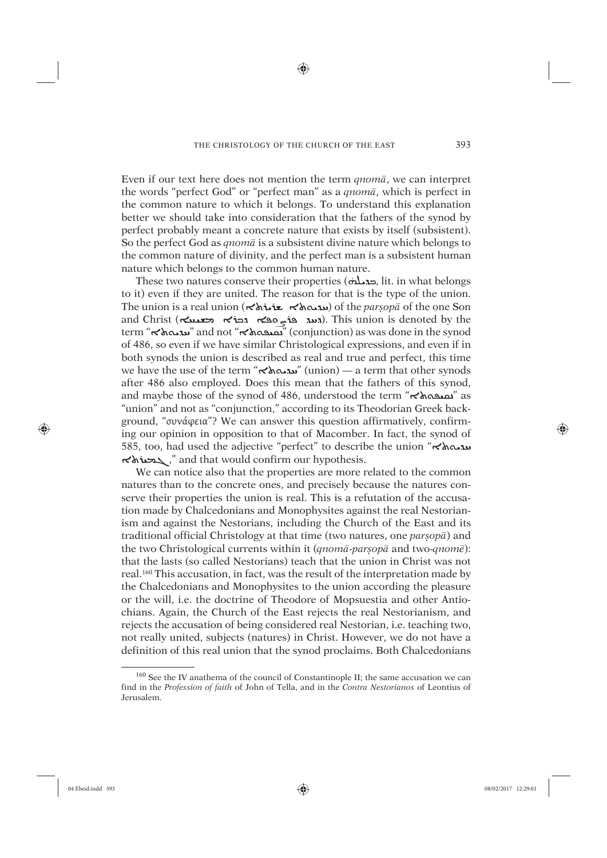⊕

Even if our text here does not mention the term *qnomâ*, we can interpret the words "perfect God" or "perfect man" as a *qnomâ*, which is perfect in the common nature to which it belongs. To understand this explanation better we should take into consideration that the fathers of the synod by perfect probably meant a concrete nature that exists by itself (subsistent). So the perfect God as *qnomâ* is a subsistent divine nature which belongs to the common nature of divinity, and the perfect man is a subsistent human nature which belongs to the common human nature.

dic when belongs to the common numan nature.<br>These two natures conserve their properties (ح**قدرات**), lit. in what belongs to it) even if they are united. The reason for that is the type of the union. The union is a real union ( $\prec$ شده  $\star$ ه هذه  $\star$ ه ) of the *parșop* $\bar{a}$  of the one Son and Christ (האג פֿו<sub>אַ</sub> term "ܬܐÍØÊÏ" and not "ܬܐÍòÙùå" (conjunction) as was done in the synod of 486, so even if we have similar Christological expressions, and even if in both synods the union is described as real and true and perfect, this time we have the use of the term "הובאלא" (union) — a term that other synods after 486 also employed. Does this mean that the fathers of this synod, and maybe those of the synod of 486, understood the term "מתובא "as "union" and not as "conjunction," according to its Theodorian Greek background, "συνάφεια"? We can answer this question affirmatively, confirming our opinion in opposition to that of Macomber. In fact, the synod of 585, too, had used the adjective "perfect" to describe the union "תה האל ܬܐûÙãܓ, "and that would confirm our hypothesis.

We can notice also that the properties are more related to the common natures than to the concrete ones, and precisely because the natures conserve their properties the union is real. This is a refutation of the accusation made by Chalcedonians and Monophysites against the real Nestorianism and against the Nestorians, including the Church of the East and its traditional official Christology at that time (two natures, one *parsop*<sup>*a*</sup>) and the two Christological currents within it (*qnomâ*-*parúopâ* and two-*qnomê*): that the lasts (so called Nestorians) teach that the union in Christ was not real.160 This accusation, in fact, was the result of the interpretation made by the Chalcedonians and Monophysites to the union according the pleasure or the will, i.e. the doctrine of Theodore of Mopsuestia and other Antiochians. Again, the Church of the East rejects the real Nestorianism, and rejects the accusation of being considered real Nestorian, i.e. teaching two, not really united, subjects (natures) in Christ. However, we do not have a definition of this real union that the synod proclaims. Both Chalcedonians

⊕

<sup>160</sup> See the IV anathema of the council of Constantinople II; the same accusation we can find in the *Profession of faith* of John of Tella, and in the *Contra Nestorianos* of Leontius of Jerusalem.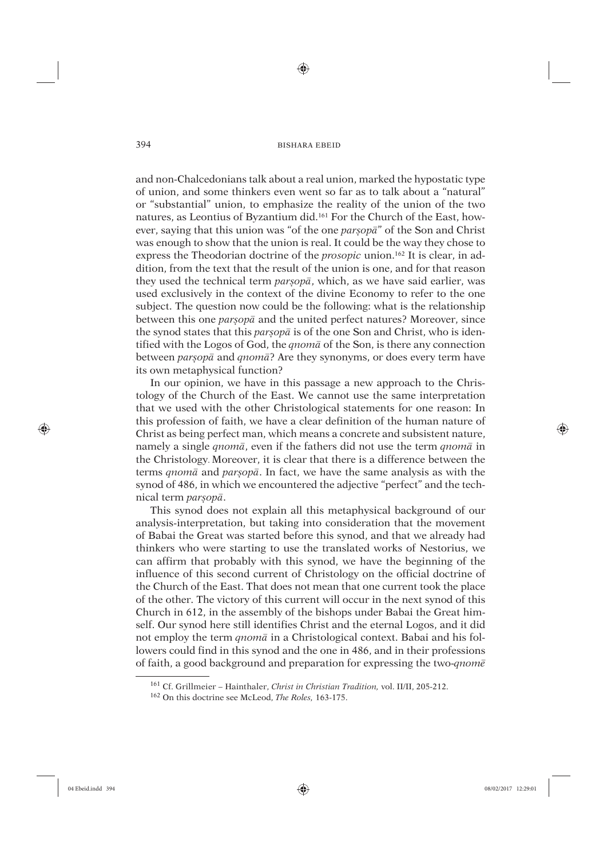⊕

and non-Chalcedonians talk about a real union, marked the hypostatic type of union, and some thinkers even went so far as to talk about a "natural" or "substantial" union, to emphasize the reality of the union of the two natures, as Leontius of Byzantium did.161 For the Church of the East, however, saying that this union was "of the one *parsopa*" of the Son and Christ was enough to show that the union is real. It could be the way they chose to express the Theodorian doctrine of the *prosopic* union.162 It is clear, in addition, from the text that the result of the union is one, and for that reason they used the technical term *parúopâ*, which, as we have said earlier, was used exclusively in the context of the divine Economy to refer to the one subject. The question now could be the following: what is the relationship between this one *parúopâ* and the united perfect natures? Moreover, since the synod states that this *parsopa* is of the one Son and Christ, who is identified with the Logos of God, the *qnomâ* of the Son, is there any connection between *parúopâ* and *qnomâ*? Are they synonyms, or does every term have its own metaphysical function?

In our opinion, we have in this passage a new approach to the Christology of the Church of the East. We cannot use the same interpretation that we used with the other Christological statements for one reason: In this profession of faith, we have a clear definition of the human nature of Christ as being perfect man, which means a concrete and subsistent nature, namely a single *qnomâ*, even if the fathers did not use the term *qnomâ* in the Christology. Moreover, it is clear that there is a difference between the terms *qnomâ* and *parúopâ*. In fact, we have the same analysis as with the synod of 486, in which we encountered the adjective "perfect" and the technical term *parúopâ*.

This synod does not explain all this metaphysical background of our analysis-interpretation, but taking into consideration that the movement of Babai the Great was started before this synod, and that we already had thinkers who were starting to use the translated works of Nestorius, we can affirm that probably with this synod, we have the beginning of the influence of this second current of Christology on the official doctrine of the Church of the East. That does not mean that one current took the place of the other. The victory of this current will occur in the next synod of this Church in 612, in the assembly of the bishops under Babai the Great himself. Our synod here still identifies Christ and the eternal Logos, and it did not employ the term *qnomâ* in a Christological context. Babai and his followers could find in this synod and the one in 486, and in their professions of faith, a good background and preparation for expressing the two-*qnomê*

⊕

<sup>161</sup> Cf. Grillmeier – Hainthaler, *Christ in Christian Tradition,* vol. II/II, 205-212.

<sup>162</sup> On this doctrine see McLeod, *The Roles,* 163-175.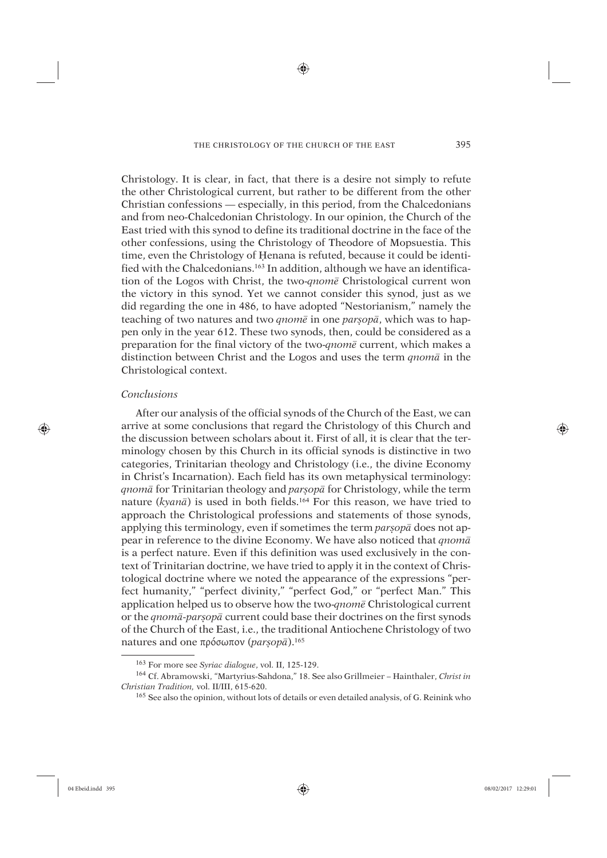⊕

Christology. It is clear, in fact, that there is a desire not simply to refute the other Christological current, but rather to be different from the other Christian confessions — especially, in this period, from the Chalcedonians and from neo-Chalcedonian Christology. In our opinion, the Church of the East tried with this synod to define its traditional doctrine in the face of the other confessions, using the Christology of Theodore of Mopsuestia. This time, even the Christology of Henana is refuted, because it could be identified with the Chalcedonians.163 In addition, although we have an identification of the Logos with Christ, the two-*qnomê* Christological current won the victory in this synod. Yet we cannot consider this synod, just as we did regarding the one in 486, to have adopted "Nestorianism," namely the teaching of two natures and two *qnomê* in one *parúopâ*, which was to happen only in the year 612. These two synods, then, could be considered as a preparation for the final victory of the two-*qnomê* current, which makes a distinction between Christ and the Logos and uses the term *qnomâ* in the Christological context.

# *Conclusions*

⊕

After our analysis of the official synods of the Church of the East, we can arrive at some conclusions that regard the Christology of this Church and the discussion between scholars about it. First of all, it is clear that the terminology chosen by this Church in its official synods is distinctive in two categories, Trinitarian theology and Christology (i.e., the divine Economy in Christ's Incarnation). Each field has its own metaphysical terminology: *qnomâ* for Trinitarian theology and *parúopâ* for Christology, while the term nature (*kyanâ*) is used in both fields.164 For this reason, we have tried to approach the Christological professions and statements of those synods, applying this terminology, even if sometimes the term *parsop*<sup>*a*</sup> does not appear in reference to the divine Economy. We have also noticed that *qnomâ* is a perfect nature. Even if this definition was used exclusively in the context of Trinitarian doctrine, we have tried to apply it in the context of Christological doctrine where we noted the appearance of the expressions "perfect humanity," "perfect divinity," "perfect God," or "perfect Man." This application helped us to observe how the two-*qnomê* Christological current or the *qnomâ-parúopâ* current could base their doctrines on the first synods of the Church of the East, i.e., the traditional Antiochene Christology of two natures and one πρόσωπον (*parúopâ*).165

<sup>163</sup> For more see *Syriac dialogue*, vol. II, 125-129.

<sup>164</sup> Cf. Abramowski, "Martyrius-Sahdona," 18. See also Grillmeier – Hainthaler, *Christ in Christian Tradition,* vol. II/III, 615-620.

<sup>165</sup> See also the opinion, without lots of details or even detailed analysis, of G. Reinink who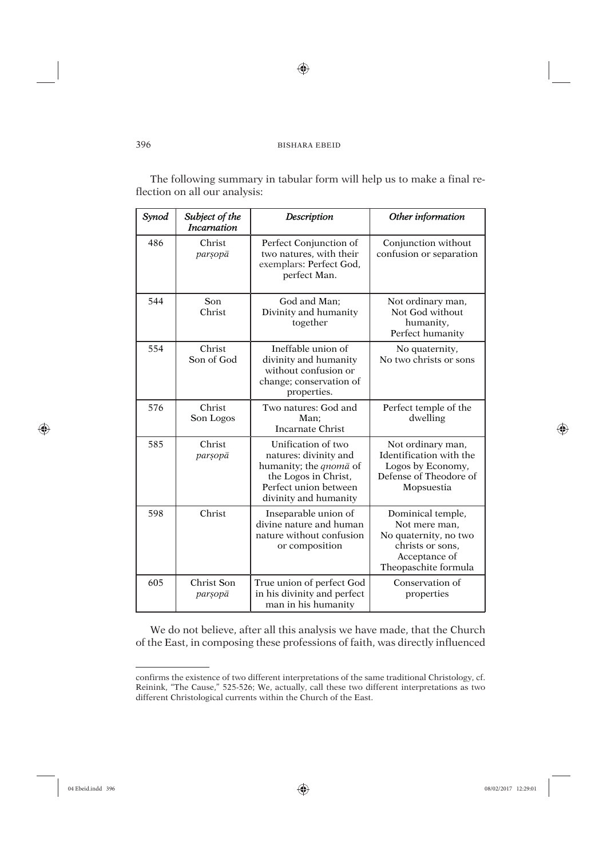$\bigoplus$ 

The following summary in tabular form will help us to make a final reflection on all our analysis:

| Synod | Subject of the<br><b>Incarnation</b> | <b>Description</b>                                                                                                                                     | Other information                                                                                                        |
|-------|--------------------------------------|--------------------------------------------------------------------------------------------------------------------------------------------------------|--------------------------------------------------------------------------------------------------------------------------|
| 486   | Christ<br>parsopā                    | Perfect Conjunction of<br>two natures, with their<br>exemplars: Perfect God,<br>perfect Man.                                                           | Conjunction without<br>confusion or separation                                                                           |
| 544   | Son<br>Christ                        | God and Man:<br>Divinity and humanity<br>together                                                                                                      | Not ordinary man,<br>Not God without<br>humanity,<br>Perfect humanity                                                    |
| 554   | Christ<br>Son of God                 | Ineffable union of<br>divinity and humanity<br>without confusion or<br>change; conservation of<br>properties.                                          | No quaternity,<br>No two christs or sons                                                                                 |
| 576   | Christ<br>Son Logos                  | Two natures: God and<br>Man:<br>Incarnate Christ                                                                                                       | Perfect temple of the<br>dwelling                                                                                        |
| 585   | Christ<br>parsopā                    | Unification of two<br>natures: divinity and<br>humanity; the <i>qnoma</i> of<br>the Logos in Christ,<br>Perfect union between<br>divinity and humanity | Not ordinary man,<br>Identification with the<br>Logos by Economy,<br>Defense of Theodore of<br>Mopsuestia                |
| 598   | Christ                               | Inseparable union of<br>divine nature and human<br>nature without confusion<br>or composition                                                          | Dominical temple,<br>Not mere man,<br>No quaternity, no two<br>christs or sons.<br>Acceptance of<br>Theopaschite formula |
| 605   | Christ Son<br>parsopā                | True union of perfect God<br>in his divinity and perfect<br>man in his humanity                                                                        | Conservation of<br>properties                                                                                            |

We do not believe, after all this analysis we have made, that the Church of the East, in composing these professions of faith, was directly influenced

 $\bigoplus$ 

⊕

confirms the existence of two different interpretations of the same traditional Christology, cf. Reinink, "The Cause," 525-526; We, actually, call these two different interpretations as two different Christological currents within the Church of the East.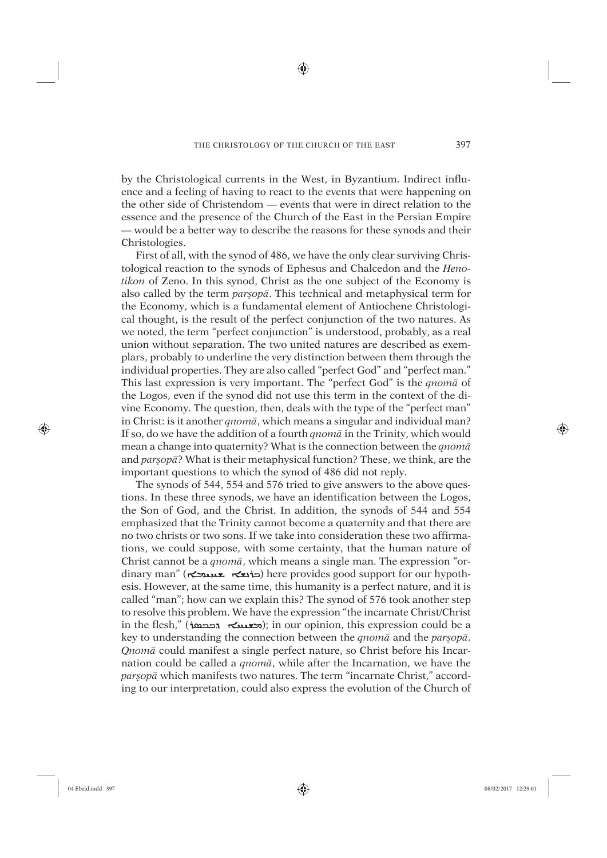⊕

by the Christological currents in the West, in Byzantium. Indirect influence and a feeling of having to react to the events that were happening on the other side of Christendom — events that were in direct relation to the essence and the presence of the Church of the East in the Persian Empire — would be a better way to describe the reasons for these synods and their Christologies.

First of all, with the synod of 486, we have the only clear surviving Christological reaction to the synods of Ephesus and Chalcedon and the *Henotikon* of Zeno. In this synod, Christ as the one subject of the Economy is also called by the term *parúopâ*. This technical and metaphysical term for the Economy, which is a fundamental element of Antiochene Christological thought, is the result of the perfect conjunction of the two natures. As we noted, the term "perfect conjunction" is understood, probably, as a real union without separation. The two united natures are described as exemplars, probably to underline the very distinction between them through the individual properties. They are also called "perfect God" and "perfect man." This last expression is very important. The "perfect God" is the *qnomâ* of the Logos, even if the synod did not use this term in the context of the divine Economy. The question, then, deals with the type of the "perfect man" in Christ: is it another *qnomâ*, which means a singular and individual man? If so, do we have the addition of a fourth *qnomâ* in the Trinity, which would mean a change into quaternity? What is the connection between the *qnomâ* and *parúopâ*? What is their metaphysical function? These, we think, are the important questions to which the synod of 486 did not reply.

The synods of 544, 554 and 576 tried to give answers to the above questions. In these three synods, we have an identification between the Logos, the Son of God, and the Christ. In addition, the synods of 544 and 554 emphasized that the Trinity cannot become a quaternity and that there are no two christs or two sons. If we take into consideration these two affirmations, we could suppose, with some certainty, that the human nature of Christ cannot be a *qnomâ*, which means a single man. The expression "ordinary man" (הוצא שאנגלא) here provides good support for our hypothesis. However, at the same time, this humanity is a perfect nature, and it is called "man"; how can we explain this? The synod of 576 took another step to resolve this problem. We have the expression "the incarnate Christ/Christ in the flesh," (השנטאה); in our opinion, this expression could be a key to understanding the connection between the *qnomâ* and the *parúopâ*. *Qnomâ* could manifest a single perfect nature, so Christ before his Incarnation could be called a *qnomâ*, while after the Incarnation, we have the *parșop* $\bar{a}$  which manifests two natures. The term "incarnate Christ," according to our interpretation, could also express the evolution of the Church of

⊕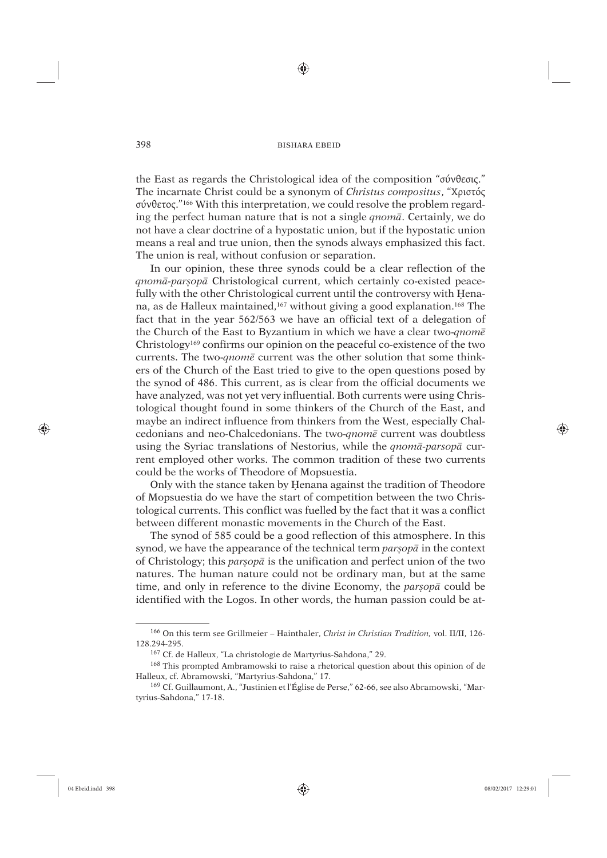⊕

the East as regards the Christological idea of the composition "σύνθεσις." The incarnate Christ could be a synonym of *Christus compositus*, "Χριστός σύνθετος."166 With this interpretation, we could resolve the problem regarding the perfect human nature that is not a single *qnomâ*. Certainly, we do not have a clear doctrine of a hypostatic union, but if the hypostatic union means a real and true union, then the synods always emphasized this fact. The union is real, without confusion or separation.

In our opinion, these three synods could be a clear reflection of the *qnomâ-parúopâ* Christological current, which certainly co-existed peacefully with the other Christological current until the controversy with Henana, as de Halleux maintained,<sup>167</sup> without giving a good explanation.<sup>168</sup> The fact that in the year 562/563 we have an official text of a delegation of the Church of the East to Byzantium in which we have a clear two-*qnomê* Christology169 confirms our opinion on the peaceful co-existence of the two currents. The two-*qnomê* current was the other solution that some thinkers of the Church of the East tried to give to the open questions posed by the synod of 486. This current, as is clear from the official documents we have analyzed, was not yet very influential. Both currents were using Christological thought found in some thinkers of the Church of the East, and maybe an indirect influence from thinkers from the West, especially Chalcedonians and neo-Chalcedonians. The two-*qnomê* current was doubtless using the Syriac translations of Nestorius, while the *qnomâ-parsopâ* current employed other works. The common tradition of these two currents could be the works of Theodore of Mopsuestia.

Only with the stance taken by Üenana against the tradition of Theodore of Mopsuestia do we have the start of competition between the two Christological currents. This conflict was fuelled by the fact that it was a conflict between different monastic movements in the Church of the East.

The synod of 585 could be a good reflection of this atmosphere. In this synod, we have the appearance of the technical term *parúopâ* in the context of Christology; this *parúopâ* is the unification and perfect union of the two natures. The human nature could not be ordinary man, but at the same time, and only in reference to the divine Economy, the *parsopa* could be identified with the Logos. In other words, the human passion could be at-

⊕

<sup>166</sup> On this term see Grillmeier – Hainthaler, *Christ in Christian Tradition,* vol. II/II, 126- 128.294-295.

<sup>167</sup> Cf. de Halleux, "La christologie de Martyrius-Sahdona," 29.

<sup>168</sup> This prompted Ambramowski to raise a rhetorical question about this opinion of de Halleux, cf. Abramowski, "Martyrius-Sahdona," 17.

<sup>169</sup> Cf. Guillaumont, A., "Justinien et l'Église de Perse," 62-66, see also Abramowski, "Martyrius-Sahdona," 17-18.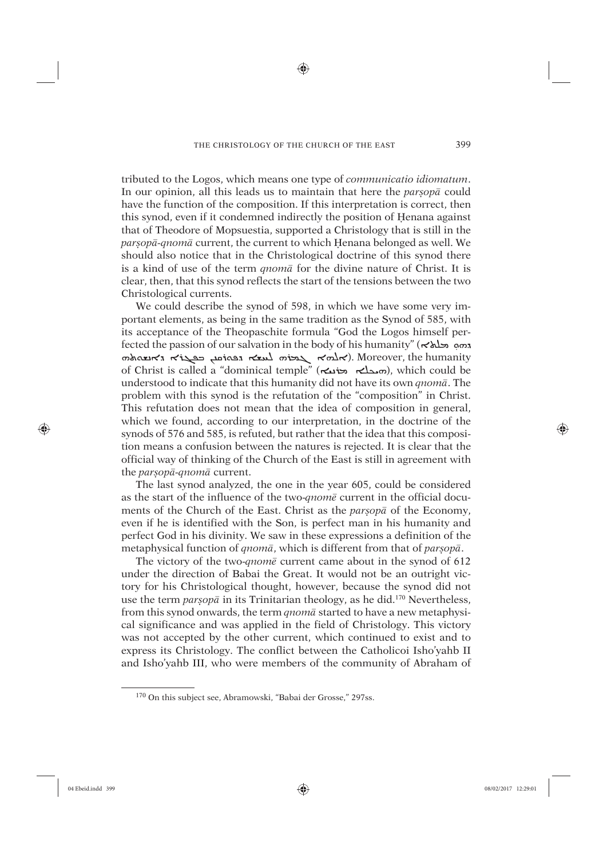⊕

tributed to the Logos, which means one type of *communicatio idiomatum*. In our opinion, all this leads us to maintain that here the *parsopa* could have the function of the composition. If this interpretation is correct, then this synod, even if it condemned indirectly the position of Henana against that of Theodore of Mopsuestia, supported a Christology that is still in the *parsopā-gnomā* current, the current to which Henana belonged as well. We should also notice that in the Christological doctrine of this synod there is a kind of use of the term *qnomâ* for the divine nature of Christ. It is clear, then, that this synod reflects the start of the tensions between the two Christological currents.

We could describe the synod of 598, in which we have some very important elements, as being in the same tradition as the Synod of 585, with its acceptance of the Theopaschite formula "God the Logos himself perfected the passion of our salvation in the body of his humanity" (ܐܐܢ ܕܘܘ ܡܘܪܝܢ ܐܢܫܘܪܘܐ ܐܢܫܘܪܘܐ ܐܢܫܘܪܘܐ ܐܢܫܘܪܘܐ ܐܢܫܘܪܘܐ ܐܢܫܘܪܘܐ ܐܢܫܘܪܘܢ of Christ is called a "dominical temple" (ܐܝܟܠܐ ܡܪܝܝܐ), which could be understood to indicate that this humanity did not have its own *qnomâ*. The problem with this synod is the refutation of the "composition" in Christ. This refutation does not mean that the idea of composition in general, which we found, according to our interpretation, in the doctrine of the synods of 576 and 585, is refuted, but rather that the idea that this composition means a confusion between the natures is rejected. It is clear that the official way of thinking of the Church of the East is still in agreement with the *parúopâ-qnomâ* current.

The last synod analyzed, the one in the year 605, could be considered as the start of the influence of the two-*qnomê* current in the official documents of the Church of the East. Christ as the *parsop*<sup>*a*</sup> of the Economy, even if he is identified with the Son, is perfect man in his humanity and perfect God in his divinity. We saw in these expressions a definition of the metaphysical function of *qnom* $\overline{a}$ , which is different from that of *parsop* $\overline{a}$ .

The victory of the two-*qnomê* current came about in the synod of 612 under the direction of Babai the Great. It would not be an outright victory for his Christological thought, however, because the synod did not use the term *parúopâ* in its Trinitarian theology, as he did.170 Nevertheless, from this synod onwards, the term *qnomâ* started to have a new metaphysical significance and was applied in the field of Christology. This victory was not accepted by the other current, which continued to exist and to express its Christology. The conflict between the Catholicoi Isho'yahb II and Isho'yahb III, who were members of the community of Abraham of

⊕

<sup>170</sup> On this subject see, Abramowski, "Babai der Grosse," 297ss.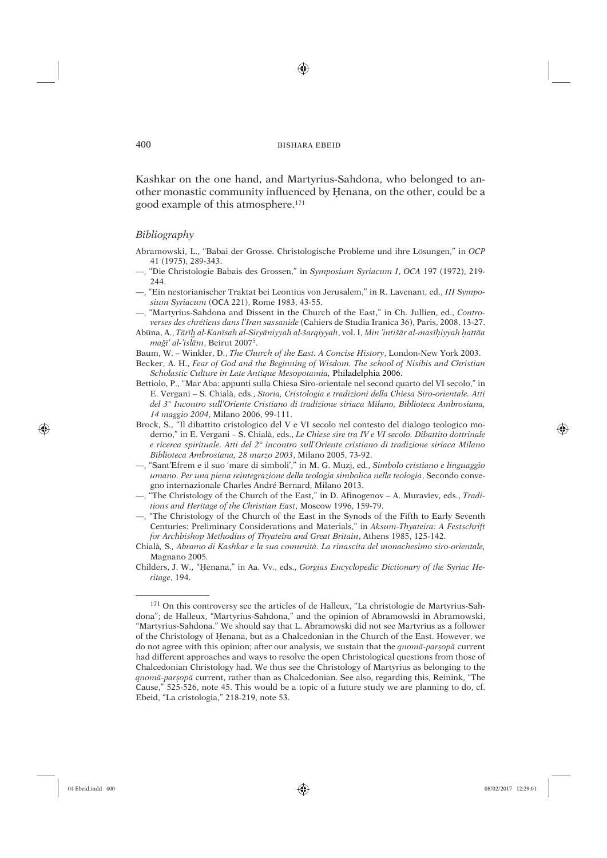⊕

Kashkar on the one hand, and Martyrius-Sahdona, who belonged to another monastic community influenced by Henana, on the other, could be a good example of this atmosphere.<sup>171</sup>

# Bibliography

- Abramowski, L., "Babai der Grosse. Christologische Probleme und ihre Lösungen," in OCP 41 (1975), 289-343.
- "Die Christologie Babais des Grossen," in Symposium Syriacum I, OCA 197 (1972), 219-244.
- -, "Ein nestorianischer Traktat bei Leontius von Jerusalem," in R. Lavenant, ed., III Symposium Syriacum (OCA 221), Rome 1983, 43-55.

-, "Martyrius-Sahdona and Dissent in the Church of the East," in Ch. Jullien, ed., Controverses des chrétiens dans l'Iran sassanide (Cahiers de Studia Iranica 36), Paris, 2008, 13-27.

Abūna, A., Tārīh al-Kanīsah al-Siryāniyyah al-šarqiyyah, vol. I, Min 'intišār al-masīhiyyah hattāa mağī' al-'islām, Beirut 2007<sup>5</sup>.

Baum, W. - Winkler, D., The Church of the East. A Concise History, London-New York 2003.

Becker, A. H., Fear of God and the Beginning of Wisdom. The school of Nisibis and Christian Scholastic Culture in Late Antique Mesopotamia, Philadelphia 2006.

- Bettiolo, P., "Mar Aba: appunti sulla Chiesa Siro-orientale nel second quarto del VI secolo," in E. Vergani - S. Chialà, eds., Storia, Cristologia e tradizioni della Chiesa Siro-orientale. Atti del 3º Incontro sull'Oriente Cristiano di tradizione siriaca Milano, Biblioteca Ambrosiana, 14 maggio 2004, Milano 2006, 99-111.
- Brock, S., "Il dibattito cristologico del V e VI secolo nel contesto del dialogo teologico moderno," in E. Vergani - S. Chialà, eds., Le Chiese sire tra IV e VI secolo. Dibattito dottrinale e ricerca spirituale. Atti del 2° incontro sull'Oriente cristiano di tradizione siriaca Milano Biblioteca Ambrosiana, 28 marzo 2003, Milano 2005, 73-92.
- -, "Sant'Efrem e il suo 'mare di simboli'," in M. G. Muzj, ed., Simbolo cristiano e linguaggio umano. Per una piena reintegrazione della teologia simbolica nella teologia, Secondo convegno internazionale Charles André Bernard, Milano 2013.
- -, "The Christology of the Church of the East," in D. Afinogenov A. Muraviev, eds., Traditions and Heritage of the Christian East, Moscow 1996, 159-79.
- -, "The Christology of the Church of the East in the Synods of the Fifth to Early Seventh Centuries: Preliminary Considerations and Materials," in Aksum-Thyateira: A Festschrift for Archbishop Methodius of Thyateira and Great Britain, Athens 1985, 125-142.
- Chialà. S., Abramo di Kashkar e la sua comunità. La rinascita del monachesimo siro-orientale. Magnano 2005.

400

⊕

Childers, J. W., "Henana," in Aa. Vv., eds., Gorgias Encyclopedic Dictionary of the Syriac Heritage, 194.

<sup>&</sup>lt;sup>171</sup> On this controversy see the articles of de Halleux, "La christologie de Martyrius-Sahdona"; de Halleux, "Martyrius-Sahdona," and the opinion of Abramowski in Abramowski, "Martyrius-Sahdona." We should say that L. Abramowski did not see Martyrius as a follower of the Christology of Henana, but as a Chalcedonian in the Church of the East. However, we do not agree with this opinion; after our analysis, we sustain that the *qnoma-parsopa* current had different approaches and ways to resolve the open Christological questions from those of Chalcedonian Christology had. We thus see the Christology of Martyrius as belonging to the qnomā-parsopā current, rather than as Chalcedonian. See also, regarding this, Reinink, "The Cause," 525-526, note 45. This would be a topic of a future study we are planning to do, cf. Ebeid, "La cristologia," 218-219, note 53.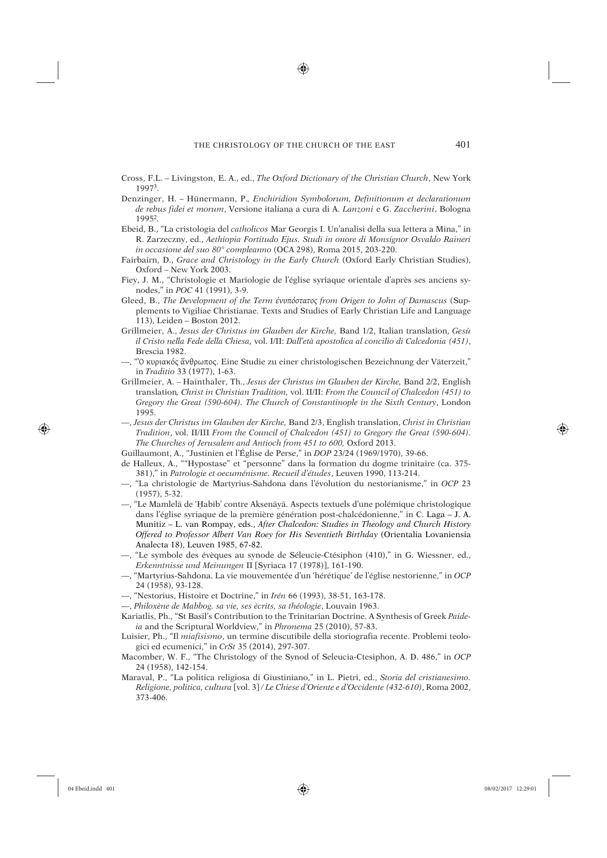♠

- Cross, F.L. Livingston, E. A., ed., *The Oxford Dictionary of the Christian Church*, New York 19973.
- Denzinger, H. Hünermann, P.*, Enchiridion Symbolorum, Definitionum et declarationum de rebus fidei et morum*, Versione italiana a cura di A. *Lanzoni* e G. *Zaccherini*, Bologna 1995<sup>2</sup>*.*
- Ebeid, B., "La cristologia del *catholicos* Mar Georgis I. Un'analisi della sua lettera a Mina," in R. Zarzeczny, ed., *Aethiopia Fortitudo Ejus. Studi in onore di Monsignor Osvaldo Raineri in occasione del suo 80° compleanno* (OCA 298), Roma 2015, 203-220.
- Fairbairn, D., *Grace and Christology in the Early Church* (Oxford Early Christian Studies), Oxford – New York 2003.
- Fiey, J. M., "Christologie et Mariologie de l'église syriaque orientale d'après ses anciens synodes," in *POC* 41 (1991), 3-9.
- Gleed, B., *The Development of the Term ἐνυπόστατος from Origen to John of Damascus* (Supplements to Vigiliae Christianae. Texts and Studies of Early Christian Life and Language 113), Leiden – Boston 2012.
- Grillmeier, A., *Jesus der Christus im Glauben der Kirche,* Band 1/2, Italian translation, *Gesù il Cristo nella Fede della Chiesa,* vol. I/II: *Dall'età apostolica al concilio di Calcedonia (451)*, Brescia 1982.
- —, "Ὀ κυριακός ἅνθρωπος. Eine Studie zu einer christologischen Bezeichnung der Väterzeit," in *Traditio* 33 (1977), 1-63.
- Grillmeier, A. Hainthaler, Th., *Jesus der Christus im Glauben der Kirche,* Band 2/2, English translation*, Christ in Christian Tradition,* vol. II/II: *From the Council of Chalcedon (451) to Gregory the Great (590-604). The Church of Constantinople in the Sixth Century*, London 1995.
- —, *Jesus der Christus im Glauben der Kirche,* Band 2/3, English translation, *Christ in Christian Tradition*, vol. II/III *From the Council of Chalcedon (451) to Gregory the Great (590-604). The Churches of Jerusalem and Antioch from 451 to 600,* Oxford 2013.
- Guillaumont, A., "Justinien et l'Église de Perse," in *DOP* 23/24 (1969/1970), 39-66.
- de Halleux, A., ""Hypostase" et "personne" dans la formation du dogme trinitaire (ca. 375- 381)," in *Patrologie et oecuménisme. Recueil d'études*, Leuven 1990, 113-214.
- —, "La christologie de Martyrius-Sahdona dans l'évolution du nestorianisme," in *OCP* 23 (1957), 5-32.
- —, "Le Mamlelâ de 'Üabíb' contre Aksenâyâ. Aspects textuels d'une polémique christologique dans l'église syriaque de la première génération post-chalcédonienne," in C. Laga – J. A. Munitiz – L. van Rompay, eds., *After Chalcedon: Studies in Theology and Church History Offered to Professor Albert Van Roey for His Seventieth Birthday* (Orientalia Lovaniensia Analecta 18), Leuven 1985, 67-82.
- —, "Le symbole des évèques au synode de Séleucie-Ctésiphon (410)," in G. Wiessner, ed., *Erkenntnisse und Meinungen* II [Syriaca 17 (1978)], 161-190.
- —, "Martyrius-Sahdona. La vie mouvementée d'un 'hérétique' de l'église nestorienne," in *OCP* 24 (1958), 93-128.
- —, "Nestorius, Histoire et Doctrine," in *Irén* 66 (1993), 38-51, 163-178.
- —, *Philoxène de Mabbog. sa vie, ses ècrits, sa théologie*, Louvain 1963.
- Kariatlis, Ph., "St Basil's Contribution to the Trinitarian Doctrine. A Synthesis of Greek *Paideia* and the Scriptural Worldview," in *Phronema* 25 (2010), 57-83.
- Luisier, Ph., "Il *miafisismo*, un termine discutibile della storiografia recente. Problemi teologici ed ecumenici," in *CrSt* 35 (2014), 297-307.
- Macomber, W. F., "The Christology of the Synod of Seleucia-Ctesiphon, A. D. 486," in *OCP* 24 (1958), 142-154.
- Maraval, P., "La politica religiosa di Giustiniano," in L. Pietri, ed., *Storia del cristianesimo. Religione, politica, cultura* [vol. 3] */ Le Chiese d'Oriente e d'Occidente (432-610)*, Roma 2002, 373-406.

⊕